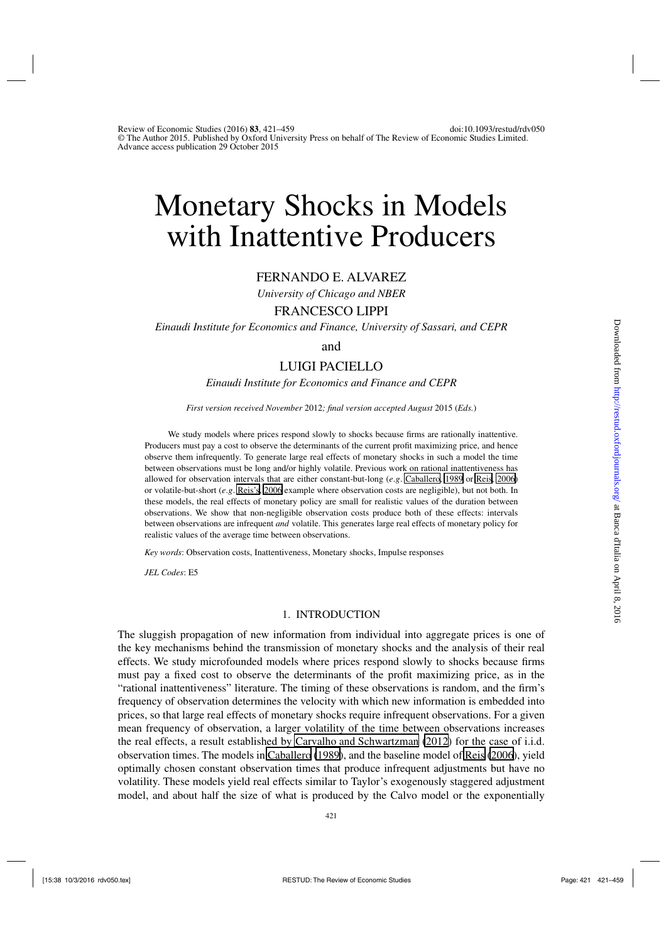# Monetary Shocks in Models with Inattentive Producers

# FERNANDO E. ALVAREZ

*University of Chicago and NBER*

# FRANCESCO LIPPI

*Einaudi Institute for Economics and Finance, University of Sassari, and CEPR*

and

# LUIGI PACIELLO

*Einaudi Institute for Economics and Finance and CEPR*

*First version received November* 2012*; final version accepted August* 2015 (*Eds.*)

We study models where prices respond slowly to shocks because firms are rationally inattentive. Producers must pay a cost to observe the determinants of the current profit maximizing price, and hence observe them infrequently. To generate large real effects of monetary shocks in such a model the time between observations must be long and/or highly volatile. Previous work on rational inattentiveness has allowed for observation intervals that are either constant-but-long (*e*.*g*. [Caballero](#page-38-0), [1989](#page-38-0) or [Reis, 2006](#page-38-0)) or volatile-but-short (*e*.*g*. [Reis's](#page-38-0), [2006](#page-38-0) example where observation costs are negligible), but not both. In these models, the real effects of monetary policy are small for realistic values of the duration between observations. We show that non-negligible observation costs produce both of these effects: intervals between observations are infrequent *and* volatile. This generates large real effects of monetary policy for realistic values of the average time between observations.

*Key words*: Observation costs, Inattentiveness, Monetary shocks, Impulse responses

*JEL Codes*: E5

# 1. INTRODUCTION

The sluggish propagation of new information from individual into aggregate prices is one of the key mechanisms behind the transmission of monetary shocks and the analysis of their real effects. We study microfounded models where prices respond slowly to shocks because firms must pay a fixed cost to observe the determinants of the profit maximizing price, as in the "rational inattentiveness" literature. The timing of these observations is random, and the firm's frequency of observation determines the velocity with which new information is embedded into prices, so that large real effects of monetary shocks require infrequent observations. For a given mean frequency of observation, a larger volatility of the time between observations increases the real effects, a result established by [Carvalho and Schwartzman](#page-38-0) [\(2012\)](#page-38-0) for the case of i.i.d. observation times. The models in [Caballero](#page-38-0) [\(1989\)](#page-38-0), and the baseline model of [Reis](#page-38-0) [\(2006\)](#page-38-0), yield optimally chosen constant observation times that produce infrequent adjustments but have no volatility. These models yield real effects similar to Taylor's exogenously staggered adjustment model, and about half the size of what is produced by the Calvo model or the exponentially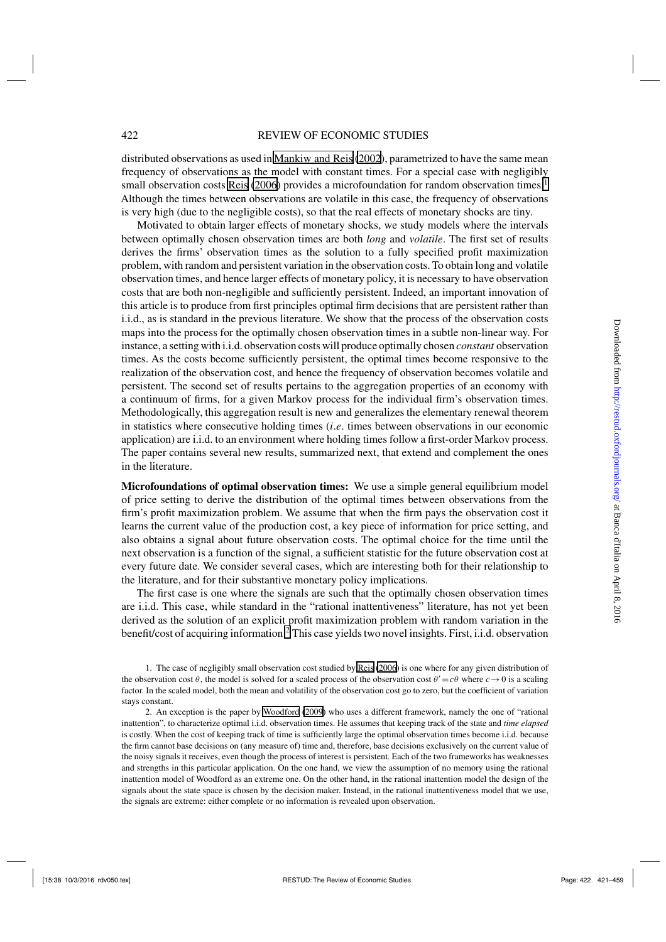distributed observations as used in [Mankiw and Reis](#page-38-0) [\(2002\)](#page-38-0), parametrized to have the same mean frequency of observations as the model with constant times. For a special case with negligibly small observation costs [Reis](#page-38-0) [\(2006\)](#page-38-0) provides a microfoundation for random observation times.<sup>1</sup> Although the times between observations are volatile in this case, the frequency of observations is very high (due to the negligible costs), so that the real effects of monetary shocks are tiny.

Motivated to obtain larger effects of monetary shocks, we study models where the intervals between optimally chosen observation times are both *long* and *volatile*. The first set of results derives the firms' observation times as the solution to a fully specified profit maximization problem, with random and persistent variation in the observation costs. To obtain long and volatile observation times, and hence larger effects of monetary policy, it is necessary to have observation costs that are both non-negligible and sufficiently persistent. Indeed, an important innovation of this article is to produce from first principles optimal firm decisions that are persistent rather than i.i.d., as is standard in the previous literature. We show that the process of the observation costs maps into the process for the optimally chosen observation times in a subtle non-linear way. For instance, a setting with i.i.d. observation costs will produce optimally chosen *constant* observation times. As the costs become sufficiently persistent, the optimal times become responsive to the realization of the observation cost, and hence the frequency of observation becomes volatile and persistent. The second set of results pertains to the aggregation properties of an economy with a continuum of firms, for a given Markov process for the individual firm's observation times. Methodologically, this aggregation result is new and generalizes the elementary renewal theorem in statistics where consecutive holding times (*i*.*e*. times between observations in our economic application) are i.i.d. to an environment where holding times follow a first-order Markov process. The paper contains several new results, summarized next, that extend and complement the ones in the literature.

**Microfoundations of optimal observation times:** We use a simple general equilibrium model of price setting to derive the distribution of the optimal times between observations from the firm's profit maximization problem. We assume that when the firm pays the observation cost it learns the current value of the production cost, a key piece of information for price setting, and also obtains a signal about future observation costs. The optimal choice for the time until the next observation is a function of the signal, a sufficient statistic for the future observation cost at every future date. We consider several cases, which are interesting both for their relationship to the literature, and for their substantive monetary policy implications.

The first case is one where the signals are such that the optimally chosen observation times are i.i.d. This case, while standard in the "rational inattentiveness" literature, has not yet been derived as the solution of an explicit profit maximization problem with random variation in the benefit/cost of acquiring information.<sup>2</sup> This case yields two novel insights. First, i.i.d. observation

1. The case of negligibly small observation cost studied by [Reis](#page-38-0) [\(2006\)](#page-38-0) is one where for any given distribution of the observation cost  $\theta$ , the model is solved for a scaled process of the observation cost  $\theta' = c\theta$  where  $c \to 0$  is a scaling factor. In the scaled model, both the mean and volatility of the observation cost go to zero, but the coefficient of variation stays constant.

2. An exception is the paper by [Woodford](#page-38-0) [\(2009\)](#page-38-0) who uses a different framework, namely the one of "rational inattention", to characterize optimal i.i.d. observation times. He assumes that keeping track of the state and *time elapsed* is costly. When the cost of keeping track of time is sufficiently large the optimal observation times become i.i.d. because the firm cannot base decisions on (any measure of) time and, therefore, base decisions exclusively on the current value of the noisy signals it receives, even though the process of interest is persistent. Each of the two frameworks has weaknesses and strengths in this particular application. On the one hand, we view the assumption of no memory using the rational inattention model of Woodford as an extreme one. On the other hand, in the rational inattention model the design of the signals about the state space is chosen by the decision maker. Instead, in the rational inattentiveness model that we use, the signals are extreme: either complete or no information is revealed upon observation.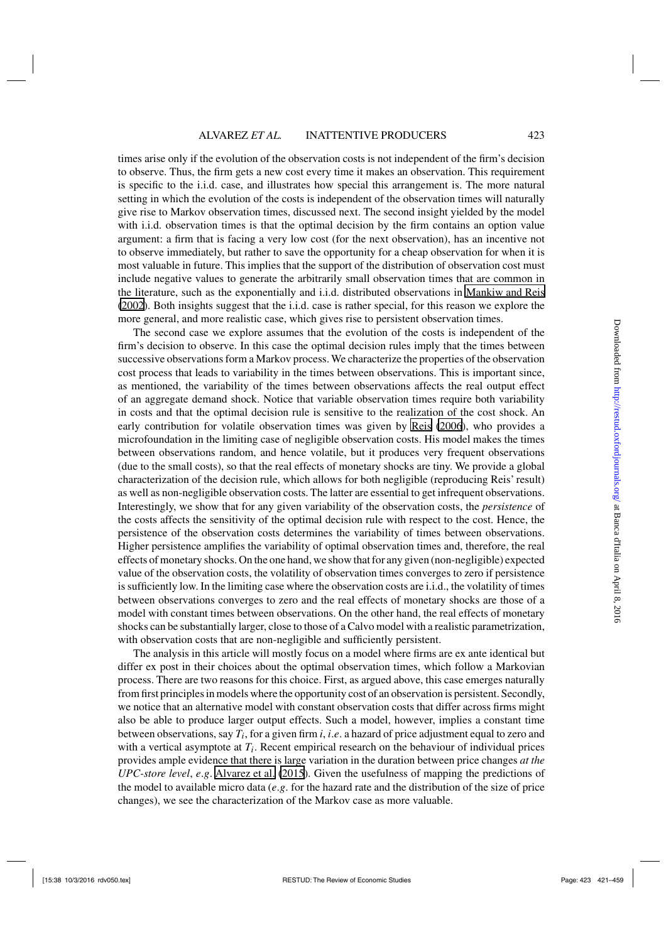times arise only if the evolution of the observation costs is not independent of the firm's decision to observe. Thus, the firm gets a new cost every time it makes an observation. This requirement is specific to the i.i.d. case, and illustrates how special this arrangement is. The more natural setting in which the evolution of the costs is independent of the observation times will naturally give rise to Markov observation times, discussed next. The second insight yielded by the model with i.i.d. observation times is that the optimal decision by the firm contains an option value argument: a firm that is facing a very low cost (for the next observation), has an incentive not to observe immediately, but rather to save the opportunity for a cheap observation for when it is most valuable in future. This implies that the support of the distribution of observation cost must include negative values to generate the arbitrarily small observation times that are common in the literature, such as the exponentially and i.i.d. distributed observations in [Mankiw and Reis](#page-38-0) [\(2002\)](#page-38-0). Both insights suggest that the i.i.d. case is rather special, for this reason we explore the more general, and more realistic case, which gives rise to persistent observation times.

The second case we explore assumes that the evolution of the costs is independent of the firm's decision to observe. In this case the optimal decision rules imply that the times between successive observations form a Markov process. We characterize the properties of the observation cost process that leads to variability in the times between observations. This is important since, as mentioned, the variability of the times between observations affects the real output effect of an aggregate demand shock. Notice that variable observation times require both variability in costs and that the optimal decision rule is sensitive to the realization of the cost shock. An early contribution for volatile observation times was given by [Reis](#page-38-0) [\(2006](#page-38-0)), who provides a microfoundation in the limiting case of negligible observation costs. His model makes the times between observations random, and hence volatile, but it produces very frequent observations (due to the small costs), so that the real effects of monetary shocks are tiny. We provide a global characterization of the decision rule, which allows for both negligible (reproducing Reis' result) as well as non-negligible observation costs. The latter are essential to get infrequent observations. Interestingly, we show that for any given variability of the observation costs, the *persistence* of the costs affects the sensitivity of the optimal decision rule with respect to the cost. Hence, the persistence of the observation costs determines the variability of times between observations. Higher persistence amplifies the variability of optimal observation times and, therefore, the real effects of monetary shocks. On the one hand, we show that for any given (non-negligible) expected value of the observation costs, the volatility of observation times converges to zero if persistence is sufficiently low. In the limiting case where the observation costs are i.i.d., the volatility of times between observations converges to zero and the real effects of monetary shocks are those of a model with constant times between observations. On the other hand, the real effects of monetary shocks can be substantially larger, close to those of a Calvo model with a realistic parametrization, with observation costs that are non-negligible and sufficiently persistent.

The analysis in this article will mostly focus on a model where firms are ex ante identical but differ ex post in their choices about the optimal observation times, which follow a Markovian process. There are two reasons for this choice. First, as argued above, this case emerges naturally from first principles in models where the opportunity cost of an observation is persistent. Secondly, we notice that an alternative model with constant observation costs that differ across firms might also be able to produce larger output effects. Such a model, however, implies a constant time between observations, say *Ti*, for a given firm *i*, *i*.*e*. a hazard of price adjustment equal to zero and with a vertical asymptote at  $T_i$ . Recent empirical research on the behaviour of individual prices provides ample evidence that there is large variation in the duration between price changes *at the UPC-store level*, *e*.*g*. [Alvarez et al.](#page-38-0) [\(2015](#page-38-0)). Given the usefulness of mapping the predictions of the model to available micro data (*e*.*g*. for the hazard rate and the distribution of the size of price changes), we see the characterization of the Markov case as more valuable.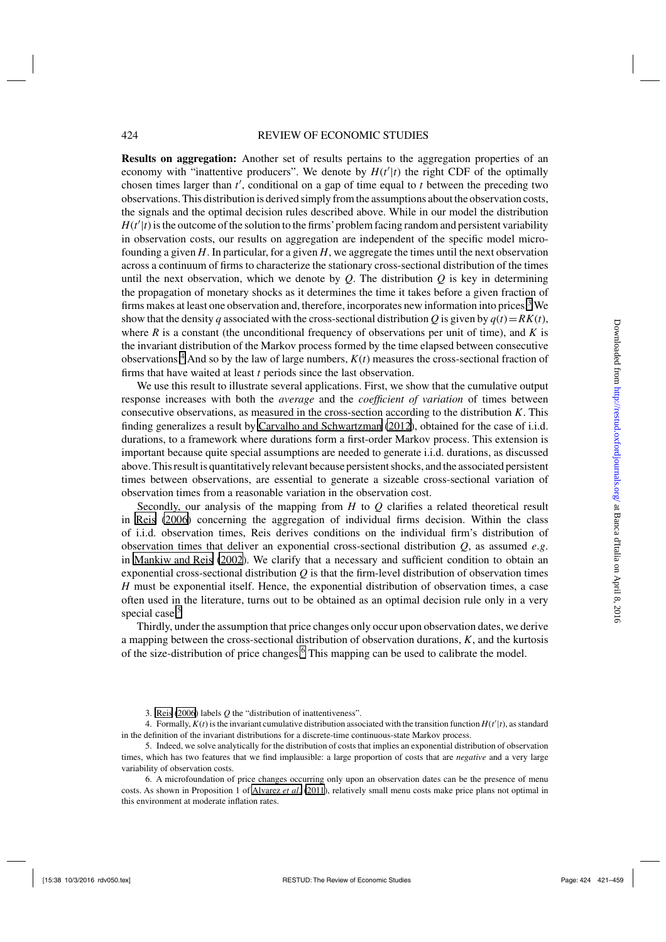# 424 REVIEW OF ECONOMIC STUDIES

**Results on aggregation:** Another set of results pertains to the aggregation properties of an economy with "inattentive producers". We denote by  $H(t'|t)$  the right CDF of the optimally chosen times larger than  $t'$ , conditional on a gap of time equal to  $t$  between the preceding two observations. This distribution is derived simply from the assumptions about the observation costs, the signals and the optimal decision rules described above. While in our model the distribution  $H(t'|t)$  is the outcome of the solution to the firms' problem facing random and persistent variability in observation costs, our results on aggregation are independent of the specific model microfounding a given *H*. In particular, for a given *H*, we aggregate the times until the next observation across a continuum of firms to characterize the stationary cross-sectional distribution of the times until the next observation, which we denote by  $Q$ . The distribution  $Q$  is key in determining the propagation of monetary shocks as it determines the time it takes before a given fraction of firms makes at least one observation and, therefore, incorporates new information into prices.<sup>3</sup> We show that the density *q* associated with the cross-sectional distribution *Q* is given by  $q(t) = RK(t)$ , where  $R$  is a constant (the unconditional frequency of observations per unit of time), and  $K$  is the invariant distribution of the Markov process formed by the time elapsed between consecutive observations.<sup>4</sup> And so by the law of large numbers,  $K(t)$  measures the cross-sectional fraction of firms that have waited at least *t* periods since the last observation.

We use this result to illustrate several applications. First, we show that the cumulative output response increases with both the *average* and the *coefficient of variation* of times between consecutive observations, as measured in the cross-section according to the distribution *K*. This finding generalizes a result by [Carvalho and Schwartzman](#page-38-0) [\(2012](#page-38-0)), obtained for the case of i.i.d. durations, to a framework where durations form a first-order Markov process. This extension is important because quite special assumptions are needed to generate i.i.d. durations, as discussed above.This result is quantitatively relevant because persistent shocks, and the associated persistent times between observations, are essential to generate a sizeable cross-sectional variation of observation times from a reasonable variation in the observation cost.

Secondly, our analysis of the mapping from *H* to *Q* clarifies a related theoretical result in [Reis](#page-38-0) [\(2006\)](#page-38-0) concerning the aggregation of individual firms decision. Within the class of i.i.d. observation times, Reis derives conditions on the individual firm's distribution of observation times that deliver an exponential cross-sectional distribution *Q*, as assumed *e*.*g*. in [Mankiw and Reis](#page-38-0) [\(2002](#page-38-0)). We clarify that a necessary and sufficient condition to obtain an exponential cross-sectional distribution *Q* is that the firm-level distribution of observation times *H* must be exponential itself. Hence, the exponential distribution of observation times, a case often used in the literature, turns out to be obtained as an optimal decision rule only in a very special case.<sup>5</sup>

Thirdly, under the assumption that price changes only occur upon observation dates, we derive a mapping between the cross-sectional distribution of observation durations, *K*, and the kurtosis of the size-distribution of price changes.<sup>6</sup> This mapping can be used to calibrate the model.

<sup>3.</sup> [Reis](#page-38-0) [\(2006\)](#page-38-0) labels *Q* the "distribution of inattentiveness".

<sup>4.</sup> Formally,  $K(t)$  is the invariant cumulative distribution associated with the transition function  $H(t'|t)$ , as standard in the definition of the invariant distributions for a discrete-time continuous-state Markov process.

<sup>5.</sup> Indeed, we solve analytically for the distribution of costs that implies an exponential distribution of observation times, which has two features that we find implausible: a large proportion of costs that are *negative* and a very large variability of observation costs.

<sup>6.</sup> A microfoundation of price changes occurring only upon an observation dates can be the presence of menu costs. As shown in Proposition 1 of [Alvarez](#page-38-0) *et al*. [\(2011](#page-38-0)), relatively small menu costs make price plans not optimal in this environment at moderate inflation rates.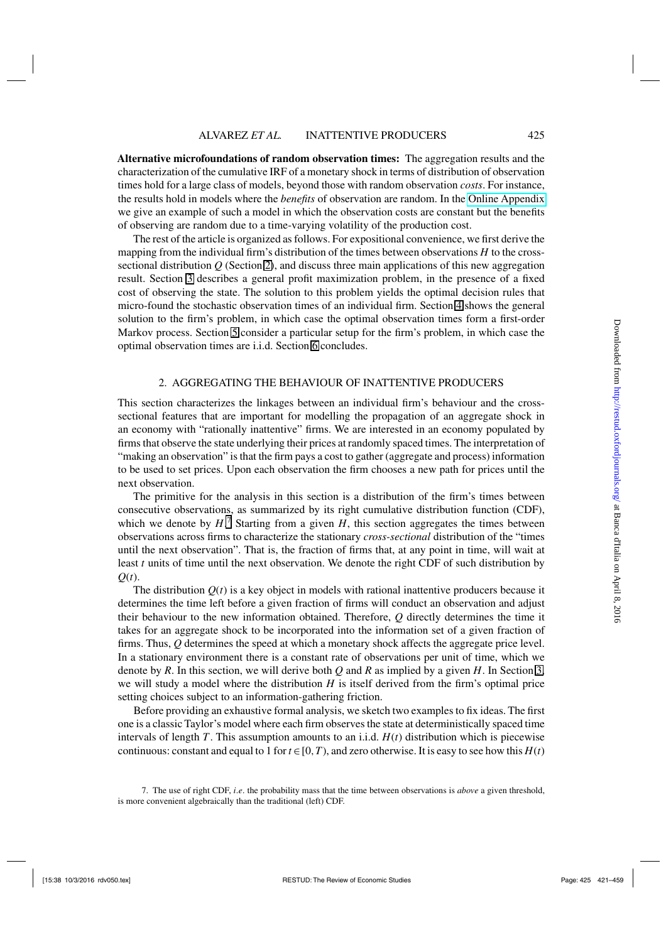<span id="page-4-0"></span>**Alternative microfoundations of random observation times:** The aggregation results and the characterization of the cumulative IRF of a monetary shock in terms of distribution of observation times hold for a large class of models, beyond those with random observation *costs*. For instance, the results hold in models where the *benefits* of observation are random. In the [Online Appendix](http://restud.oxfordjournals.org/lookup/suppl/doi:10.1093/restud/rdv050/-/DC1) we give an example of such a model in which the observation costs are constant but the benefits of observing are random due to a time-varying volatility of the production cost.

The rest of the article is organized as follows. For expositional convenience, we first derive the mapping from the individual firm's distribution of the times between observations *H* to the crosssectional distribution  $Q$  (Section 2), and discuss three main applications of this new aggregation result. Section [3](#page-11-0) describes a general profit maximization problem, in the presence of a fixed cost of observing the state. The solution to this problem yields the optimal decision rules that micro-found the stochastic observation times of an individual firm. Section [4](#page-17-0) shows the general solution to the firm's problem, in which case the optimal observation times form a first-order Markov process. Section [5](#page-24-0) consider a particular setup for the firm's problem, in which case the optimal observation times are i.i.d. Section [6](#page-31-0) concludes.

# 2. AGGREGATING THE BEHAVIOUR OF INATTENTIVE PRODUCERS

This section characterizes the linkages between an individual firm's behaviour and the crosssectional features that are important for modelling the propagation of an aggregate shock in an economy with "rationally inattentive" firms. We are interested in an economy populated by firms that observe the state underlying their prices at randomly spaced times. The interpretation of "making an observation" is that the firm pays a cost to gather (aggregate and process) information to be used to set prices. Upon each observation the firm chooses a new path for prices until the next observation.

The primitive for the analysis in this section is a distribution of the firm's times between consecutive observations, as summarized by its right cumulative distribution function (CDF), which we denote by  $H^{\dagger}$ . Starting from a given  $H$ , this section aggregates the times between observations across firms to characterize the stationary *cross-sectional* distribution of the "times until the next observation". That is, the fraction of firms that, at any point in time, will wait at least *t* units of time until the next observation. We denote the right CDF of such distribution by *Q*(*t*).

The distribution  $Q(t)$  is a key object in models with rational inattentive producers because it determines the time left before a given fraction of firms will conduct an observation and adjust their behaviour to the new information obtained. Therefore, *Q* directly determines the time it takes for an aggregate shock to be incorporated into the information set of a given fraction of firms. Thus, *Q* determines the speed at which a monetary shock affects the aggregate price level. In a stationary environment there is a constant rate of observations per unit of time, which we denote by *R*. In this section, we will derive both  $Q$  and  $R$  as implied by a given  $H$ . In Section [3,](#page-11-0) we will study a model where the distribution *H* is itself derived from the firm's optimal price setting choices subject to an information-gathering friction.

Before providing an exhaustive formal analysis, we sketch two examples to fix ideas. The first one is a classic Taylor's model where each firm observes the state at deterministically spaced time intervals of length *T*. This assumption amounts to an i.i.d. *H*(*t*) distribution which is piecewise continuous: constant and equal to 1 for  $t \in [0, T)$ , and zero otherwise. It is easy to see how this  $H(t)$ 

<sup>7.</sup> The use of right CDF, *i*.*e*. the probability mass that the time between observations is *above* a given threshold, is more convenient algebraically than the traditional (left) CDF.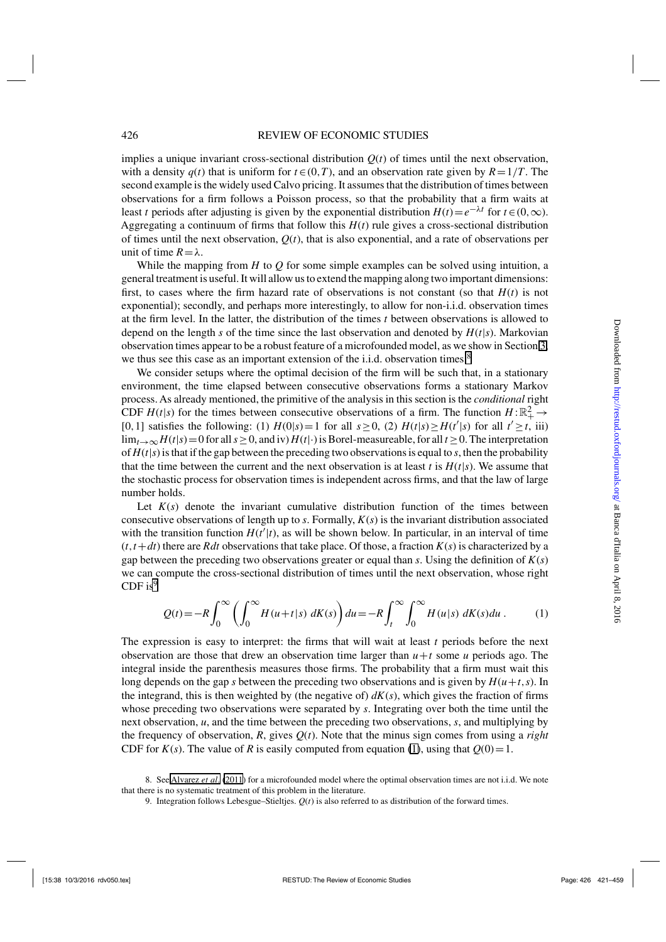<span id="page-5-0"></span>implies a unique invariant cross-sectional distribution  $Q(t)$  of times until the next observation, with a density  $q(t)$  that is uniform for  $t \in (0, T)$ , and an observation rate given by  $R = 1/T$ . The second example is the widely used Calvo pricing. It assumes that the distribution of times between observations for a firm follows a Poisson process, so that the probability that a firm waits at least *t* periods after adjusting is given by the exponential distribution  $H(t) = e^{-\lambda t}$  for  $t \in (0, \infty)$ . Aggregating a continuum of firms that follow this  $H(t)$  rule gives a cross-sectional distribution of times until the next observation, *Q*(*t*), that is also exponential, and a rate of observations per unit of time  $R = \lambda$ .

While the mapping from *H* to *Q* for some simple examples can be solved using intuition, a general treatment is useful. It will allow us to extend the mapping along two important dimensions: first, to cases where the firm hazard rate of observations is not constant (so that  $H(t)$  is not exponential); secondly, and perhaps more interestingly, to allow for non-i.i.d. observation times at the firm level. In the latter, the distribution of the times *t* between observations is allowed to depend on the length *s* of the time since the last observation and denoted by  $H(t|s)$ . Markovian observation times appear to be a robust feature of a microfounded model, as we show in Section [3,](#page-11-0) we thus see this case as an important extension of the i.i.d. observation times.<sup>8</sup>

We consider setups where the optimal decision of the firm will be such that, in a stationary environment, the time elapsed between consecutive observations forms a stationary Markov process. As already mentioned, the primitive of the analysis in this section is the *conditional* right CDF  $H(t|s)$  for the times between consecutive observations of a firm. The function  $H:\mathbb{R}^2_+ \to$ [0,1] satisfies the following: (1)  $H(0|s) = 1$  for all  $s \ge 0$ , (2)  $H(t|s) \ge H(t'|s)$  for all  $t' \ge t$ , iii) lim<sub>*t*→∞</sub> $H(t|s) = 0$  for all  $s > 0$ , and iv)  $H(t|\cdot)$  is Borel-measureable, for all  $t > 0$ . The interpretation of  $H(t|s)$  is that if the gap between the preceding two observations is equal to *s*, then the probability that the time between the current and the next observation is at least *t* is  $H(t|s)$ . We assume that the stochastic process for observation times is independent across firms, and that the law of large number holds.

Let  $K(s)$  denote the invariant cumulative distribution function of the times between consecutive observations of length up to *s*. Formally, *K*(*s*) is the invariant distribution associated with the transition function  $H(t'|t)$ , as will be shown below. In particular, in an interval of time  $(t, t+dt)$  there are *Rdt* observations that take place. Of those, a fraction  $K(s)$  is characterized by a gap between the preceding two observations greater or equal than  $s$ . Using the definition of  $K(s)$ we can compute the cross-sectional distribution of times until the next observation, whose right  $CDF$  is $9$ 

$$
Q(t) = -R \int_0^\infty \left( \int_0^\infty H(u+t|s) \ dK(s) \right) du = -R \int_t^\infty \int_0^\infty H(u|s) \ dK(s) du \ . \tag{1}
$$

The expression is easy to interpret: the firms that will wait at least *t* periods before the next observation are those that drew an observation time larger than *u*+*t* some *u* periods ago. The integral inside the parenthesis measures those firms. The probability that a firm must wait this long depends on the gap *s* between the preceding two observations and is given by  $H(u+t,s)$ . In the integrand, this is then weighted by (the negative of)  $dK(s)$ , which gives the fraction of firms whose preceding two observations were separated by *s*. Integrating over both the time until the next observation, *u*, and the time between the preceding two observations, *s*, and multiplying by the frequency of observation,  $R$ , gives  $Q(t)$ . Note that the minus sign comes from using a *right* CDF for  $K(s)$ . The value of R is easily computed from equation (1), using that  $Q(0) = 1$ .

<sup>8.</sup> See [Alvarez](#page-38-0) *et al*. [\(2011](#page-38-0)) for a microfounded model where the optimal observation times are not i.i.d. We note that there is no systematic treatment of this problem in the literature.

<sup>9.</sup> Integration follows Lebesgue–Stieltjes. *Q*(*t*) is also referred to as distribution of the forward times.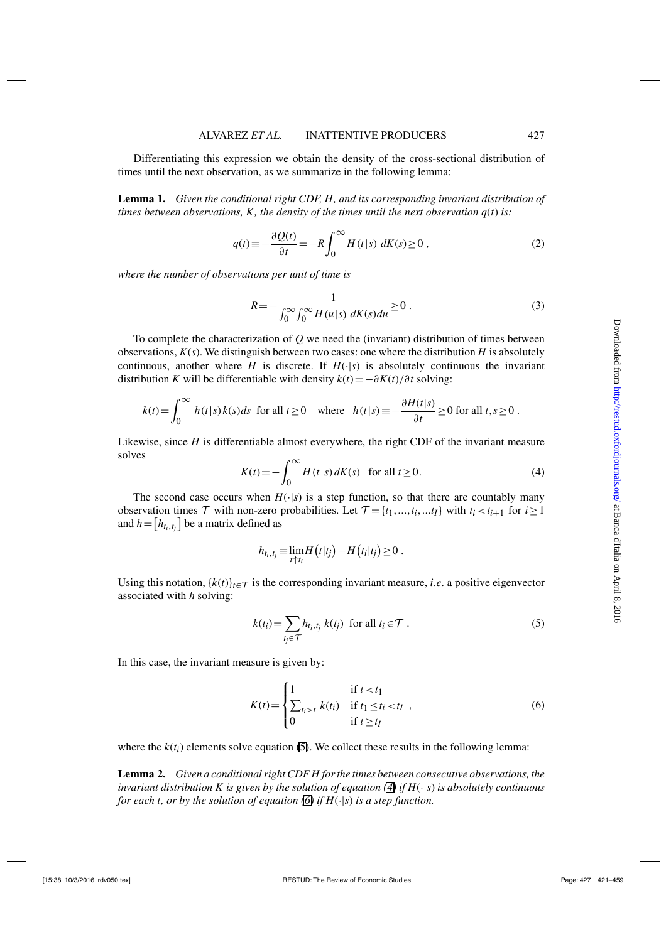<span id="page-6-0"></span>Differentiating this expression we obtain the density of the cross-sectional distribution of times until the next observation, as we summarize in the following lemma:

**Lemma 1.** *Given the conditional right CDF, H, and its corresponding invariant distribution of times between observations, K, the density of the times until the next observation q*(*t*) *is:*

$$
q(t) \equiv -\frac{\partial Q(t)}{\partial t} = -R \int_0^\infty H(t|s) \ dK(s) \ge 0 \ , \tag{2}
$$

*where the number of observations per unit of time is*

$$
R = -\frac{1}{\int_0^\infty \int_0^\infty H(u|s) \ dK(s) du} \ge 0 \ . \tag{3}
$$

To complete the characterization of *Q* we need the (invariant) distribution of times between observations,  $K(s)$ . We distinguish between two cases: one where the distribution *H* is absolutely continuous, another where *H* is discrete. If  $H(\cdot|s)$  is absolutely continuous the invariant distribution *K* will be differentiable with density  $k(t) = -\partial K(t)/\partial t$  solving:

$$
k(t) = \int_0^\infty h(t|s)k(s)ds \text{ for all } t \ge 0 \quad \text{where} \quad h(t|s) \equiv -\frac{\partial H(t|s)}{\partial t} \ge 0 \text{ for all } t, s \ge 0.
$$

Likewise, since *H* is differentiable almost everywhere, the right CDF of the invariant measure solves

$$
K(t) = -\int_0^\infty H(t|s) dK(s) \quad \text{for all } t \ge 0.
$$
 (4)

The second case occurs when  $H(\cdot|s)$  is a step function, so that there are countably many observation times  $\mathcal T$  with non-zero probabilities. Let  $\mathcal T = \{t_1, \ldots, t_i, \ldots t_l\}$  with  $t_i < t_{i+1}$  for  $i \geq 1$ and  $h = [h_{t_i,t_j}]$  be a matrix defined as

$$
h_{t_i,t_j} \equiv \lim_{t \uparrow t_i} H(t|t_j) - H(t_i|t_j) \geq 0.
$$

Using this notation,  ${k(t)}_{t \in \mathcal{T}}$  is the corresponding invariant measure, *i.e.* a positive eigenvector associated with *h* solving:

$$
k(t_i) = \sum_{t_j \in \mathcal{T}} h_{t_i, t_j} \ k(t_j) \ \text{ for all } t_i \in \mathcal{T} \ . \tag{5}
$$

In this case, the invariant measure is given by:

$$
K(t) = \begin{cases} 1 & \text{if } t < t_1 \\ \sum_{t_i > t} k(t_i) & \text{if } t_1 \le t_i < t_I \\ 0 & \text{if } t \ge t_I \end{cases}
$$
 (6)

where the  $k(t_i)$  elements solve equation (5). We collect these results in the following lemma:

**Lemma 2.** *Given a conditional right CDF H for the times between consecutive observations, the invariant distribution K is given by the solution of equation (4) if H*(·|*s*) *is absolutely continuous for each t, or by the solution of equation (6) if H*(·|*s*) *is a step function.*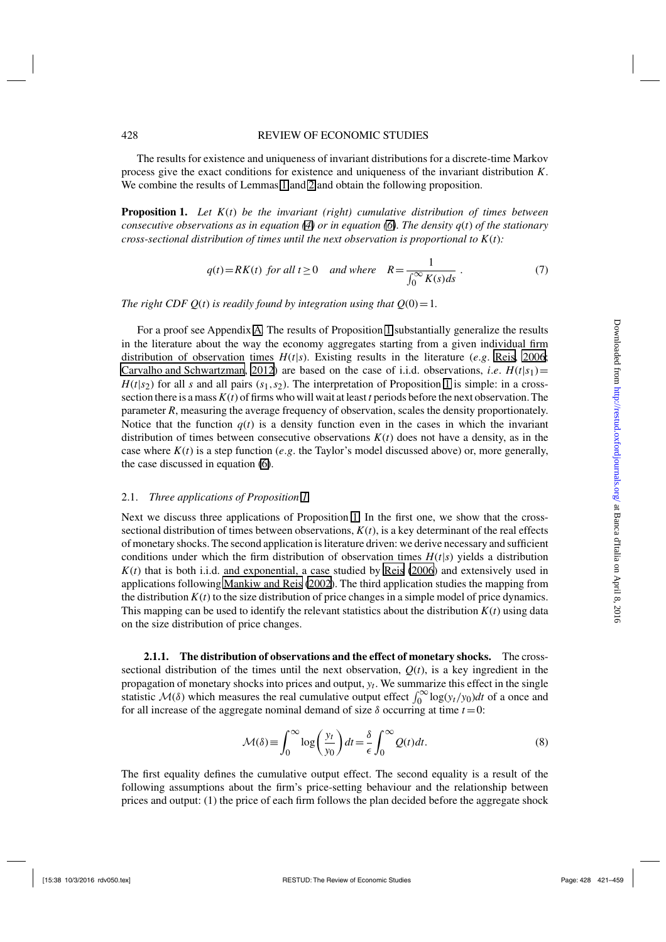<span id="page-7-0"></span>The results for existence and uniqueness of invariant distributions for a discrete-time Markov process give the exact conditions for existence and uniqueness of the invariant distribution *K*. We combine the results of Lemmas [1](#page-6-0) and [2](#page-6-0) and obtain the following proposition.

**Proposition 1.** *Let K*(*t*) *be the invariant (right) cumulative distribution of times between consecutive observations as in equation [\(4\)](#page-6-0) or in equation [\(6\)](#page-6-0). The density q*(*t*) *of the stationary cross-sectional distribution of times until the next observation is proportional to K*(*t*)*:*

$$
q(t) = RK(t) \text{ for all } t \ge 0 \quad \text{and where} \quad R = \frac{1}{\int_0^\infty K(s)ds} \,. \tag{7}
$$

*The right CDF*  $Q(t)$  *is readily found by integration using that*  $Q(0) = 1$ *.* 

For a proof see Appendix [A.](#page-32-0) The results of Proposition 1 substantially generalize the results in the literature about the way the economy aggregates starting from a given individual firm distribution of observation times  $H(t|s)$ . Existing results in the literature (*e.g.* [Reis](#page-38-0), [2006](#page-38-0); [Carvalho and Schwartzman, 2012](#page-38-0)) are based on the case of i.i.d. observations, *i.e.*  $H(t|s_1)$  $H(t|s_2)$  for all *s* and all pairs  $(s_1, s_2)$ . The interpretation of Proposition 1 is simple: in a crosssection there is a mass*K*(*t*) of firms who will wait at least *t* periods before the next observation. The parameter *R*, measuring the average frequency of observation, scales the density proportionately. Notice that the function  $q(t)$  is a density function even in the cases in which the invariant distribution of times between consecutive observations *K*(*t*) does not have a density, as in the case where  $K(t)$  is a step function (*e.g.* the Taylor's model discussed above) or, more generally, the case discussed in equation [\(6\)](#page-6-0).

# 2.1. *Three applications of Proposition 1*

Next we discuss three applications of Proposition 1. In the first one, we show that the crosssectional distribution of times between observations,  $K(t)$ , is a key determinant of the real effects of monetary shocks. The second application is literature driven: we derive necessary and sufficient conditions under which the firm distribution of observation times  $H(t|s)$  yields a distribution  $K(t)$  that is both i.i.d. and exponential, a case studied by [Reis](#page-38-0) [\(2006\)](#page-38-0) and extensively used in applications following [Mankiw and Reis](#page-38-0) [\(2002](#page-38-0)). The third application studies the mapping from the distribution  $K(t)$  to the size distribution of price changes in a simple model of price dynamics. This mapping can be used to identify the relevant statistics about the distribution  $K(t)$  using data on the size distribution of price changes.

**2.1.1. The distribution of observations and the effect of monetary shocks.** The crosssectional distribution of the times until the next observation,  $Q(t)$ , is a key ingredient in the propagation of monetary shocks into prices and output, *yt*. We summarize this effect in the single statistic  $\mathcal{M}(\delta)$  which measures the real cumulative output effect  $\int_0^\infty \log(y_t/y_0) dt$  of a once and for all increase of the aggregate nominal demand of size  $\delta$  occurring at time  $t = 0$ :

$$
\mathcal{M}(\delta) \equiv \int_0^\infty \log \left( \frac{y_t}{y_0} \right) dt = \frac{\delta}{\epsilon} \int_0^\infty Q(t) dt.
$$
\n(8)

The first equality defines the cumulative output effect. The second equality is a result of the following assumptions about the firm's price-setting behaviour and the relationship between prices and output: (1) the price of each firm follows the plan decided before the aggregate shock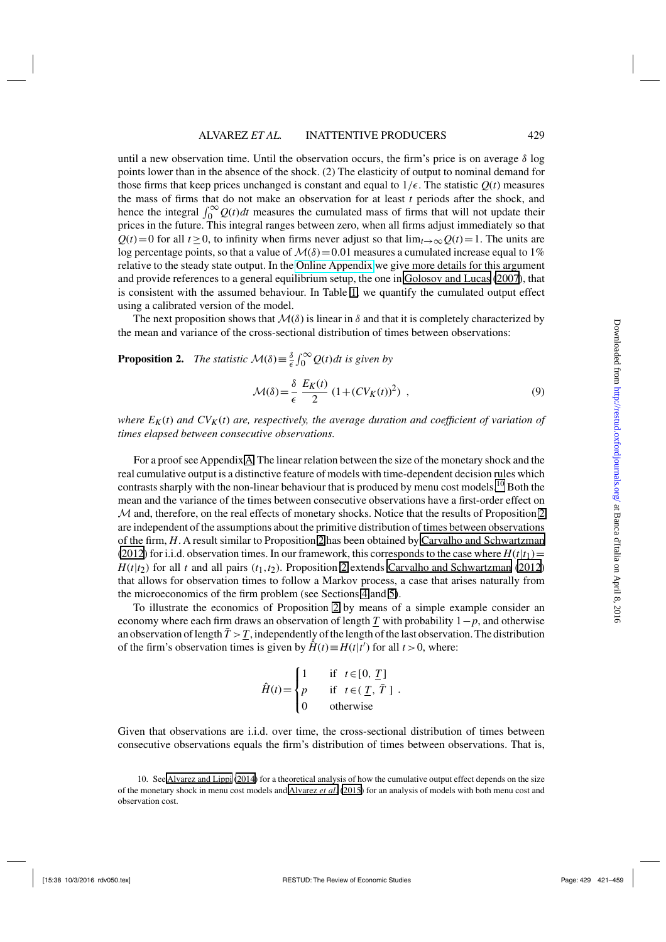<span id="page-8-0"></span>until a new observation time. Until the observation occurs, the firm's price is on average  $\delta$  log points lower than in the absence of the shock. (2) The elasticity of output to nominal demand for those firms that keep prices unchanged is constant and equal to  $1/\epsilon$ . The statistic  $Q(t)$  measures the mass of firms that do not make an observation for at least *t* periods after the shock, and hence the integral  $\int_0^\infty Q(t)dt$  measures the cumulated mass of firms that will not update their prices in the future. This integral ranges between zero, when all firms adjust immediately so that  $Q(t)$ =0 for all  $t \ge 0$ , to infinity when firms never adjust so that  $\lim_{t\to\infty} Q(t)$ =1. The units are log percentage points, so that a value of  $\mathcal{M}(\delta) = 0.01$  measures a cumulated increase equal to 1% relative to the steady state output. In the [Online Appendix](http://restud.oxfordjournals.org/lookup/suppl/doi:10.1093/restud/rdv050/-/DC1) we give more details for this argument and provide references to a general equilibrium setup, the one in [Golosov and Lucas](#page-38-0) [\(2007\)](#page-38-0), that is consistent with the assumed behaviour. In Table [1,](#page-24-0) we quantify the cumulated output effect using a calibrated version of the model.

The next proposition shows that  $\mathcal{M}(\delta)$  is linear in  $\delta$  and that it is completely characterized by the mean and variance of the cross-sectional distribution of times between observations:

**Proposition 2.** *The statistic*  $\mathcal{M}(\delta) \equiv \frac{\delta}{\epsilon} \int_0^\infty Q(t) dt$  is given by

$$
\mathcal{M}(\delta) = \frac{\delta}{\epsilon} \frac{E_K(t)}{2} \left( 1 + (CV_K(t))^2 \right) , \qquad (9)
$$

*where*  $E_K(t)$  *and*  $CV_K(t)$  *are, respectively, the average duration and coefficient of variation of times elapsed between consecutive observations.*

For a proof seeAppendix[A.](#page-32-0) The linear relation between the size of the monetary shock and the real cumulative output is a distinctive feature of models with time-dependent decision rules which contrasts sharply with the non-linear behaviour that is produced by menu cost models.<sup>10</sup> Both the mean and the variance of the times between consecutive observations have a first-order effect on  $M$  and, therefore, on the real effects of monetary shocks. Notice that the results of Proposition 2 are independent of the assumptions about the primitive distribution of times between observations of the firm, *H*. A result similar to Proposition 2 has been obtained by [Carvalho and Schwartzman](#page-38-0) [\(2012\)](#page-38-0) for i.i.d. observation times. In our framework, this corresponds to the case where  $H(t|t_1)=$  $H(t|t_2)$  for all *t* and all pairs  $(t_1, t_2)$ . Proposition 2 extends [Carvalho and Schwartzman](#page-38-0) [\(2012\)](#page-38-0) that allows for observation times to follow a Markov process, a case that arises naturally from the microeconomics of the firm problem (see Sections [4](#page-17-0) and [5\)](#page-24-0).

To illustrate the economics of Proposition 2 by means of a simple example consider an economy where each firm draws an observation of length *T* with probability 1−*p*, and otherwise an observation of length  $\overline{T} > \underline{T}$ , independently of the length of the last observation. The distribution of the firm's observation times is given by  $\hat{H}(t) \equiv H(t|t')$  for all  $t > 0$ , where:

$$
\hat{H}(t) = \begin{cases}\n1 & \text{if } t \in [0, \underline{T}] \\
p & \text{if } t \in (\underline{T}, \overline{T}) \\
0 & \text{otherwise}\n\end{cases}.
$$

Given that observations are i.i.d. over time, the cross-sectional distribution of times between consecutive observations equals the firm's distribution of times between observations. That is,

<sup>10.</sup> See [Alvarez and Lippi](#page-38-0) [\(2014\)](#page-38-0) for a theoretical analysis of how the cumulative output effect depends on the size of the monetary shock in menu cost models and [Alvarez](#page-38-0) *et al*. [\(2015\)](#page-38-0) for an analysis of models with both menu cost and observation cost.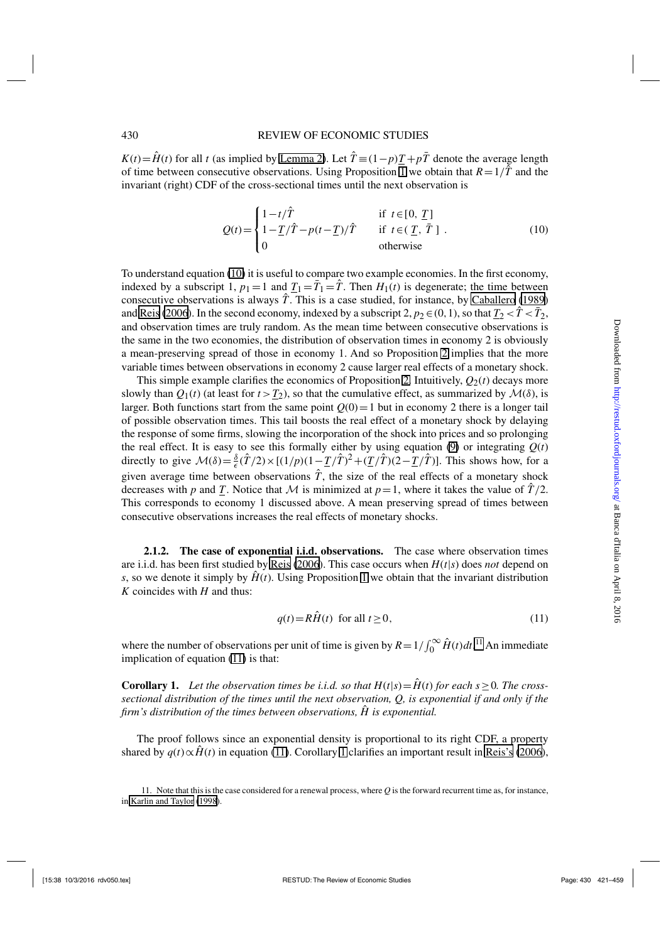*K*(*t*)= $\hat{H}(t)$  for all *t* (as implied by [Lemma 2\)](#page-6-0). Let  $\hat{T}$  ≡(1−*p*) $\underline{T}$  +*p* $\overline{T}$  denote the average length of time between consecutive observations. Using Proposition [1](#page-7-0) we obtain that  $R=1/\tilde{T}$  and the invariant (right) CDF of the cross-sectional times until the next observation is

$$
Q(t) = \begin{cases} 1 - t/\hat{T} & \text{if } t \in [0, T] \\ 1 - \underline{T}/\hat{T} - p(t - \underline{T})/\hat{T} & \text{if } t \in (T, \bar{T}) \\ 0 & \text{otherwise} \end{cases}
$$
(10)

To understand equation (10) it is useful to compare two example economies. In the first economy, indexed by a subscript 1,  $p_1 = 1$  and  $T_1 = T_1 = \hat{T}$ . Then  $H_1(t)$  is degenerate; the time between consecutive observations is always  $\hat{T}$ . This is a case studied, for instance, by [Caballero](#page-38-0) [\(1989\)](#page-38-0) and [Reis](#page-38-0) [\(2006](#page-38-0)). In the second economy, indexed by a subscript 2,  $p_2 \in (0,1)$ , so that  $T_2 < \hat{T} < \hat{T}_2$ , and observation times are truly random. As the mean time between consecutive observations is the same in the two economies, the distribution of observation times in economy 2 is obviously a mean-preserving spread of those in economy 1. And so Proposition [2](#page-8-0) implies that the more variable times between observations in economy 2 cause larger real effects of a monetary shock.

This simple example clarifies the economics of Proposition [2.](#page-8-0) Intuitively,  $Q_2(t)$  decays more slowly than  $Q_1(t)$  (at least for  $t > T_2$ ), so that the cumulative effect, as summarized by  $\mathcal{M}(\delta)$ , is larger. Both functions start from the same point  $Q(0)=1$  but in economy 2 there is a longer tail of possible observation times. This tail boosts the real effect of a monetary shock by delaying the response of some firms, slowing the incorporation of the shock into prices and so prolonging the real effect. It is easy to see this formally either by using equation  $(9)$  or integrating  $Q(t)$ directly to give  $\mathcal{M}(\delta) = \frac{\delta}{\epsilon} (\hat{T}/2) \times [(1/p)(1 - \underline{T}/\hat{T})^2 + (\underline{T}/\hat{T})(2 - \underline{T}/\hat{T})]$ . This shows how, for a given average time between observations  $\hat{T}$ , the size of the real effects of a monetary shock decreases with *p* and <u>*T*</u>. Notice that *M* is minimized at  $p=1$ , where it takes the value of  $\hat{T}/2$ . This corresponds to economy 1 discussed above. A mean preserving spread of times between consecutive observations increases the real effects of monetary shocks.

**2.1.2. The case of exponential i.i.d. observations.** The case where observation times are i.i.d. has been first studied by [Reis](#page-38-0) [\(2006\)](#page-38-0). This case occurs when *H*(*t*|*s*) does *not* depend on *s*, so we denote it simply by  $H(t)$ . Using Proposition [1](#page-7-0) we obtain that the invariant distribution *K* coincides with *H* and thus:

$$
q(t) = R\hat{H}(t) \text{ for all } t \ge 0,
$$
\n(11)

where the number of observations per unit of time is given by  $R = 1/\int_0^\infty \hat{H}(t)dt$ .<sup>11</sup> An immediate implication of equation (11) is that:

**Corollary 1.** Let the observation times be i.i.d. so that  $H(t|s) = \hat{H}(t)$  for each  $s \geq 0$ . The cross*sectional distribution of the times until the next observation, Q, is exponential if and only if the firm's distribution of the times between observations,*  $\hat{H}$  *is exponential.* 

The proof follows since an exponential density is proportional to its right CDF, a property shared by  $q(t) \propto \hat{H}(t)$  in equation (11). Corollary 1 clarifies an important result in [Reis's](#page-38-0) [\(2006](#page-38-0)),

<sup>11.</sup> Note that this is the case considered for a renewal process, where *Q* is the forward recurrent time as, for instance, in [Karlin and Taylor](#page-38-0) [\(1998\)](#page-38-0).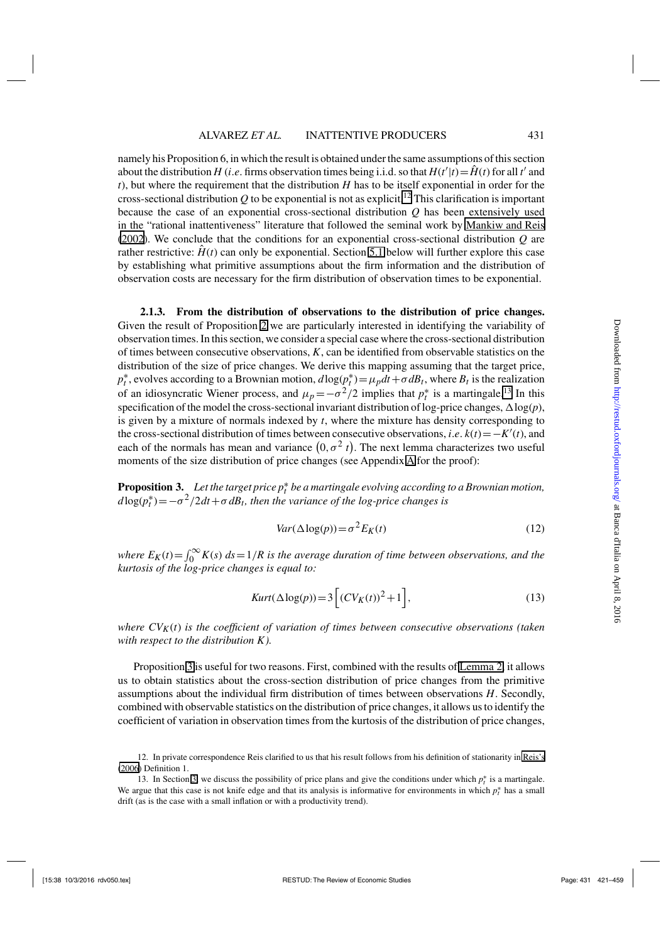<span id="page-10-0"></span>namely his Proposition 6, in which the result is obtained under the same assumptions of this section about the distribution *H* (*i.e.* firms observation times being i.i.d. so that  $H(t'|t) = \hat{H}(t)$  for all *t'* and *t*), but where the requirement that the distribution *H* has to be itself exponential in order for the cross-sectional distribution  $Q$  to be exponential is not as explicit.<sup>12</sup> This clarification is important because the case of an exponential cross-sectional distribution *Q* has been extensively used in the "rational inattentiveness" literature that followed the seminal work by [Mankiw and Reis](#page-38-0) [\(2002\)](#page-38-0). We conclude that the conditions for an exponential cross-sectional distribution *Q* are rather restrictive:  $\hat{H}(t)$  can only be exponential. Section [5.1](#page-29-0) below will further explore this case by establishing what primitive assumptions about the firm information and the distribution of observation costs are necessary for the firm distribution of observation times to be exponential.

**2.1.3. From the distribution of observations to the distribution of price changes.** Given the result of Proposition [2](#page-8-0) we are particularly interested in identifying the variability of observation times. In this section, we consider a special case where the cross-sectional distribution of times between consecutive observations, *K*, can be identified from observable statistics on the distribution of the size of price changes. We derive this mapping assuming that the target price,  $p_t^*$ , evolves according to a Brownian motion,  $d \log(p_t^*) = \mu_p dt + \sigma dB_t$ , where  $B_t$  is the realization of an idiosyncratic Wiener process, and  $\mu_p = -\sigma^2/2$  implies that  $p_t^*$  is a martingale.<sup>13</sup> In this specification of the model the cross-sectional invariant distribution of log-price changes,  $\Delta \log(p)$ , is given by a mixture of normals indexed by *t*, where the mixture has density corresponding to the cross-sectional distribution of times between consecutive observations, *i.e.*  $k(t) = -K'(t)$ , and each of the normals has mean and variance  $(0, \sigma^2 t)$ . The next lemma characterizes two useful moments of the size distribution of price changes (see Appendix [A](#page-32-0) for the proof):

**Proposition 3.** Let the target price  $p_t^*$  be a martingale evolving according to a Brownian motion,  $d\log(p_t^*) = -\sigma^2/2dt + \sigma dB_t$ , then the variance of the log-price changes is

$$
Var(\Delta \log(p)) = \sigma^2 E_K(t)
$$
\n(12)

*where*  $E_K(t) = \int_0^\infty K(s) ds = 1/R$  is the average duration of time between observations, and the *kurtosis of the log-price changes is equal to:*

$$
Kurt(\Delta \log(p)) = 3\left[ (CV_K(t))^2 + 1 \right],\tag{13}
$$

*where*  $CV<sub>K</sub>(t)$  *is the coefficient of variation of times between consecutive observations (taken with respect to the distribution K ).*

Proposition 3 is useful for two reasons. First, combined with the results of [Lemma 2,](#page-6-0) it allows us to obtain statistics about the cross-section distribution of price changes from the primitive assumptions about the individual firm distribution of times between observations *H*. Secondly, combined with observable statistics on the distribution of price changes, it allows us to identify the coefficient of variation in observation times from the kurtosis of the distribution of price changes,

<sup>12.</sup> In private correspondence Reis clarified to us that his result follows from his definition of stationarity in [Reis's](#page-38-0) [\(2006](#page-38-0)) Definition 1.

<sup>13.</sup> In Section [3,](#page-11-0) we discuss the possibility of price plans and give the conditions under which  $p_t^*$  is a martingale. We argue that this case is not knife edge and that its analysis is informative for environments in which  $p_t^*$  has a small drift (as is the case with a small inflation or with a productivity trend).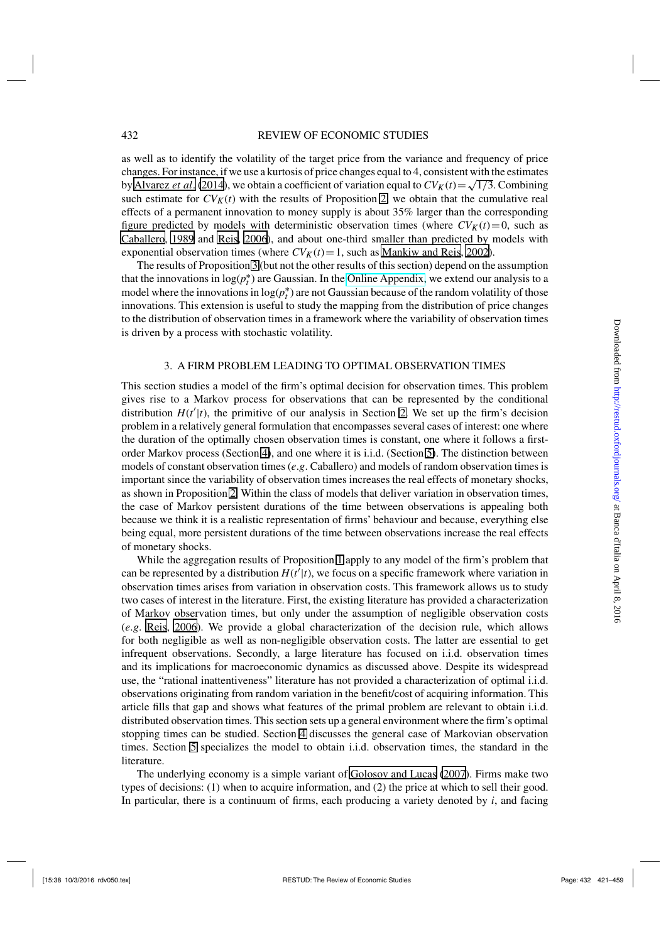# <span id="page-11-0"></span>432 REVIEW OF ECONOMIC STUDIES

as well as to identify the volatility of the target price from the variance and frequency of price changes. For instance, if we use a kurtosis of price changes equal to 4, consistent with the estimates by [Alvarez](#page-38-0) *et al.* [\(2014](#page-38-0)), we obtain a coefficient of variation equal to  $CV<sub>K</sub>(t) = \sqrt{1/3}$ . Combining such estimate for  $CV<sub>K</sub>(t)$  with the results of Proposition [2,](#page-8-0) we obtain that the cumulative real effects of a permanent innovation to money supply is about 35% larger than the corresponding figure predicted by models with deterministic observation times (where  $CV<sub>K</sub>(t)=0$ , such as [Caballero, 1989](#page-38-0) and [Reis, 2006\)](#page-38-0), and about one-third smaller than predicted by models with exponential observation times (where  $CV_K(t) = 1$ , such as [Mankiw and Reis, 2002\)](#page-38-0).

The results of Proposition [3](#page-10-0) (but not the other results of this section) depend on the assumption that the innovations in  $log(p_t^*)$  are Gaussian. In the [Online Appendix,](http://restud.oxfordjournals.org/lookup/suppl/doi:10.1093/restud/rdv050/-/DC1) we extend our analysis to a model where the innovations in  $log(p_t^*)$  are not Gaussian because of the random volatility of those innovations. This extension is useful to study the mapping from the distribution of price changes to the distribution of observation times in a framework where the variability of observation times is driven by a process with stochastic volatility.

# 3. A FIRM PROBLEM LEADING TO OPTIMAL OBSERVATION TIMES

This section studies a model of the firm's optimal decision for observation times. This problem gives rise to a Markov process for observations that can be represented by the conditional distribution  $H(t'|t)$ , the primitive of our analysis in Section [2.](#page-4-0) We set up the firm's decision problem in a relatively general formulation that encompasses several cases of interest: one where the duration of the optimally chosen observation times is constant, one where it follows a firstorder Markov process (Section [4\)](#page-17-0), and one where it is i.i.d. (Section [5\)](#page-24-0). The distinction between models of constant observation times (*e*.*g*. Caballero) and models of random observation times is important since the variability of observation times increases the real effects of monetary shocks, as shown in Proposition [2.](#page-8-0) Within the class of models that deliver variation in observation times, the case of Markov persistent durations of the time between observations is appealing both because we think it is a realistic representation of firms' behaviour and because, everything else being equal, more persistent durations of the time between observations increase the real effects of monetary shocks.

While the aggregation results of Proposition [1](#page-7-0) apply to any model of the firm's problem that can be represented by a distribution  $H(t^{T}|t)$ , we focus on a specific framework where variation in observation times arises from variation in observation costs. This framework allows us to study two cases of interest in the literature. First, the existing literature has provided a characterization of Markov observation times, but only under the assumption of negligible observation costs (*e*.*g*. [Reis](#page-38-0), [2006](#page-38-0)). We provide a global characterization of the decision rule, which allows for both negligible as well as non-negligible observation costs. The latter are essential to get infrequent observations. Secondly, a large literature has focused on i.i.d. observation times and its implications for macroeconomic dynamics as discussed above. Despite its widespread use, the "rational inattentiveness" literature has not provided a characterization of optimal i.i.d. observations originating from random variation in the benefit/cost of acquiring information. This article fills that gap and shows what features of the primal problem are relevant to obtain i.i.d. distributed observation times. This section sets up a general environment where the firm's optimal stopping times can be studied. Section [4](#page-17-0) discusses the general case of Markovian observation times. Section [5](#page-24-0) specializes the model to obtain i.i.d. observation times, the standard in the literature.

The underlying economy is a simple variant of [Golosov and Lucas](#page-38-0) [\(2007](#page-38-0)). Firms make two types of decisions: (1) when to acquire information, and (2) the price at which to sell their good. In particular, there is a continuum of firms, each producing a variety denoted by *i*, and facing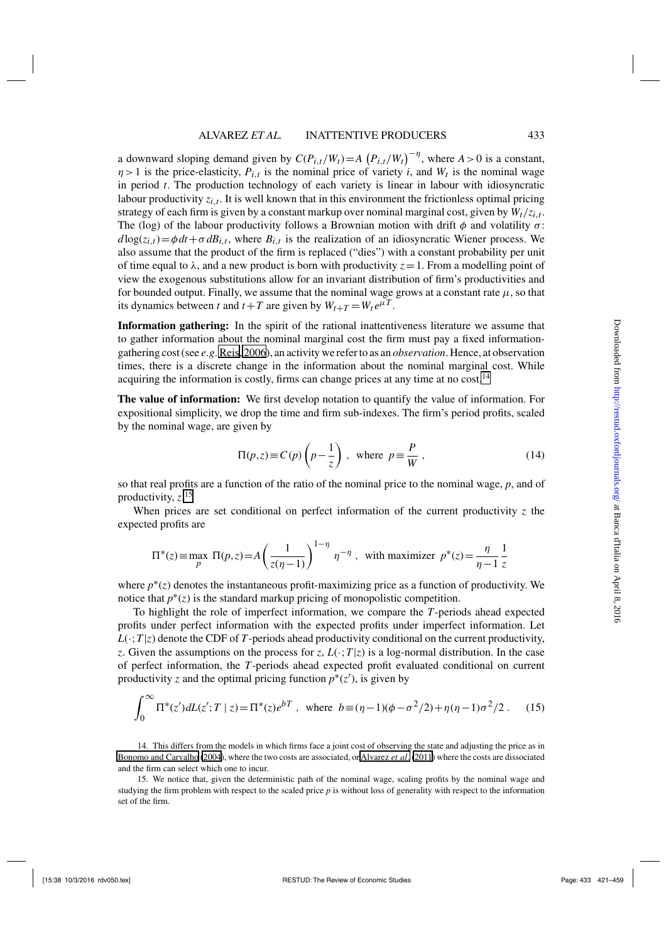<span id="page-12-0"></span>a downward sloping demand given by  $C(P_{i,t}/W_t) = A(P_{i,t}/W_t)^{-\eta}$ , where  $A > 0$  is a constant,  $\eta > 1$  is the price-elasticity,  $P_{i,t}$  is the nominal price of variety *i*, and  $W_t$  is the nominal wage in period *t*. The production technology of each variety is linear in labour with idiosyncratic labour productivity *zi*,*t*. It is well known that in this environment the frictionless optimal pricing strategy of each firm is given by a constant markup over nominal marginal cost, given by *Wt*/*zi*,*t*. The (log) of the labour productivity follows a Brownian motion with drift  $\phi$  and volatility  $\sigma$ :  $d \log(z_{i,t}) = \phi dt + \sigma dB_{i,t}$ , where  $B_{i,t}$  is the realization of an idiosyncratic Wiener process. We also assume that the product of the firm is replaced ("dies") with a constant probability per unit of time equal to  $\lambda$ , and a new product is born with productivity  $z = 1$ . From a modelling point of view the exogenous substitutions allow for an invariant distribution of firm's productivities and for bounded output. Finally, we assume that the nominal wage grows at a constant rate  $\mu$ , so that its dynamics between *t* and  $t + T$  are given by  $W_{t+T} = W_t e^{\mu T}$ .

**Information gathering:** In the spirit of the rational inattentiveness literature we assume that to gather information about the nominal marginal cost the firm must pay a fixed informationgathering cost (see *e*.*g*.[Reis](#page-38-0), [2006\)](#page-38-0), an activity we refer to as an *observation*. Hence, at observation times, there is a discrete change in the information about the nominal marginal cost. While acquiring the information is costly, firms can change prices at any time at no cost.<sup>14</sup>

**The value of information:** We first develop notation to quantify the value of information. For expositional simplicity, we drop the time and firm sub-indexes. The firm's period profits, scaled by the nominal wage, are given by

$$
\Pi(p, z) \equiv C(p) \left( p - \frac{1}{z} \right), \text{ where } p \equiv \frac{P}{W}, \qquad (14)
$$

so that real profits are a function of the ratio of the nominal price to the nominal wage, *p*, and of productivity, *z*. 15

When prices are set conditional on perfect information of the current productivity  $z$  the expected profits are

$$
\Pi^*(z) \equiv \max_p \Pi(p, z) = A \left(\frac{1}{z(\eta - 1)}\right)^{1 - \eta} \eta^{-\eta}, \text{ with maximizer } p^*(z) = \frac{\eta}{\eta - 1} \frac{1}{z}
$$

where *p*∗(*z*) denotes the instantaneous profit-maximizing price as a function of productivity. We notice that  $p^*(z)$  is the standard markup pricing of monopolistic competition.

To highlight the role of imperfect information, we compare the *T*-periods ahead expected profits under perfect information with the expected profits under imperfect information. Let  $L(\cdot;T|z)$  denote the CDF of *T*-periods ahead productivity conditional on the current productivity, *z*. Given the assumptions on the process for *z*,  $L(\cdot; T|z)$  is a log-normal distribution. In the case of perfect information, the *T*-periods ahead expected profit evaluated conditional on current productivity *z* and the optimal pricing function  $p^*(z')$ , is given by

$$
\int_0^\infty \Pi^*(z')dL(z';T \mid z) = \Pi^*(z)e^{bT}, \text{ where } b \equiv (\eta - 1)(\phi - \sigma^2/2) + \eta(\eta - 1)\sigma^2/2. \tag{15}
$$

14. This differs from the models in which firms face a joint cost of observing the state and adjusting the price as in [Bonomo and Carvalho](#page-38-0) [\(2004\)](#page-38-0), where the two costs are associated, or [Alvarez](#page-38-0) *et al*. [\(2011](#page-38-0)) where the costs are dissociated and the firm can select which one to incur.

15. We notice that, given the deterministic path of the nominal wage, scaling profits by the nominal wage and studying the firm problem with respect to the scaled price  $p$  is without loss of generality with respect to the information set of the firm.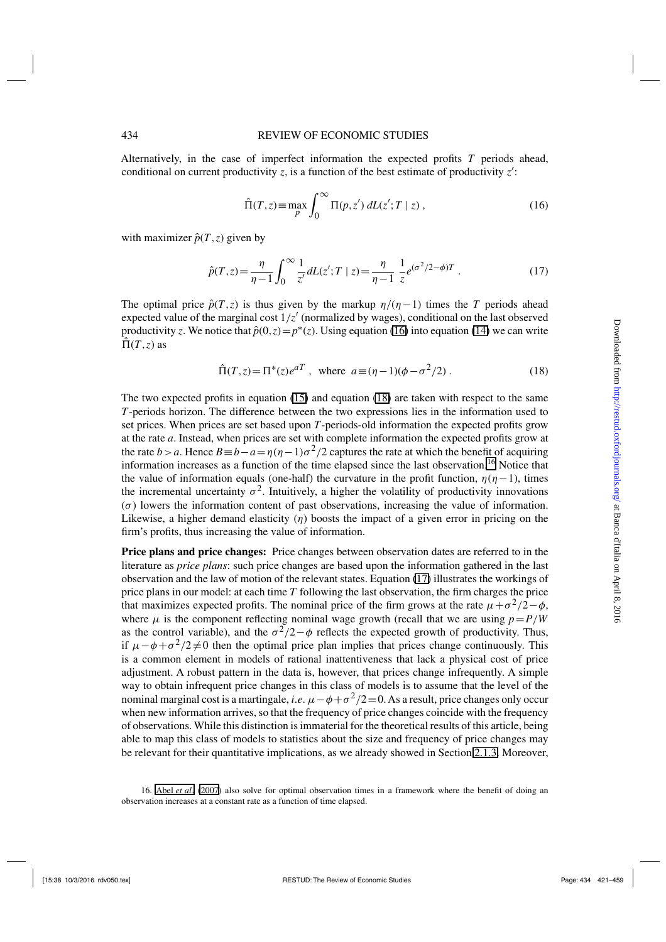<span id="page-13-0"></span>Alternatively, in the case of imperfect information the expected profits *T* periods ahead, conditional on current productivity  $z$ , is a function of the best estimate of productivity  $z'$ :

$$
\hat{\Pi}(T,z) \equiv \max_{p} \int_0^\infty \Pi(p,z') dL(z';T \mid z) , \qquad (16)
$$

with maximizer  $\hat{p}(T, z)$  given by

$$
\hat{p}(T,z) = \frac{\eta}{\eta - 1} \int_0^\infty \frac{1}{z'} dL(z'; T \mid z) = \frac{\eta}{\eta - 1} \frac{1}{z} e^{(\sigma^2/2 - \phi)T} . \tag{17}
$$

The optimal price  $\hat{p}(T, z)$  is thus given by the markup  $\eta/(\eta - 1)$  times the *T* periods ahead expected value of the marginal cost  $1/z'$  (normalized by wages), conditional on the last observed productivity *z*. We notice that  $\hat{p}(0, z) = p^*(z)$ . Using equation (16) into equation [\(14\)](#page-12-0) we can write  $\hat{\Pi}(T, z)$  as

$$
\hat{\Pi}(T, z) = \Pi^*(z)e^{aT}, \text{ where } a \equiv (\eta - 1)(\phi - \sigma^2/2). \tag{18}
$$

The two expected profits in equation [\(15\)](#page-12-0) and equation (18) are taken with respect to the same *T*-periods horizon. The difference between the two expressions lies in the information used to set prices. When prices are set based upon *T*-periods-old information the expected profits grow at the rate *a*. Instead, when prices are set with complete information the expected profits grow at the rate  $b > a$ . Hence  $B \equiv b - a = n(n-1)\sigma^2/2$  captures the rate at which the benefit of acquiring information increases as a function of the time elapsed since the last observation.<sup>16</sup> Notice that the value of information equals (one-half) the curvature in the profit function,  $\eta(\eta-1)$ , times the incremental uncertainty  $\sigma^2$ . Intuitively, a higher the volatility of productivity innovations  $(\sigma)$  lowers the information content of past observations, increasing the value of information. Likewise, a higher demand elasticity  $(\eta)$  boosts the impact of a given error in pricing on the firm's profits, thus increasing the value of information.

**Price plans and price changes:** Price changes between observation dates are referred to in the literature as *price plans*: such price changes are based upon the information gathered in the last observation and the law of motion of the relevant states. Equation (17) illustrates the workings of price plans in our model: at each time *T* following the last observation, the firm charges the price that maximizes expected profits. The nominal price of the firm grows at the rate  $\mu + \sigma^2/2 - \phi$ , where  $\mu$  is the component reflecting nominal wage growth (recall that we are using  $p = P/W$ as the control variable), and the  $\sigma^2/2-\phi$  reflects the expected growth of productivity. Thus, if  $\mu - \phi + \sigma^2/2$  ≠0 then the optimal price plan implies that prices change continuously. This is a common element in models of rational inattentiveness that lack a physical cost of price adjustment. A robust pattern in the data is, however, that prices change infrequently. A simple way to obtain infrequent price changes in this class of models is to assume that the level of the nominal marginal cost is a martingale, *i.e.*  $\mu - \phi + \sigma^2/2 = 0$ . As a result, price changes only occur when new information arrives, so that the frequency of price changes coincide with the frequency of observations. While this distinction is immaterial for the theoretical results of this article, being able to map this class of models to statistics about the size and frequency of price changes may be relevant for their quantitative implications, as we already showed in Section [2.1.3.](#page-10-0) Moreover,

Downloaded from http://restud.oxfordjournals.org/ at Banca d'Italia on April 8, 2016 Downloaded trom <http://restud.oxfordjournals.org/> at Banca d'Italia on April 8, 2016

<sup>16.</sup> [Abel](#page-38-0) *et al*. [\(2007\)](#page-38-0) also solve for optimal observation times in a framework where the benefit of doing an observation increases at a constant rate as a function of time elapsed.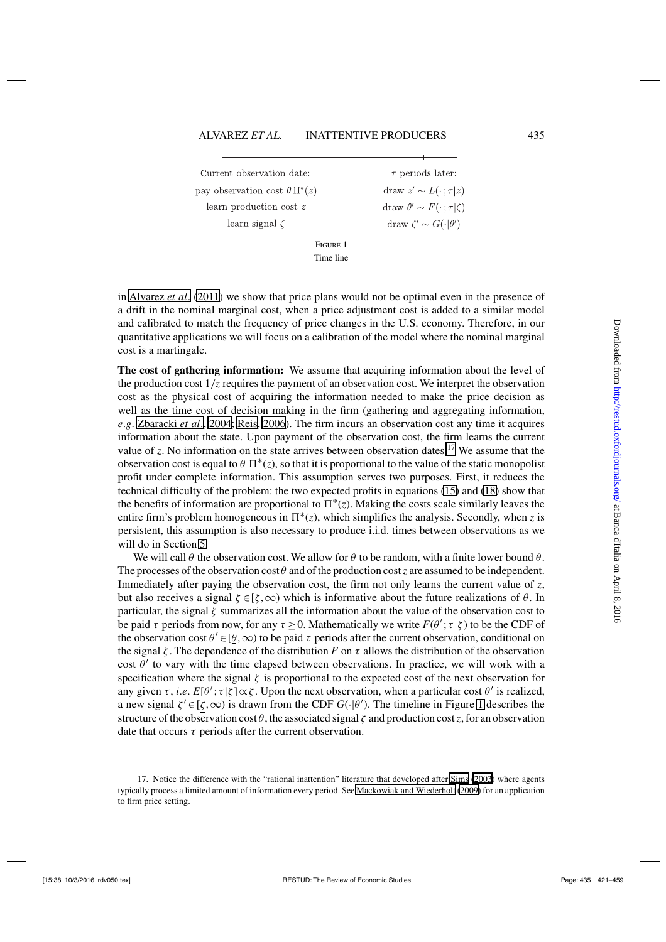# <span id="page-14-0"></span>ALVAREZ *ET AL.* INATTENTIVE PRODUCERS 435

| Current observation date:              | $\tau$ periods later:                    |
|----------------------------------------|------------------------------------------|
| pay observation cost $\theta \Pi^*(z)$ | draw $z' \sim L(\cdot : \tau   z)$       |
| learn production cost z                | draw $\theta' \sim F(\cdot; \tau \zeta)$ |
| learn signal $\zeta$                   | draw $\zeta' \sim G(\cdot \theta')$      |
| Figure 1                               |                                          |

Time line

in [Alvarez](#page-38-0) *et al*. [\(2011](#page-38-0)) we show that price plans would not be optimal even in the presence of a drift in the nominal marginal cost, when a price adjustment cost is added to a similar model and calibrated to match the frequency of price changes in the U.S. economy. Therefore, in our quantitative applications we will focus on a calibration of the model where the nominal marginal cost is a martingale.

**The cost of gathering information:** We assume that acquiring information about the level of the production cost 1/*z* requires the payment of an observation cost. We interpret the observation cost as the physical cost of acquiring the information needed to make the price decision as well as the time cost of decision making in the firm (gathering and aggregating information, *e*.*g*. [Zbaracki](#page-38-0) *et al*., [2004](#page-38-0); [Reis](#page-38-0), [2006](#page-38-0)). The firm incurs an observation cost any time it acquires information about the state. Upon payment of the observation cost, the firm learns the current value of *z*. No information on the state arrives between observation dates.<sup>17</sup> We assume that the observation cost is equal to  $\theta \Pi^*(z)$ , so that it is proportional to the value of the static monopolist profit under complete information. This assumption serves two purposes. First, it reduces the technical difficulty of the problem: the two expected profits in equations [\(15\)](#page-12-0) and [\(18\)](#page-13-0) show that the benefits of information are proportional to  $\Pi^*(z)$ . Making the costs scale similarly leaves the entire firm's problem homogeneous in  $\Pi^*(z)$ , which simplifies the analysis. Secondly, when *z* is persistent, this assumption is also necessary to produce i.i.d. times between observations as we will do in Section [5.](#page-24-0)

We will call  $\theta$  the observation cost. We allow for  $\theta$  to be random, with a finite lower bound  $\theta$ . The processes of the observation cost  $\theta$  and of the production cost *z* are assumed to be independent. Immediately after paying the observation cost, the firm not only learns the current value of *z*, but also receives a signal  $\zeta \in [\zeta, \infty)$  which is informative about the future realizations of  $\theta$ . In particular, the signal  $\zeta$  summarizes all the information about the value of the observation cost to be paid  $\tau$  periods from now, for any  $\tau \ge 0$ . Mathematically we write  $F(\theta'; \tau | \zeta)$  to be the CDF of the observation cost  $\theta' \in [\theta, \infty)$  to be paid  $\tau$  periods after the current observation, conditional on the signal  $\zeta$ . The dependence of the distribution *F* on  $\tau$  allows the distribution of the observation cost  $\theta'$  to vary with the time elapsed between observations. In practice, we will work with a specification where the signal  $\zeta$  is proportional to the expected cost of the next observation for any given  $\tau$ , *i.e.*  $E[\theta'; \tau | \zeta] \propto \zeta$ . Upon the next observation, when a particular cost  $\theta'$  is realized, a new signal  $\zeta' \in [\zeta, \infty)$  is drawn from the CDF  $G(\cdot | \theta')$ . The timeline in Figure 1 describes the structure of the observation cost θ, the associated signal ζ and production cost*z*, for an observation date that occurs  $\tau$  periods after the current observation.

<sup>17.</sup> Notice the difference with the "rational inattention" literature that developed after [Sims](#page-38-0) [\(2003\)](#page-38-0) where agents typically process a limited amount of information every period. See [Mackowiak and Wiederholt](#page-38-0) [\(2009](#page-38-0)) for an application to firm price setting.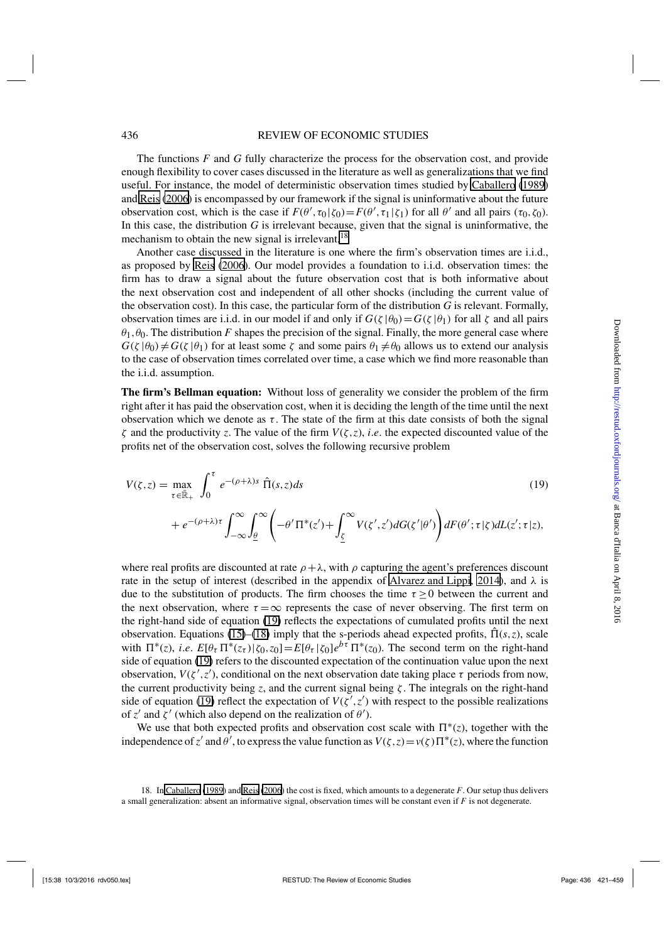The functions *F* and *G* fully characterize the process for the observation cost, and provide enough flexibility to cover cases discussed in the literature as well as generalizations that we find useful. For instance, the model of deterministic observation times studied by [Caballero](#page-38-0) [\(1989\)](#page-38-0) and [Reis](#page-38-0) [\(2006\)](#page-38-0) is encompassed by our framework if the signal is uninformative about the future observation cost, which is the case if  $F(\theta', \tau_0 | \zeta_0) = F(\theta', \tau_1 | \zeta_1)$  for all  $\theta'$  and all pairs  $(\tau_0, \zeta_0)$ . In this case, the distribution *G* is irrelevant because, given that the signal is uninformative, the mechanism to obtain the new signal is irrelevant.<sup>18</sup>

Another case discussed in the literature is one where the firm's observation times are i.i.d., as proposed by [Reis](#page-38-0) [\(2006](#page-38-0)). Our model provides a foundation to i.i.d. observation times: the firm has to draw a signal about the future observation cost that is both informative about the next observation cost and independent of all other shocks (including the current value of the observation cost). In this case, the particular form of the distribution *G* is relevant. Formally, observation times are i.i.d. in our model if and only if  $G(\zeta | \theta_0) = G(\zeta | \theta_1)$  for all  $\zeta$  and all pairs  $\theta_1$ ,  $\theta_0$ . The distribution *F* shapes the precision of the signal. Finally, the more general case where  $G(\zeta | \theta_0) \neq G(\zeta | \theta_1)$  for at least some  $\zeta$  and some pairs  $\theta_1 \neq \theta_0$  allows us to extend our analysis to the case of observation times correlated over time, a case which we find more reasonable than the i.i.d. assumption.

**The firm's Bellman equation:** Without loss of generality we consider the problem of the firm right after it has paid the observation cost, when it is deciding the length of the time until the next observation which we denote as  $\tau$ . The state of the firm at this date consists of both the signal ζ and the productivity *z*. The value of the firm *V*(ζ,*z*), *i*.*e*. the expected discounted value of the profits net of the observation cost, solves the following recursive problem

$$
V(\zeta, z) = \max_{\tau \in \bar{\mathbb{R}}_+} \int_0^{\tau} e^{-(\rho + \lambda)s} \hat{\Pi}(s, z) ds
$$
(19)

$$
+e^{-(\rho+\lambda)\tau}\int_{-\infty}^{\infty}\int_{\underline{\theta}}^{\infty}\left(-\theta'\Pi^*(z')+\int_{\underline{\zeta}}^{\infty}V(\zeta',z')dG(\zeta'|\theta')\right)dF(\theta';\tau|\zeta)dL(z';\tau|z),
$$

where real profits are discounted at rate  $\rho + \lambda$ , with  $\rho$  capturing the agent's preferences discount rate in the setup of interest (described in the appendix of [Alvarez and Lippi, 2014\)](#page-38-0), and  $\lambda$  is due to the substitution of products. The firm chooses the time  $\tau > 0$  between the current and the next observation, where  $\tau = \infty$  represents the case of never observing. The first term on the right-hand side of equation (19) reflects the expectations of cumulated profits until the next observation. Equations [\(15\)](#page-12-0)–[\(18\)](#page-13-0) imply that the s-periods ahead expected profits,  $\hat{\Pi}(s, z)$ , scale with  $\Pi^*(z)$ , *i.e.*  $E[\theta_\tau \Pi^*(z_\tau)|\zeta_0, z_0] = E[\theta_\tau |\zeta_0]e^{b\tau} \Pi^*(z_0)$ . The second term on the right-hand side of equation (19) refers to the discounted expectation of the continuation value upon the next observation,  $V(\zeta', z')$ , conditional on the next observation date taking place  $\tau$  periods from now, the current productivity being *z*, and the current signal being  $\zeta$ . The integrals on the right-hand side of equation (19) reflect the expectation of  $V(\zeta', z')$  with respect to the possible realizations of z' and  $\zeta'$  (which also depend on the realization of  $\theta'$ ).

We use that both expected profits and observation cost scale with  $\Pi^*(z)$ , together with the independence of z' and  $\theta'$ , to express the value function as  $V(\zeta, z) = v(\zeta) \Pi^*(z)$ , where the function

<sup>18.</sup> In [Caballero](#page-38-0) [\(1989\)](#page-38-0) and [Reis](#page-38-0) [\(2006\)](#page-38-0) the cost is fixed, which amounts to a degenerate *F*. Our setup thus delivers a small generalization: absent an informative signal, observation times will be constant even if *F* is not degenerate.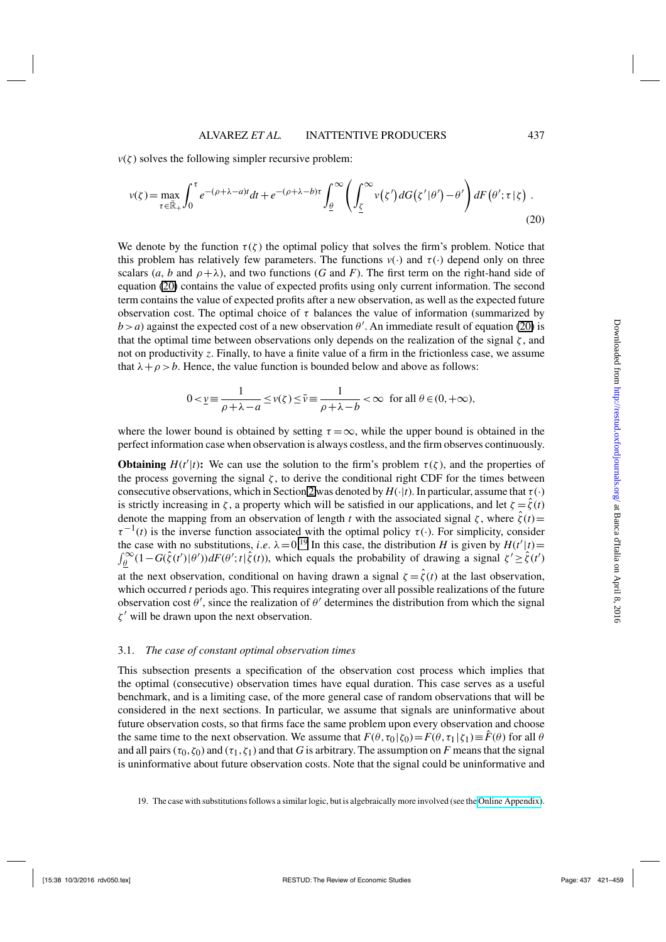<span id="page-16-0"></span> $v(\zeta)$  solves the following simpler recursive problem:

$$
v(\zeta) = \max_{\tau \in \bar{\mathbb{R}}_+} \int_0^{\tau} e^{-(\rho + \lambda - a)t} dt + e^{-(\rho + \lambda - b)\tau} \int_{\underline{\theta}}^{\infty} \left( \int_{\underline{\zeta}}^{\infty} v(\zeta') dG(\zeta' | \theta') - \theta' \right) dF(\theta'; \tau | \zeta) . \tag{20}
$$

We denote by the function  $\tau(\zeta)$  the optimal policy that solves the firm's problem. Notice that this problem has relatively few parameters. The functions  $v(\cdot)$  and  $\tau(\cdot)$  depend only on three scalars (*a*, *b* and  $\rho + \lambda$ ), and two functions (*G* and *F*). The first term on the right-hand side of equation (20) contains the value of expected profits using only current information. The second term contains the value of expected profits after a new observation, as well as the expected future observation cost. The optimal choice of  $\tau$  balances the value of information (summarized by  $b > a$ ) against the expected cost of a new observation  $\theta'$ . An immediate result of equation (20) is that the optimal time between observations only depends on the realization of the signal  $\zeta$ , and not on productivity *z*. Finally, to have a finite value of a firm in the frictionless case, we assume that  $\lambda + \rho > b$ . Hence, the value function is bounded below and above as follows:

$$
0 < \underline{v} \equiv \frac{1}{\rho + \lambda - a} \le v(\zeta) \le \overline{v} \equiv \frac{1}{\rho + \lambda - b} < \infty \text{ for all } \theta \in (0, +\infty),
$$

where the lower bound is obtained by setting  $\tau = \infty$ , while the upper bound is obtained in the perfect information case when observation is always costless, and the firm observes continuously.

**Obtaining**  $H(t'|t)$ : We can use the solution to the firm's problem  $\tau(\zeta)$ , and the properties of the process governing the signal  $\zeta$ , to derive the conditional right CDF for the times between consecutive observations, which in Section [2](#page-4-0) was denoted by  $H(\cdot|t)$ . In particular, assume that  $\tau(\cdot)$ is strictly increasing in  $\zeta$ , a property which will be satisfied in our applications, and let  $\zeta = \zeta(t)$ denote the mapping from an observation of length *t* with the associated signal  $\zeta$ , where  $\zeta(t)$ =  $\tau^{-1}(t)$  is the inverse function associated with the optimal policy  $\tau(\cdot)$ . For simplicity, consider the case with no substitutions, *i.e.*  $\lambda = 0.19$  In this case, the distribution *H* is given by  $H(t'|t) =$  $\int_{\underline{\theta}}^{\infty} (1 - G(\hat{\zeta}(t')) \theta') dF(\theta'; t | \hat{\zeta}(t))$ , which equals the probability of drawing a signal  $\zeta' \geq \hat{\zeta}(t')$ at the next observation, conditional on having drawn a signal  $\zeta = \hat{\zeta}(t)$  at the last observation, which occurred *t* periods ago. This requires integrating over all possible realizations of the future observation cost  $\theta'$ , since the realization of  $\theta'$  determines the distribution from which the signal  $\zeta'$  will be drawn upon the next observation.

# 3.1. *The case of constant optimal observation times*

This subsection presents a specification of the observation cost process which implies that the optimal (consecutive) observation times have equal duration. This case serves as a useful benchmark, and is a limiting case, of the more general case of random observations that will be considered in the next sections. In particular, we assume that signals are uninformative about future observation costs, so that firms face the same problem upon every observation and choose the same time to the next observation. We assume that  $F(\theta, \tau_0 | \zeta_0) = F(\theta, \tau_1 | \zeta_1) = \hat{F}(\theta)$  for all  $\theta$ and all pairs ( $\tau_0, \zeta_0$ ) and ( $\tau_1, \zeta_1$ ) and that *G* is arbitrary. The assumption on *F* means that the signal is uninformative about future observation costs. Note that the signal could be uninformative and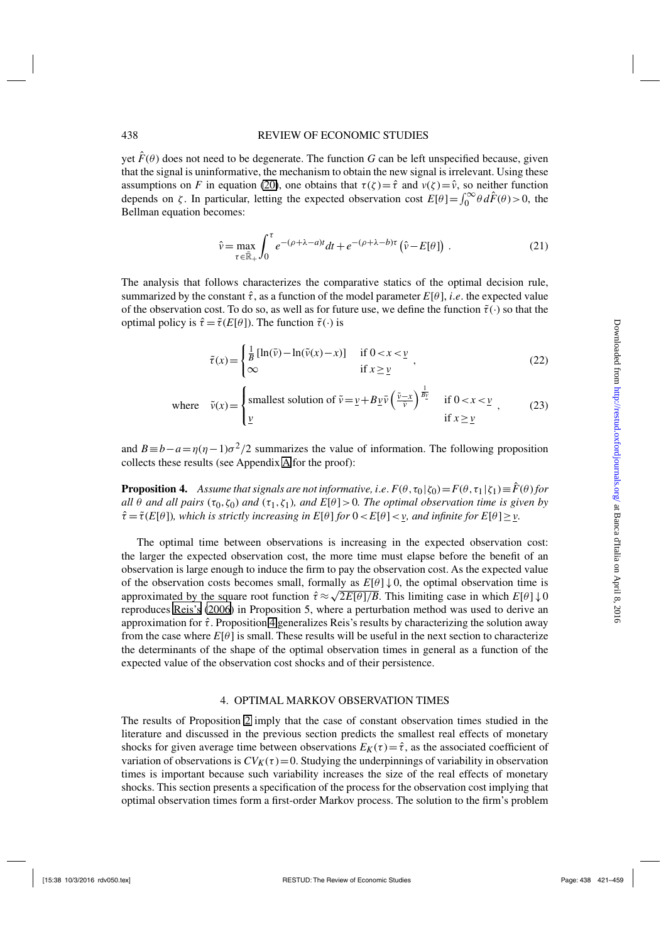# <span id="page-17-0"></span>438 REVIEW OF ECONOMIC STUDIES

yet  $\hat{F}(\theta)$  does not need to be degenerate. The function *G* can be left unspecified because, given that the signal is uninformative, the mechanism to obtain the new signal is irrelevant. Using these assumptions on *F* in equation [\(20\)](#page-16-0), one obtains that  $\tau(\zeta) = \hat{\tau}$  and  $\nu(\zeta) = \hat{\nu}$ , so neither function depends on  $\zeta$ . In particular, letting the expected observation cost  $E[\theta] = \int_0^\infty \theta \, d\hat{F}(\theta) > 0$ , the Bellman equation becomes:

$$
\hat{v} = \max_{\tau \in \bar{\mathbb{R}}_+} \int_0^{\tau} e^{-(\rho + \lambda - a)t} dt + e^{-(\rho + \lambda - b)\tau} (\hat{v} - E[\theta]). \tag{21}
$$

The analysis that follows characterizes the comparative statics of the optimal decision rule, summarized by the constant  $\hat{\tau}$ , as a function of the model parameter  $E[\theta]$ , *i.e.* the expected value of the observation cost. To do so, as well as for future use, we define the function  $\tilde{\tau}(\cdot)$  so that the optimal policy is  $\hat{\tau} = \tilde{\tau}(E[\theta])$ . The function  $\tilde{\tau}(\cdot)$  is

$$
\tilde{\tau}(x) = \begin{cases} \frac{1}{B} \left[ \ln(\bar{\nu}) - \ln(\tilde{\nu}(x) - x) \right] & \text{if } 0 < x < \underline{\nu} \\ \infty & \text{if } x \ge \underline{\nu} \end{cases} \tag{22}
$$

where 
$$
\tilde{v}(x) = \begin{cases} \text{smallest solution of } \tilde{v} = \underline{v} + B \underline{v} \bar{v} \left( \frac{\tilde{v} - x}{\tilde{v}} \right)^{\frac{1}{B_{\Sigma}}} & \text{if } 0 < x < \underline{v} \\ \underline{v} & \text{if } x \ge \underline{v} \end{cases}
$$
 (23)

and  $B = b - a = \frac{\eta(\eta-1)\sigma^2}{2}$  summarizes the value of information. The following proposition collects these results (see Appendix [A](#page-32-0) for the proof):

**Proposition 4.** *Assume that signals are not informative, i.e.*  $F(\theta, \tau_0 | \zeta_0) = F(\theta, \tau_1 | \zeta_1) \equiv \hat{F}(\theta)$  *for all*  $\theta$  *and all pairs* ( $\tau_0$ , $\zeta_0$ ) *and* ( $\tau_1$ , $\zeta_1$ )*, and*  $E[\theta] > 0$ *. The optimal observation time is given by*  $\hat{\tau} = \tilde{\tau}(E[\theta])$ , which is strictly increasing in  $E[\theta]$  *for*  $0 \lt E[\theta] \lt \nu$ , and infinite for  $E[\theta] \geq \nu$ .

The optimal time between observations is increasing in the expected observation cost: the larger the expected observation cost, the more time must elapse before the benefit of an observation is large enough to induce the firm to pay the observation cost. As the expected value of the observation costs becomes small, formally as  $E[\theta] \downarrow 0$ , the optimal observation time is approximated by the square root function  $\hat{\tau} \approx \sqrt{2E[\theta]/B}$ . This limiting case in which  $E[\theta] \downarrow 0$ reproduces [Reis's](#page-38-0) [\(2006](#page-38-0)) in Proposition 5, where a perturbation method was used to derive an approximation for  $\hat{\tau}$ . Proposition 4 generalizes Reis's results by characterizing the solution away from the case where  $E[\theta]$  is small. These results will be useful in the next section to characterize the determinants of the shape of the optimal observation times in general as a function of the expected value of the observation cost shocks and of their persistence.

# 4. OPTIMAL MARKOV OBSERVATION TIMES

The results of Proposition [2](#page-8-0) imply that the case of constant observation times studied in the literature and discussed in the previous section predicts the smallest real effects of monetary shocks for given average time between observations  $E_K(\tau) = \hat{\tau}$ , as the associated coefficient of variation of observations is  $CV_K(\tau) = 0$ . Studying the underpinnings of variability in observation times is important because such variability increases the size of the real effects of monetary shocks. This section presents a specification of the process for the observation cost implying that optimal observation times form a first-order Markov process. The solution to the firm's problem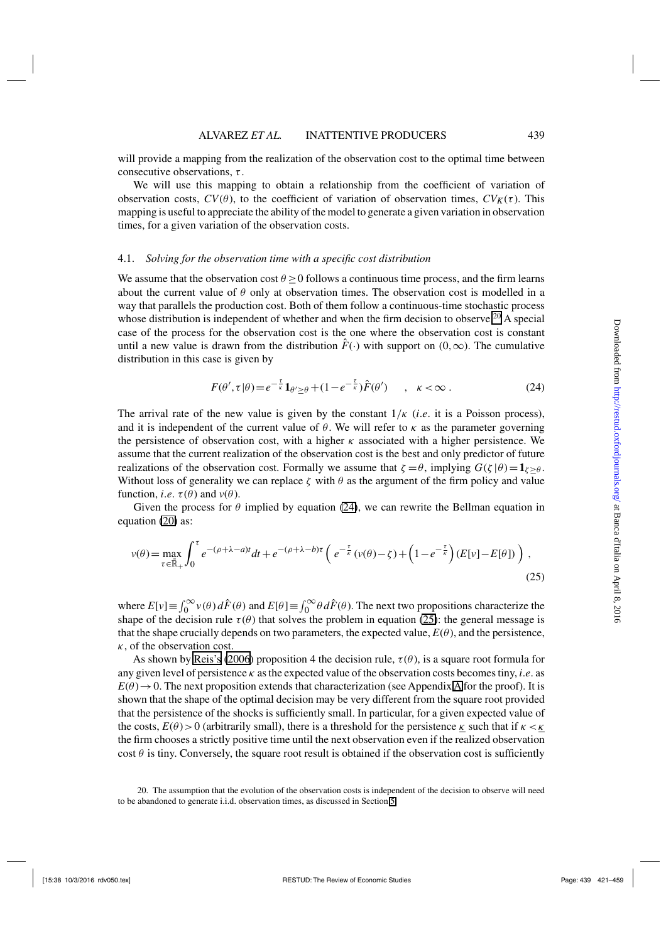Downloaded from http://restud.oxfordjournals.org/ at Banca d'Italia on April 8, 2016 Downloaded trom <http://restud.oxfordjournals.org/> at Banca d'Italia on April 8, 2016

<span id="page-18-0"></span>will provide a mapping from the realization of the observation cost to the optimal time between consecutive observations,  $\tau$ .

We will use this mapping to obtain a relationship from the coefficient of variation of observation costs,  $CV(\theta)$ , to the coefficient of variation of observation times,  $CV_K(\tau)$ . This mapping is useful to appreciate the ability of the model to generate a given variation in observation times, for a given variation of the observation costs.

# 4.1. *Solving for the observation time with a specific cost distribution*

We assume that the observation cost  $\theta \ge 0$  follows a continuous time process, and the firm learns about the current value of  $\theta$  only at observation times. The observation cost is modelled in a way that parallels the production cost. Both of them follow a continuous-time stochastic process whose distribution is independent of whether and when the firm decision to observe.<sup>20</sup> A special case of the process for the observation cost is the one where the observation cost is constant until a new value is drawn from the distribution  $\hat{F}(\cdot)$  with support on  $(0,\infty)$ . The cumulative distribution in this case is given by

$$
F(\theta', \tau | \theta) = e^{-\frac{\tau}{\kappa}} \mathbf{1}_{\theta' \ge \theta} + (1 - e^{-\frac{\tau}{\kappa}}) \hat{F}(\theta') \quad , \quad \kappa < \infty . \tag{24}
$$

The arrival rate of the new value is given by the constant  $1/\kappa$  (*i.e.* it is a Poisson process), and it is independent of the current value of  $\theta$ . We will refer to  $\kappa$  as the parameter governing the persistence of observation cost, with a higher  $\kappa$  associated with a higher persistence. We assume that the current realization of the observation cost is the best and only predictor of future realizations of the observation cost. Formally we assume that  $\zeta = \theta$ , implying  $G(\zeta | \theta) = \mathbf{1}_{\zeta > \theta}$ . Without loss of generality we can replace  $\zeta$  with  $\theta$  as the argument of the firm policy and value function, *i.e.*  $\tau(\theta)$  and  $v(\theta)$ .

Given the process for  $\theta$  implied by equation (24), we can rewrite the Bellman equation in equation [\(20\)](#page-16-0) as:

$$
v(\theta) = \max_{\tau \in \bar{\mathbb{R}}_+} \int_0^{\tau} e^{-(\rho + \lambda - a)t} dt + e^{-(\rho + \lambda - b)\tau} \left( e^{-\frac{\tau}{\kappa}} (v(\theta) - \zeta) + \left( 1 - e^{-\frac{\tau}{\kappa}} \right) (E[v] - E[\theta]) \right),\tag{25}
$$

where  $E[v] \equiv \int_0^\infty v(\theta) d\hat{F}(\theta)$  and  $E[\theta] \equiv \int_0^\infty \theta d\hat{F}(\theta)$ . The next two propositions characterize the shape of the decision rule  $\tau(\theta)$  that solves the problem in equation (25): the general message is that the shape crucially depends on two parameters, the expected value,  $E(\theta)$ , and the persistence,  $\kappa$ , of the observation cost.

As shown by [Reis's](#page-38-0) [\(2006\)](#page-38-0) proposition 4 the decision rule,  $\tau(\theta)$ , is a square root formula for any given level of persistence κ as the expected value of the observation costs becomes tiny, *i*.*e*. as  $E(\theta) \rightarrow 0$ . The next proposition extends that characterization (see [A](#page-32-0)ppendix A for the proof). It is shown that the shape of the optimal decision may be very different from the square root provided that the persistence of the shocks is sufficiently small. In particular, for a given expected value of the costs,  $E(\theta) > 0$  (arbitrarily small), there is a threshold for the persistence <u>κ</u> such that if  $\kappa < \kappa$ the firm chooses a strictly positive time until the next observation even if the realized observation cost  $\theta$  is tiny. Conversely, the square root result is obtained if the observation cost is sufficiently

<sup>20.</sup> The assumption that the evolution of the observation costs is independent of the decision to observe will need to be abandoned to generate i.i.d. observation times, as discussed in Section [5.](#page-24-0)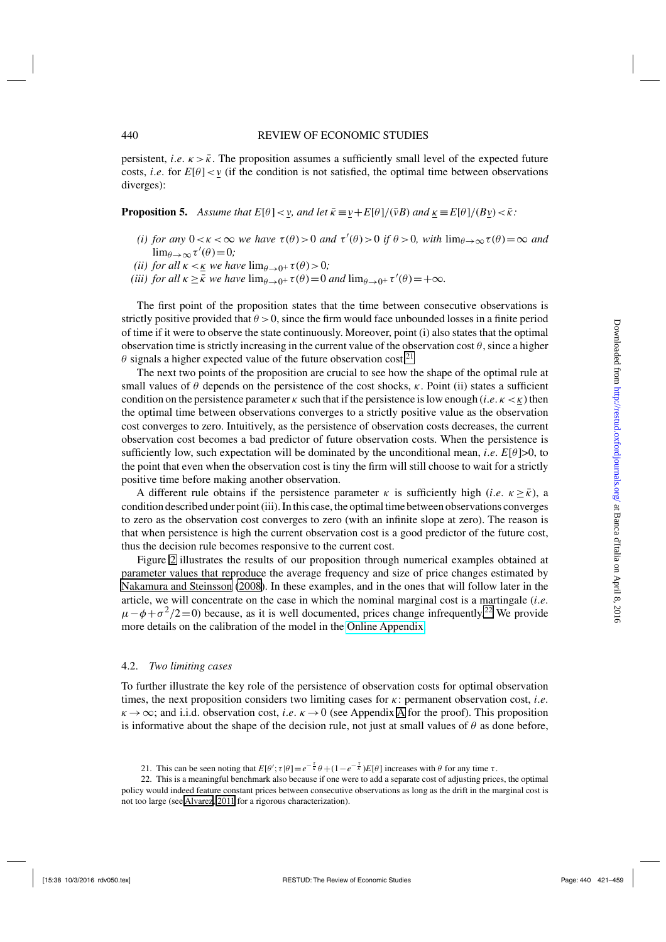<span id="page-19-0"></span>persistent, *i.e.*  $\kappa > \bar{k}$ . The proposition assumes a sufficiently small level of the expected future costs, *i.e.* for  $E[\theta] < \gamma$  (if the condition is not satisfied, the optimal time between observations diverges):

# **Proposition 5.** *Assume that*  $E[\theta] < y$ *, and let*  $\bar{\kappa} \equiv y + E[\theta]/(\bar{\nu}B)$  *and*  $\kappa \equiv E[\theta]/(By) < \bar{\kappa}$ *:*

(*i*) for any  $0 < \kappa < \infty$  we have  $\tau(\theta) > 0$  and  $\tau'(\theta) > 0$  if  $\theta > 0$ , with  $\lim_{\theta \to \infty} \tau(\theta) = \infty$  and  $\lim_{\theta \to \infty} \tau'(\theta) = 0;$ 

*(ii) for all*  $\kappa < \kappa$  *we have*  $\lim_{\theta \to 0^+} \tau(\theta) > 0$ *;* 

(*iii*) for all  $\kappa \ge \bar{\kappa}$  *we have*  $\lim_{\theta \to 0^+} \tau(\theta) = 0$  *and*  $\lim_{\theta \to 0^+} \tau'(\theta) = +\infty$ *.* 

The first point of the proposition states that the time between consecutive observations is strictly positive provided that  $\theta > 0$ , since the firm would face unbounded losses in a finite period of time if it were to observe the state continuously. Moreover, point (i) also states that the optimal observation time is strictly increasing in the current value of the observation cost  $\theta$ , since a higher  $\theta$  signals a higher expected value of the future observation cost.<sup>21</sup>

The next two points of the proposition are crucial to see how the shape of the optimal rule at small values of  $\theta$  depends on the persistence of the cost shocks,  $\kappa$ . Point (ii) states a sufficient condition on the persistence parameter  $\kappa$  such that if the persistence is low enough (*i.e.*  $\kappa < \kappa$ ) then the optimal time between observations converges to a strictly positive value as the observation cost converges to zero. Intuitively, as the persistence of observation costs decreases, the current observation cost becomes a bad predictor of future observation costs. When the persistence is sufficiently low, such expectation will be dominated by the unconditional mean, *i*.*e*. *E*[θ]>0, to the point that even when the observation cost is tiny the firm will still choose to wait for a strictly positive time before making another observation.

A different rule obtains if the persistence parameter  $\kappa$  is sufficiently high (*i.e.*  $\kappa \geq \bar{\kappa}$ ), a condition described under point (iii). In this case, the optimal time between observations converges to zero as the observation cost converges to zero (with an infinite slope at zero). The reason is that when persistence is high the current observation cost is a good predictor of the future cost, thus the decision rule becomes responsive to the current cost.

Figure [2](#page-20-0) illustrates the results of our proposition through numerical examples obtained at parameter values that reproduce the average frequency and size of price changes estimated by [Nakamura and Steinsson](#page-38-0) [\(2008\)](#page-38-0). In these examples, and in the ones that will follow later in the article, we will concentrate on the case in which the nominal marginal cost is a martingale (*i*.*e*.  $\mu - \phi + \sigma^2/2 = 0$ ) because, as it is well documented, prices change infrequently.<sup>22</sup> We provide more details on the calibration of the model in the [Online Appendix.](http://restud.oxfordjournals.org/lookup/suppl/doi:10.1093/restud/rdv050/-/DC1)

# 4.2. *Two limiting cases*

To further illustrate the key role of the persistence of observation costs for optimal observation times, the next proposition considers two limiting cases for κ: permanent observation cost, *i*.*e*.  $\kappa \to \infty$ ; and i.i.d. observation cost, *i.e.*  $\kappa \to 0$  (see [A](#page-32-0)ppendix A for the proof). This proposition is informative about the shape of the decision rule, not just at small values of  $\theta$  as done before,

<sup>21.</sup> This can be seen noting that  $E[\theta'; \tau | \theta] = e^{-\frac{\tau}{\kappa}} \theta + (1 - e^{-\frac{\tau}{\kappa}}) E[\theta]$  increases with  $\theta$  for any time  $\tau$ .

<sup>22.</sup> This is a meaningful benchmark also because if one were to add a separate cost of adjusting prices, the optimal policy would indeed feature constant prices between consecutive observations as long as the drift in the marginal cost is not too large (see [Alvarez, 2011](#page-38-0) for a rigorous characterization).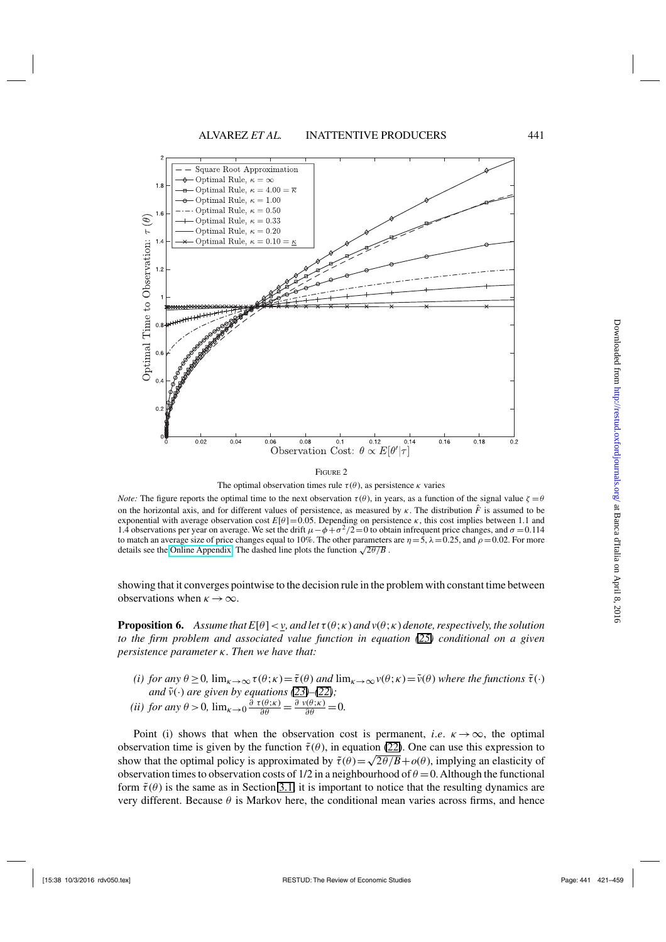<span id="page-20-0"></span>

The optimal observation times rule  $\tau(\theta)$ , as persistence  $\kappa$  varies

*Note:* The figure reports the optimal time to the next observation  $\tau(\theta)$ , in years, as a function of the signal value  $\zeta = \theta$ on the horizontal axis, and for different values of persistence, as measured by  $\kappa$ . The distribution  $\hat{F}$  is assumed to be exponential with average observation cost  $E[\theta]=0.05$ . Depending on persistence  $\kappa$ , this cost implies between 1.1 and 1.4 observations per year on average. We set the drift  $\mu - \phi + \sigma^2/2 = 0$  to obtain infrequent price changes, and  $\sigma = 0.114$ to match an average size of price changes equal to 10%. The other parameters are  $\eta = 5$ ,  $\lambda = 0.25$ , and  $\rho = 0.02$ . For more details see the [Online Appendix.](http://restud.oxfordjournals.org/lookup/suppl/doi:10.1093/restud/rdv050/-/DC1) The dashed line plots the function  $\sqrt{2\theta/B}$ .

showing that it converges pointwise to the decision rule in the problem with constant time between observations when  $\kappa \to \infty$ .

**Proposition 6.** *Assume that*  $E[\theta] < y$ *, and let*  $\tau(\theta; \kappa)$  *and*  $v(\theta; \kappa)$  *denote, respectively, the solution to the firm problem and associated value function in equation [\(25\)](#page-18-0) conditional on a given persistence parameter* κ*. Then we have that:*

*(i) for any*  $\theta \geq 0$ ,  $\lim_{\kappa \to \infty} \tau(\theta; \kappa) = \tilde{\tau}(\theta)$  *and*  $\lim_{\kappa \to \infty} \nu(\theta; \kappa) = \tilde{\nu}(\theta)$  *where the functions*  $\tilde{\tau}(\cdot)$ *and*  $\tilde{v}(\cdot)$  *are given by equations [\(23\)](#page-17-0)–*[\(22\)](#page-17-0)*;* (*ii*) for any  $\theta > 0$ ,  $\lim_{\kappa \to 0} \frac{\partial \tau(\theta; \kappa)}{\partial \theta} = \frac{\partial \nu(\theta; \kappa)}{\partial \theta} = 0$ .

Point (i) shows that when the observation cost is permanent, *i.e.*  $\kappa \to \infty$ , the optimal observation time is given by the function  $\tilde{\tau}(\theta)$ , in equation [\(22\)](#page-17-0). One can use this expression to show that the optimal policy is approximated by  $\tilde{\tau}(\theta) = \sqrt{2\theta/B} + o(\theta)$ , implying an elasticity of observation times to observation costs of  $1/2$  in a neighbourhood of  $\theta = 0$ . Although the functional form  $\tilde{\tau}(\theta)$  is the same as in Section [3.1,](#page-16-0) it is important to notice that the resulting dynamics are very different. Because  $\theta$  is Markov here, the conditional mean varies across firms, and hence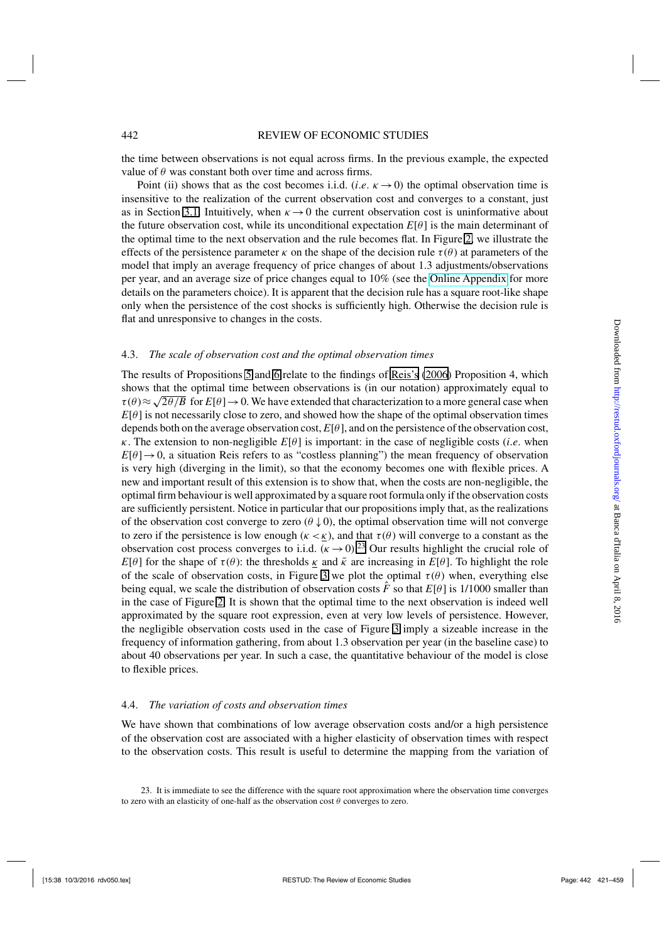the time between observations is not equal across firms. In the previous example, the expected value of  $\theta$  was constant both over time and across firms.

Point (ii) shows that as the cost becomes i.i.d. (*i.e.*  $\kappa \rightarrow 0$ ) the optimal observation time is insensitive to the realization of the current observation cost and converges to a constant, just as in Section [3.1.](#page-16-0) Intuitively, when  $\kappa \rightarrow 0$  the current observation cost is uninformative about the future observation cost, while its unconditional expectation  $E[\theta]$  is the main determinant of the optimal time to the next observation and the rule becomes flat. In Figure [2,](#page-20-0) we illustrate the effects of the persistence parameter  $\kappa$  on the shape of the decision rule  $\tau(\theta)$  at parameters of the model that imply an average frequency of price changes of about 1.3 adjustments/observations per year, and an average size of price changes equal to 10% (see the [Online Appendix](http://restud.oxfordjournals.org/lookup/suppl/doi:10.1093/restud/rdv050/-/DC1) for more details on the parameters choice). It is apparent that the decision rule has a square root-like shape only when the persistence of the cost shocks is sufficiently high. Otherwise the decision rule is flat and unresponsive to changes in the costs.

# 4.3. *The scale of observation cost and the optimal observation times*

The results of Propositions [5](#page-19-0) and [6](#page-20-0) relate to the findings of [Reis's](#page-38-0) [\(2006](#page-38-0)) Proposition 4, which shows that the optimal time between observations is (in our notation) approximately equal to  $\tau(\theta) \approx \sqrt{2\theta/B}$  for  $E[\theta] \to 0$ . We have extended that characterization to a more general case when  $E[\theta]$  is not necessarily close to zero, and showed how the shape of the optimal observation times depends both on the average observation cost,  $E[\theta]$ , and on the persistence of the observation cost,  $\kappa$ . The extension to non-negligible  $E[\theta]$  is important: in the case of negligible costs *(i.e.* when  $E[\theta] \rightarrow 0$ , a situation Reis refers to as "costless planning") the mean frequency of observation is very high (diverging in the limit), so that the economy becomes one with flexible prices. A new and important result of this extension is to show that, when the costs are non-negligible, the optimal firm behaviour is well approximated by a square root formula only if the observation costs are sufficiently persistent. Notice in particular that our propositions imply that, as the realizations of the observation cost converge to zero  $(\theta \downarrow 0)$ , the optimal observation time will not converge to zero if the persistence is low enough ( $\kappa < \kappa$ ), and that  $\tau(\theta)$  will converge to a constant as the observation cost process converges to i.i.d.  $(k \rightarrow 0)^{23}$  Our results highlight the crucial role of *E*[ $\theta$ ] for the shape of  $\tau(\theta)$ : the thresholds  $\kappa$  and  $\bar{\kappa}$  are increasing in *E*[ $\theta$ ]. To highlight the role of the scale of observation costs, in Figure [3](#page-22-0) we plot the optimal  $\tau(\theta)$  when, everything else being equal, we scale the distribution of observation costs  $\hat{F}$  so that  $E[\theta]$  is 1/1000 smaller than in the case of Figure [2.](#page-20-0) It is shown that the optimal time to the next observation is indeed well approximated by the square root expression, even at very low levels of persistence. However, the negligible observation costs used in the case of Figure [3](#page-22-0) imply a sizeable increase in the frequency of information gathering, from about 1.3 observation per year (in the baseline case) to about 40 observations per year. In such a case, the quantitative behaviour of the model is close to flexible prices.

# 4.4. *The variation of costs and observation times*

We have shown that combinations of low average observation costs and/or a high persistence of the observation cost are associated with a higher elasticity of observation times with respect to the observation costs. This result is useful to determine the mapping from the variation of

<sup>23.</sup> It is immediate to see the difference with the square root approximation where the observation time converges to zero with an elasticity of one-half as the observation cost  $\theta$  converges to zero.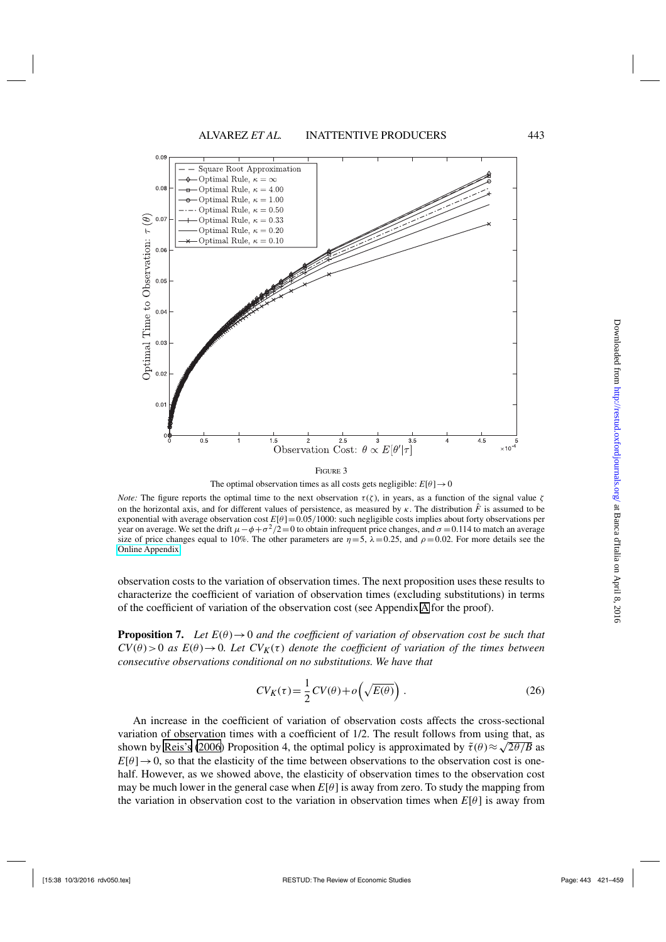<span id="page-22-0"></span>

The optimal observation times as all costs gets negligible:  $E[\theta] \rightarrow 0$ 

*Note:* The figure reports the optimal time to the next observation  $\tau(\zeta)$ , in years, as a function of the signal value  $\zeta$ on the horizontal axis, and for different values of persistence, as measured by  $\kappa$ . The distribution  $\hat{F}$  is assumed to be exponential with average observation cost  $E[\theta] = 0.05/1000$ : such negligible costs implies about forty observations per year on average. We set the drift  $\mu - \phi + \sigma^2/2 = 0$  to obtain infrequent price changes, and  $\sigma = 0.114$  to match an average size of price changes equal to 10%. The other parameters are  $\eta = 5$ ,  $\lambda = 0.25$ , and  $\rho = 0.02$ . For more details see the [Online Appendix.](http://restud.oxfordjournals.org/lookup/suppl/doi:10.1093/restud/rdv050/-/DC1)

observation costs to the variation of observation times. The next proposition uses these results to characterize the coefficient of variation of observation times (excluding substitutions) in terms of the coefficient of variation of the observation cost (see Appendix [A](#page-32-0) for the proof).

**Proposition 7.** Let  $E(\theta) \to 0$  and the coefficient of variation of observation cost be such that  $CV(\theta) > 0$  *as*  $E(\theta) \to 0$ *. Let*  $CV_K(\tau)$  *denote the coefficient of variation of the times between consecutive observations conditional on no substitutions. We have that*

$$
CV_K(\tau) = \frac{1}{2}CV(\theta) + o\left(\sqrt{E(\theta)}\right). \tag{26}
$$

An increase in the coefficient of variation of observation costs affects the cross-sectional variation of observation times with a coefficient of 1/2. The result follows from using that, as shown by [Reis's](#page-38-0) [\(2006\)](#page-38-0) Proposition 4, the optimal policy is approximated by  $\tilde{\tau}(\theta) \approx \sqrt{2\theta/B}$  as  $E[\theta] \to 0$ , so that the elasticity of the time between observations to the observation cost is onehalf. However, as we showed above, the elasticity of observation times to the observation cost may be much lower in the general case when  $E[\theta]$  is away from zero. To study the mapping from the variation in observation cost to the variation in observation times when *E*[θ] is away from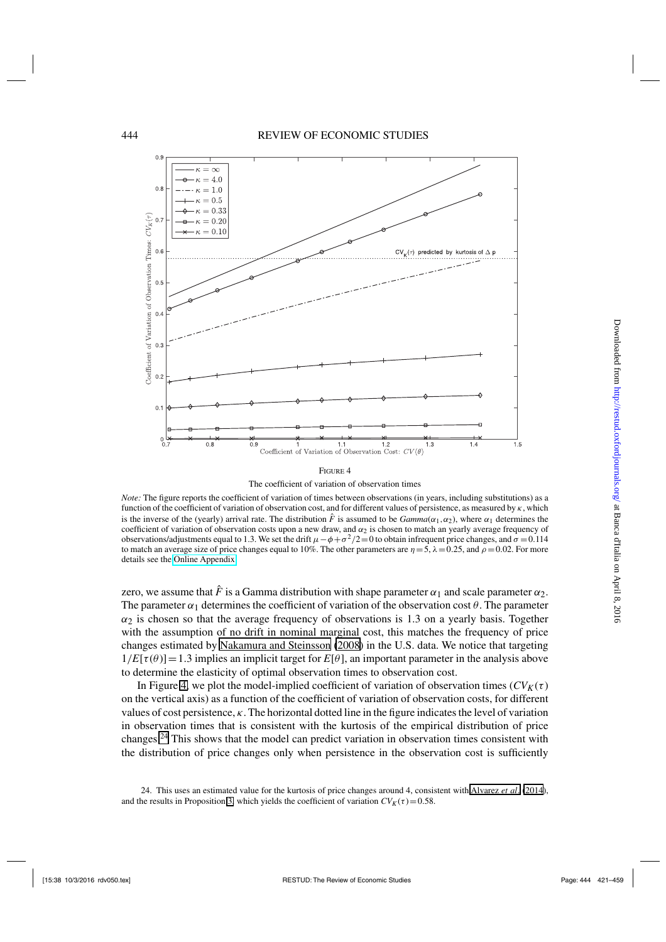<span id="page-23-0"></span>

FIGURE 4

The coefficient of variation of observation times

*Note:* The figure reports the coefficient of variation of times between observations (in years, including substitutions) as a function of the coefficient of variation of observation cost, and for different values of persistence, as measured by  $\kappa$ , which is the inverse of the (yearly) arrival rate. The distribution  $\hat{F}$  is assumed to be  $Gamma(\alpha_1, \alpha_2)$ , where  $\alpha_1$  determines the coefficient of variation of observation costs upon a new draw, and  $\alpha_2$  is chosen to match an yearly average frequency of observations/adjustments equal to 1.3. We set the drift  $\mu - \phi + \sigma^2/2 = 0$  to obtain infrequent price changes, and  $\sigma = 0.114$ to match an average size of price changes equal to 10%. The other parameters are  $\eta = 5$ ,  $\lambda = 0.25$ , and  $\rho = 0.02$ . For more details see the [Online Appendix.](http://restud.oxfordjournals.org/lookup/suppl/doi:10.1093/restud/rdv050/-/DC1)

zero, we assume that  $\hat{F}$  is a Gamma distribution with shape parameter  $\alpha_1$  and scale parameter  $\alpha_2$ . The parameter  $\alpha_1$  determines the coefficient of variation of the observation cost  $\theta$ . The parameter  $\alpha_2$  is chosen so that the average frequency of observations is 1.3 on a yearly basis. Together with the assumption of no drift in nominal marginal cost, this matches the frequency of price changes estimated by [Nakamura and Steinsson](#page-38-0) [\(2008\)](#page-38-0) in the U.S. data. We notice that targeting  $1/E[\tau(\theta)] = 1.3$  implies an implicit target for  $E[\theta]$ , an important parameter in the analysis above to determine the elasticity of optimal observation times to observation cost.

In Figure 4, we plot the model-implied coefficient of variation of observation times  $(CV_K(\tau))$ on the vertical axis) as a function of the coefficient of variation of observation costs, for different values of cost persistence,  $\kappa$ . The horizontal dotted line in the figure indicates the level of variation in observation times that is consistent with the kurtosis of the empirical distribution of price changes.24 This shows that the model can predict variation in observation times consistent with the distribution of price changes only when persistence in the observation cost is sufficiently

<sup>24.</sup> This uses an estimated value for the kurtosis of price changes around 4, consistent with [Alvarez](#page-38-0) *et al*. [\(2014\)](#page-38-0), and the results in Proposition [3,](#page-10-0) which yields the coefficient of variation  $CV_K(\tau) = 0.58$ .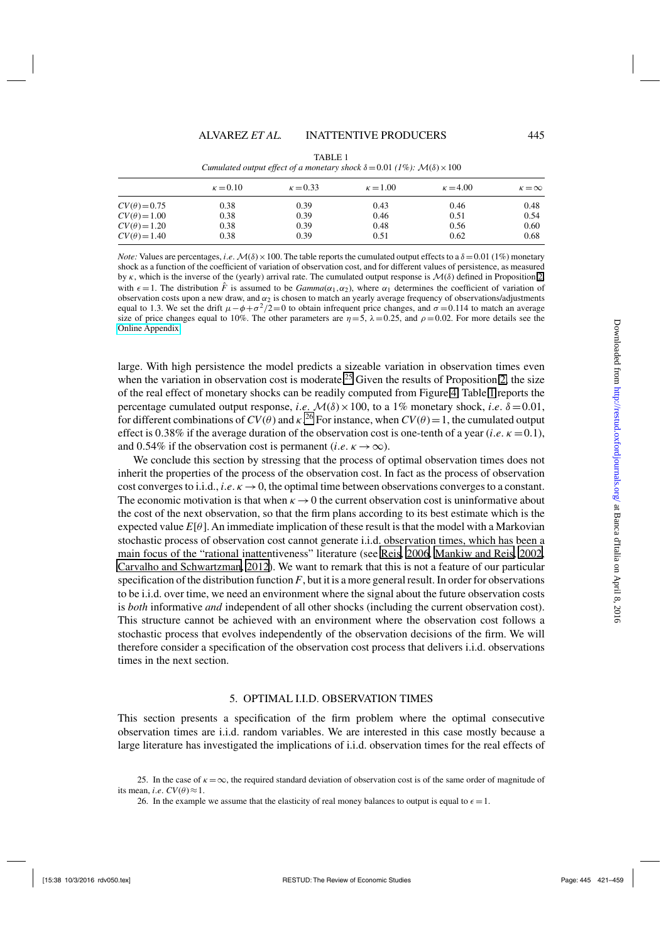<span id="page-24-0"></span>

|                     | $\kappa = 0.10$ | $\kappa = 0.33$ | $\kappa = 1.00$ | $\kappa = 4.00$ | $\kappa = \infty$ |  |
|---------------------|-----------------|-----------------|-----------------|-----------------|-------------------|--|
| $CV(\theta) = 0.75$ | 0.38            | 0.39            | 0.43            | 0.46            | 0.48              |  |
| $CV(\theta) = 1.00$ | 0.38            | 0.39            | 0.46            | 0.51            | 0.54              |  |
| $CV(\theta) = 1.20$ | 0.38            | 0.39            | 0.48            | 0.56            | 0.60              |  |
| $CV(\theta) = 1.40$ | 0.38            | 0.39            | 0.51            | 0.62            | 0.68              |  |

TABLE 1 *Cumulated output effect of a monetary shock*  $\delta = 0.01$  *(1%):*  $\mathcal{M}(\delta) \times 100$ 

*Note:* Values are percentages, *i.e.*  $\mathcal{M}(\delta) \times 100$ . The table reports the cumulated output effects to a  $\delta = 0.01$  (1%) monetary shock as a function of the coefficient of variation of observation cost, and for different values of persistence, as measured by  $\kappa$ , which is the inverse of the (yearly) arrival rate. The cumulated output response is  $\mathcal{M}(\delta)$  defined in Proposition [2,](#page-8-0) with  $\epsilon = 1$ . The distribution *F* is assumed to be *Gamma*( $\alpha_1, \alpha_2$ ), where  $\alpha_1$  determines the coefficient of variation of observation costs upon a new draw, and  $\alpha_2$  is chosen to match an yearly average frequency of observations/adjustments equal to 1.3. We set the drift  $\mu - \phi + \sigma^2/2 = 0$  to obtain infrequent price changes, and  $\sigma = 0.114$  to match an average size of price changes equal to 10%. The other parameters are  $\eta = 5$ ,  $\lambda = 0.25$ , and  $\rho = 0.02$ . For more details see the [Online Appendix.](http://restud.oxfordjournals.org/lookup/suppl/doi:10.1093/restud/rdv050/-/DC1)

large. With high persistence the model predicts a sizeable variation in observation times even when the variation in observation cost is moderate.<sup>25</sup> Given the results of Proposition [2,](#page-8-0) the size of the real effect of monetary shocks can be readily computed from Figure [4.](#page-23-0) Table 1 reports the percentage cumulated output response, *i.e.*  $\mathcal{M}(\delta) \times 100$ , to a 1% monetary shock, *i.e.*  $\delta = 0.01$ , for different combinations of  $CV(\theta)$  and  $\kappa$ .<sup>26</sup> For instance, when  $CV(\theta) = 1$ , the cumulated output effect is 0.38% if the average duration of the observation cost is one-tenth of a year (*i.e.*  $\kappa = 0.1$ ), and 0.54% if the observation cost is permanent (*i.e.*  $\kappa \to \infty$ ).

We conclude this section by stressing that the process of optimal observation times does not inherit the properties of the process of the observation cost. In fact as the process of observation cost converges to i.i.d., *i.e.*  $\kappa \to 0$ , the optimal time between observations converges to a constant. The economic motivation is that when  $\kappa \rightarrow 0$  the current observation cost is uninformative about the cost of the next observation, so that the firm plans according to its best estimate which is the expected value  $E[\theta]$ . An immediate implication of these result is that the model with a Markovian stochastic process of observation cost cannot generate i.i.d. observation times, which has been a main focus of the "rational inattentiveness" literature (see [Reis](#page-38-0), [2006, Mankiw and Reis](#page-38-0), [2002](#page-38-0), [Carvalho and Schwartzman, 2012\)](#page-38-0). We want to remark that this is not a feature of our particular specification of the distribution function *F*, but it is a more general result. In order for observations to be i.i.d. over time, we need an environment where the signal about the future observation costs is *both* informative *and* independent of all other shocks (including the current observation cost). This structure cannot be achieved with an environment where the observation cost follows a stochastic process that evolves independently of the observation decisions of the firm. We will therefore consider a specification of the observation cost process that delivers i.i.d. observations times in the next section.

# 5. OPTIMAL I.I.D. OBSERVATION TIMES

This section presents a specification of the firm problem where the optimal consecutive observation times are i.i.d. random variables. We are interested in this case mostly because a large literature has investigated the implications of i.i.d. observation times for the real effects of

<sup>25.</sup> In the case of  $\kappa = \infty$ , the required standard deviation of observation cost is of the same order of magnitude of its mean, *i.e.*  $CV(\theta) \approx 1$ .

<sup>26.</sup> In the example we assume that the elasticity of real money balances to output is equal to  $\epsilon = 1$ .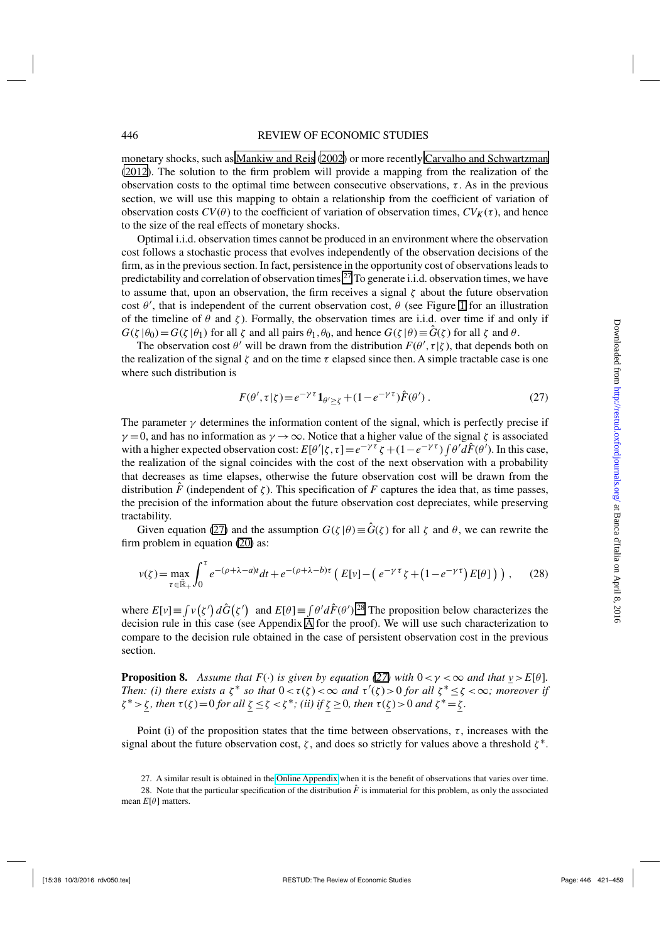<span id="page-25-0"></span>monetary shocks, such as [Mankiw and Reis](#page-38-0) [\(2002](#page-38-0)) or more recently [Carvalho and Schwartzman](#page-38-0) [\(2012](#page-38-0)). The solution to the firm problem will provide a mapping from the realization of the observation costs to the optimal time between consecutive observations,  $\tau$ . As in the previous section, we will use this mapping to obtain a relationship from the coefficient of variation of observation costs  $CV(\theta)$  to the coefficient of variation of observation times,  $CV_K(\tau)$ , and hence to the size of the real effects of monetary shocks.

Optimal i.i.d. observation times cannot be produced in an environment where the observation cost follows a stochastic process that evolves independently of the observation decisions of the firm, as in the previous section. In fact, persistence in the opportunity cost of observations leads to predictability and correlation of observation times.<sup>27</sup> To generate i.i.d. observation times, we have to assume that, upon an observation, the firm receives a signal  $\zeta$  about the future observation cost  $\theta'$ , that is independent of the current observation cost,  $\theta$  (see Figure [1](#page-14-0) for an illustration of the timeline of  $\theta$  and  $\zeta$ ). Formally, the observation times are i.i.d. over time if and only if  $G(\zeta | \theta_0) = G(\zeta | \theta_1)$  for all  $\zeta$  and all pairs  $\theta_1, \theta_0$ , and hence  $G(\zeta | \theta) \equiv \hat{G}(\zeta)$  for all  $\zeta$  and  $\theta$ .

The observation cost  $\theta'$  will be drawn from the distribution  $F(\theta', \tau | \zeta)$ , that depends both on the realization of the signal  $\zeta$  and on the time  $\tau$  elapsed since then. A simple tractable case is one where such distribution is

$$
F(\theta', \tau | \zeta) = e^{-\gamma \tau} \mathbf{1}_{\theta' \ge \zeta} + (1 - e^{-\gamma \tau}) \hat{F}(\theta'). \tag{27}
$$

The parameter  $\gamma$  determines the information content of the signal, which is perfectly precise if  $\gamma = 0$ , and has no information as  $\gamma \to \infty$ . Notice that a higher value of the signal  $\zeta$  is associated with a higher expected observation cost:  $E[\theta'|\zeta,\tau] = e^{-\gamma\tau}\zeta + (1-e^{-\gamma\tau})\int \theta' d\hat{F}(\theta')$ . In this case, the realization of the signal coincides with the cost of the next observation with a probability that decreases as time elapses, otherwise the future observation cost will be drawn from the distribution  $\ddot{F}$  (independent of  $\zeta$ ). This specification of F captures the idea that, as time passes, the precision of the information about the future observation cost depreciates, while preserving tractability.

Given equation (27) and the assumption  $G(\zeta|\theta) \equiv \hat{G}(\zeta)$  for all  $\zeta$  and  $\theta$ , we can rewrite the firm problem in equation [\(20\)](#page-16-0) as:

$$
v(\zeta) = \max_{\tau \in \mathbb{R}_+} \int_0^{\tau} e^{-(\rho + \lambda - a)t} dt + e^{-(\rho + \lambda - b)\tau} \left( E[v] - \left( e^{-\gamma \tau} \zeta + \left( 1 - e^{-\gamma \tau} \right) E[\theta] \right) \right), \quad (28)
$$

where  $E[v] \equiv \int v(\zeta') d\hat{G}(\zeta')$  and  $E[\theta] \equiv \int \theta' d\hat{F}(\theta')$ .<sup>28</sup> The proposition below characterizes the decision rule in this case (see Appendix [A](#page-32-0) for the proof). We will use such characterization to compare to the decision rule obtained in the case of persistent observation cost in the previous section.

**Proposition 8.** Assume that  $F(\cdot)$  is given by equation (27) with  $0 < \gamma < \infty$  and that  $v > E[\theta]$ . *Then: (i) there exists a*  $\zeta^*$  *so that*  $0 < \tau(\zeta) < \infty$  *and*  $\tau'(\zeta) > 0$  *for all*  $\zeta^* \leq \zeta < \infty$ *; moreover if*  $\zeta^* > \zeta$ *, then*  $\tau(\zeta) = 0$  *for all*  $\zeta \leq \zeta < \zeta^*$ *; (ii) if*  $\zeta \geq 0$ *, then*  $\tau(\zeta) > 0$  *and*  $\zeta^* = \zeta$ *.* 

Point (i) of the proposition states that the time between observations,  $\tau$ , increases with the signal about the future observation cost,  $\zeta$ , and does so strictly for values above a threshold  $\zeta^*$ .

<sup>27.</sup> A similar result is obtained in the [Online Appendix](http://restud.oxfordjournals.org/lookup/suppl/doi:10.1093/restud/rdv050/-/DC1) when it is the benefit of observations that varies over time.

<sup>28.</sup> Note that the particular specification of the distribution  $\hat{F}$  is immaterial for this problem, as only the associated mean  $E[\theta]$  matters.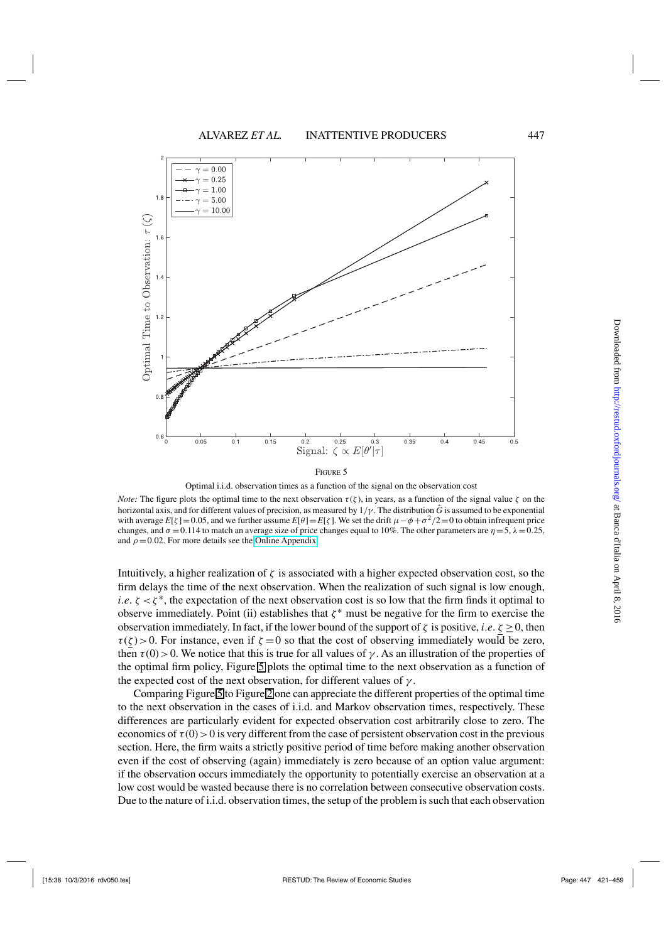

Optimal i.i.d. observation times as a function of the signal on the observation cost

*Note:* The figure plots the optimal time to the next observation  $\tau(\zeta)$ , in years, as a function of the signal value  $\zeta$  on the horizontal axis, and for different values of precision, as measured by  $1/\gamma$ . The distribution  $\hat{G}$  is assumed to be exponential with average  $E[\zeta] = 0.05$ , and we further assume  $E[\theta] = E[\zeta]$ . We set the drift  $\mu - \phi + \sigma^2/2 = 0$  to obtain infrequent price changes, and  $\sigma = 0.114$  to match an average size of price changes equal to 10%. The other parameters are  $\eta = 5$ ,  $\lambda = 0.25$ , and  $\rho = 0.02$ . For more details see the [Online Appendix.](http://restud.oxfordjournals.org/lookup/suppl/doi:10.1093/restud/rdv050/-/DC1)

Intuitively, a higher realization of  $\zeta$  is associated with a higher expected observation cost, so the firm delays the time of the next observation. When the realization of such signal is low enough, *i.e.*  $\zeta < \zeta^*$ , the expectation of the next observation cost is so low that the firm finds it optimal to observe immediately. Point (ii) establishes that  $\zeta^*$  must be negative for the firm to exercise the observation immediately. In fact, if the lower bound of the support of  $\zeta$  is positive, *i.e.*  $\zeta \ge 0$ , then  $\tau(\zeta) > 0$ . For instance, even if  $\zeta = 0$  so that the cost of observing immediately would be zero, then  $\tau(0) > 0$ . We notice that this is true for all values of  $\gamma$ . As an illustration of the properties of the optimal firm policy, Figure 5 plots the optimal time to the next observation as a function of the expected cost of the next observation, for different values of  $\gamma$ .

Comparing Figure 5 to Figure [2](#page-20-0) one can appreciate the different properties of the optimal time to the next observation in the cases of i.i.d. and Markov observation times, respectively. These differences are particularly evident for expected observation cost arbitrarily close to zero. The economics of  $\tau(0) > 0$  is very different from the case of persistent observation cost in the previous section. Here, the firm waits a strictly positive period of time before making another observation even if the cost of observing (again) immediately is zero because of an option value argument: if the observation occurs immediately the opportunity to potentially exercise an observation at a low cost would be wasted because there is no correlation between consecutive observation costs. Due to the nature of i.i.d. observation times, the setup of the problem is such that each observation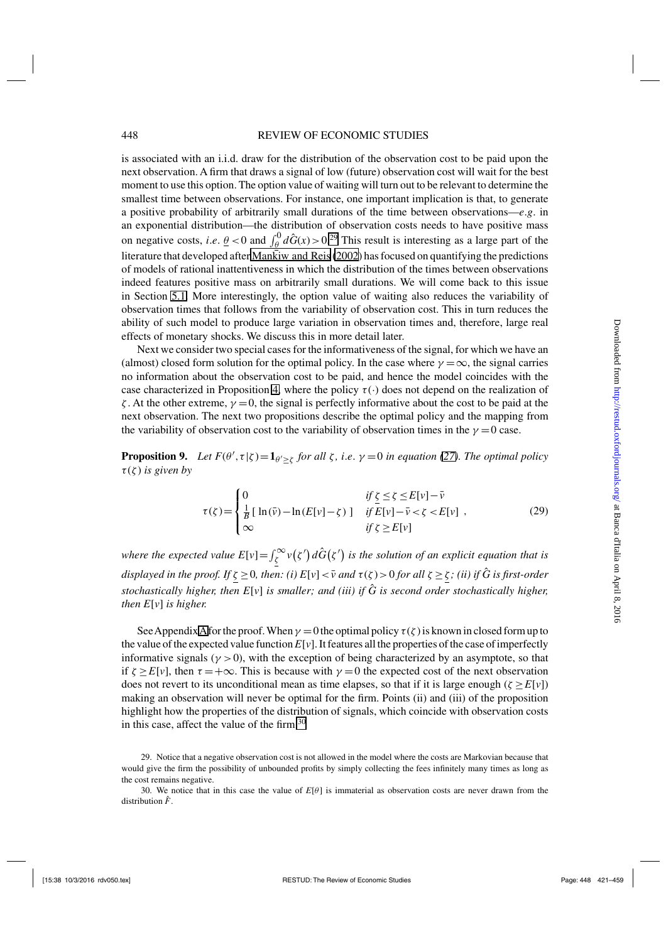# <span id="page-27-0"></span>448 REVIEW OF ECONOMIC STUDIES

is associated with an i.i.d. draw for the distribution of the observation cost to be paid upon the next observation. A firm that draws a signal of low (future) observation cost will wait for the best moment to use this option. The option value of waiting will turn out to be relevant to determine the smallest time between observations. For instance, one important implication is that, to generate a positive probability of arbitrarily small durations of the time between observations—*e*.*g*. in an exponential distribution—the distribution of observation costs needs to have positive mass on negative costs, *i.e.*  $\underline{\theta} < 0$  and  $\int_{\underline{\theta}}^0 d\hat{G}(x) > 0.^{29}$  This result is interesting as a large part of the literature that developed after [Mankiw and Reis](#page-38-0) [\(2002\)](#page-38-0) has focused on quantifying the predictions of models of rational inattentiveness in which the distribution of the times between observations indeed features positive mass on arbitrarily small durations. We will come back to this issue in Section [5.1.](#page-29-0) More interestingly, the option value of waiting also reduces the variability of observation times that follows from the variability of observation cost. This in turn reduces the ability of such model to produce large variation in observation times and, therefore, large real effects of monetary shocks. We discuss this in more detail later.

Next we consider two special cases for the informativeness of the signal, for which we have an (almost) closed form solution for the optimal policy. In the case where  $\gamma = \infty$ , the signal carries no information about the observation cost to be paid, and hence the model coincides with the case characterized in Proposition [4,](#page-17-0) where the policy  $\tau(\cdot)$  does not depend on the realization of  $\zeta$ . At the other extreme,  $\gamma = 0$ , the signal is perfectly informative about the cost to be paid at the next observation. The next two propositions describe the optimal policy and the mapping from the variability of observation cost to the variability of observation times in the  $\gamma = 0$  case.

**Proposition 9.** Let  $F(\theta', \tau | \zeta) = \mathbf{1}_{\theta' \geq \zeta}$  for all  $\zeta$ , *i.e.*  $\gamma = 0$  *in equation [\(27\)](#page-25-0). The optimal policy*  $\tau(\zeta)$  *is given by* 

$$
\tau(\zeta) = \begin{cases}\n0 & \text{if } \underline{\zeta} \le \zeta \le E[\nu] - \bar{\nu} \\
\frac{1}{B} [\ln(\bar{\nu}) - \ln(E[\nu] - \zeta)] & \text{if } E[\nu] - \bar{\nu} < \zeta < E[\nu] \\
\infty & \text{if } \zeta \ge E[\nu]\n\end{cases} \tag{29}
$$

*where the expected value*  $E[v] = \int_{\zeta}^{\infty} v(\zeta') d\hat{G}(\zeta')$  is the solution of an explicit equation that is *displayed in the proof. If*  $\underline{\zeta} \ge 0$ *, then: (i)*  $E[v] < \overline{v}$  *and*  $\tau(\zeta) > 0$  *for all*  $\zeta \ge \zeta$ *; (ii) if*  $\hat{G}$  *is first-order stochastically higher, then*  $E[v]$  *is smaller; and (iii) if*  $\hat{G}$  *is second order stochastically higher, then E*[*v*] *is higher.*

See [A](#page-32-0)ppendix A for the proof. When  $\gamma = 0$  the optimal policy  $\tau(\zeta)$  is known in closed form up to the value of the expected value function  $E[\nu]$ . It features all the properties of the case of imperfectly informative signals ( $\gamma > 0$ ), with the exception of being characterized by an asymptote, so that if  $\zeta \ge E[\nu]$ , then  $\tau = +\infty$ . This is because with  $\gamma = 0$  the expected cost of the next observation does not revert to its unconditional mean as time elapses, so that if it is large enough ( $\zeta \geq E[\nu]$ ) making an observation will never be optimal for the firm. Points (ii) and (iii) of the proposition highlight how the properties of the distribution of signals, which coincide with observation costs in this case, affect the value of the firm.<sup>30</sup>

<sup>29.</sup> Notice that a negative observation cost is not allowed in the model where the costs are Markovian because that would give the firm the possibility of unbounded profits by simply collecting the fees infinitely many times as long as the cost remains negative.

<sup>30.</sup> We notice that in this case the value of *E*[θ] is immaterial as observation costs are never drawn from the distribution  $\hat{F}$ .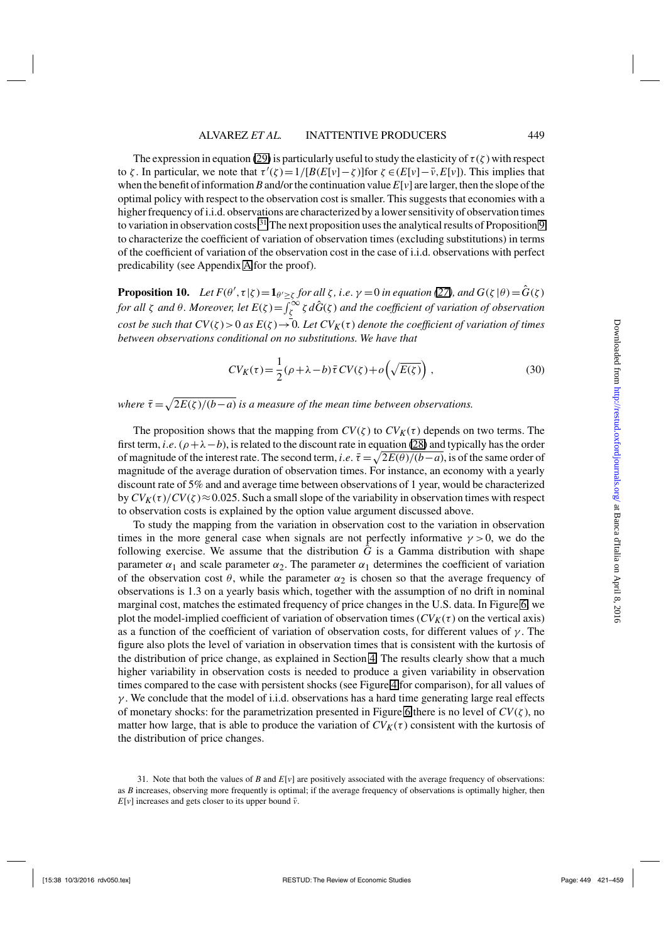<span id="page-28-0"></span>The expression in equation [\(29\)](#page-27-0) is particularly useful to study the elasticity of  $\tau(\zeta)$  with respect to  $\zeta$ . In particular, we note that  $\tau'(\zeta) = 1/[B(E[v] - \zeta)]$  for  $\zeta \in (E[v] - \bar{v}, E[v])$ . This implies that when the benefit of information *B* and/or the continuation value  $E[\nu]$  are larger, then the slope of the optimal policy with respect to the observation cost is smaller. This suggests that economies with a higher frequency of i.i.d. observations are characterized by a lower sensitivity of observation times to variation in observation costs.<sup>31</sup> The next proposition uses the analytical results of Proposition [9](#page-27-0) to characterize the coefficient of variation of observation times (excluding substitutions) in terms of the coefficient of variation of the observation cost in the case of i.i.d. observations with perfect predicability (see Appendix [A](#page-32-0) for the proof).

**Proposition 10.** Let  $F(\theta', \tau | \zeta) = 1_{\theta' \geq \zeta}$  for all  $\zeta$ , i.e.  $\gamma = 0$  in equation [\(27\)](#page-25-0), and  $G(\zeta | \theta) = \hat{G}(\zeta)$ *for all*  $\zeta$  *and*  $\theta$ *. Moreover, let*  $E(\zeta) = \int_{\zeta}^{\infty} \zeta d\hat{G}(\zeta)$  *and the coefficient of variation of observation cost be such that CV*( $\zeta$ ) > 0 *as*  $E(\zeta)$   $\rightarrow$  0*. Let CV<sub>K</sub>*( $\tau$ ) *denote the coefficient of variation of times between observations conditional on no substitutions. We have that*

$$
CV_K(\tau) = \frac{1}{2} (\rho + \lambda - b) \bar{\tau} CV(\zeta) + o\left(\sqrt{E(\zeta)}\right),
$$
\n(30)

*where*  $\bar{\tau} = \sqrt{2E(\zeta)/(b-a)}$  *is a measure of the mean time between observations.* 

The proposition shows that the mapping from  $CV(\zeta)$  to  $CV_K(\tau)$  depends on two terms. The first term, *i.e.* ( $\rho + \lambda - b$ ), is related to the discount rate in equation [\(28\)](#page-25-0) and typically has the order of magnitude of the interest rate. The second term, *i.e.*  $\bar{\tau} = \sqrt{2E(\theta)/(b-a)}$ , is of the same order of magnitude of the average duration of observation times. For instance, an economy with a yearly discount rate of 5% and and average time between observations of 1 year, would be characterized by  $CV_K(\tau)/CV(\zeta) \approx 0.025$ . Such a small slope of the variability in observation times with respect to observation costs is explained by the option value argument discussed above.

To study the mapping from the variation in observation cost to the variation in observation times in the more general case when signals are not perfectly informative  $\gamma > 0$ , we do the following exercise. We assume that the distribution  $\hat{G}$  is a Gamma distribution with shape parameter  $\alpha_1$  and scale parameter  $\alpha_2$ . The parameter  $\alpha_1$  determines the coefficient of variation of the observation cost  $\theta$ , while the parameter  $\alpha_2$  is chosen so that the average frequency of observations is 1.3 on a yearly basis which, together with the assumption of no drift in nominal marginal cost, matches the estimated frequency of price changes in the U.S. data. In Figure [6,](#page-29-0) we plot the model-implied coefficient of variation of observation times  $(CV_K(\tau))$  on the vertical axis) as a function of the coefficient of variation of observation costs, for different values of  $\gamma$ . The figure also plots the level of variation in observation times that is consistent with the kurtosis of the distribution of price change, as explained in Section [4.](#page-17-0) The results clearly show that a much higher variability in observation costs is needed to produce a given variability in observation times compared to the case with persistent shocks (see Figure [4](#page-23-0) for comparison), for all values of  $\gamma$ . We conclude that the model of i.i.d. observations has a hard time generating large real effects of monetary shocks: for the parametrization presented in Figure [6](#page-29-0) there is no level of  $CV(\zeta)$ , no matter how large, that is able to produce the variation of  $CV_K(\tau)$  consistent with the kurtosis of the distribution of price changes.

<sup>31.</sup> Note that both the values of *B* and *E*[*v*] are positively associated with the average frequency of observations: as *B* increases, observing more frequently is optimal; if the average frequency of observations is optimally higher, then  $E[v]$  increases and gets closer to its upper bound  $\bar{v}$ .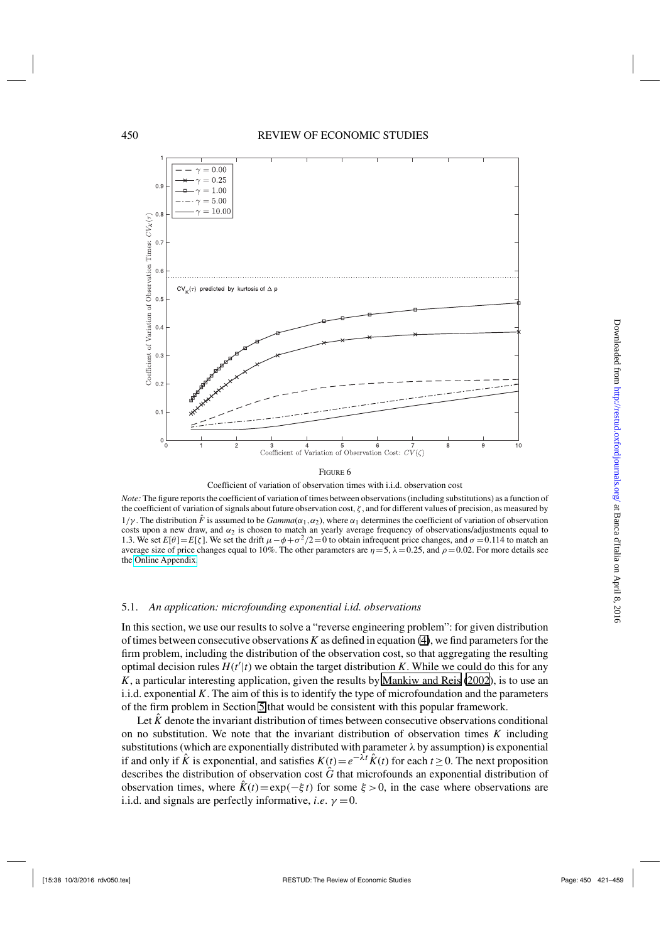<span id="page-29-0"></span>

### FIGURE 6

Coefficient of variation of observation times with i.i.d. observation cost

*Note:*The figure reports the coefficient of variation of times between observations (including substitutions) as a function of the coefficient of variation of signals about future observation cost, ζ , and for different values of precision, as measured by  $1/\gamma$ . The distribution  $\hat{F}$  is assumed to be *Gamma*( $\alpha_1, \alpha_2$ ), where  $\alpha_1$  determines the coefficient of variation of observation costs upon a new draw, and  $\alpha_2$  is chosen to match an yearly average frequency of observations/adjustments equal to 1.3. We set  $E[\theta] = E[\zeta]$ . We set the drift  $\mu - \phi + \sigma^2/2 = 0$  to obtain infrequent price changes, and  $\sigma = 0.114$  to match an average size of price changes equal to 10%. The other parameters are  $\eta = 5$ ,  $\lambda = 0.25$ , and  $\rho = 0.02$ . For more details see the [Online Appendix.](http://restud.oxfordjournals.org/lookup/suppl/doi:10.1093/restud/rdv050/-/DC1)

# 5.1. *An application: microfounding exponential i.id. observations*

In this section, we use our results to solve a "reverse engineering problem": for given distribution of times between consecutive observations *K* as defined in equation [\(4\)](#page-6-0), we find parameters for the firm problem, including the distribution of the observation cost, so that aggregating the resulting optimal decision rules  $H(t'|t)$  we obtain the target distribution *K*. While we could do this for any *K*, a particular interesting application, given the results by [Mankiw and Reis](#page-38-0) [\(2002\)](#page-38-0), is to use an i.i.d. exponential *K*. The aim of this is to identify the type of microfoundation and the parameters of the firm problem in Section [5](#page-24-0) that would be consistent with this popular framework.

Let  $\tilde{K}$  denote the invariant distribution of times between consecutive observations conditional on no substitution. We note that the invariant distribution of observation times *K* including substitutions (which are exponentially distributed with parameter  $\lambda$  by assumption) is exponential if and only if  $\hat{K}$  is exponential, and satisfies  $K(t) = e^{-\lambda t} \hat{K}(t)$  for each  $t > 0$ . The next proposition describes the distribution of observation cost  $\hat{G}$  that microfounds an exponential distribution of observation times, where  $\hat{K}(t) = \exp(-\xi t)$  for some  $\xi > 0$ , in the case where observations are i.i.d. and signals are perfectly informative, *i.e.*  $\gamma = 0$ .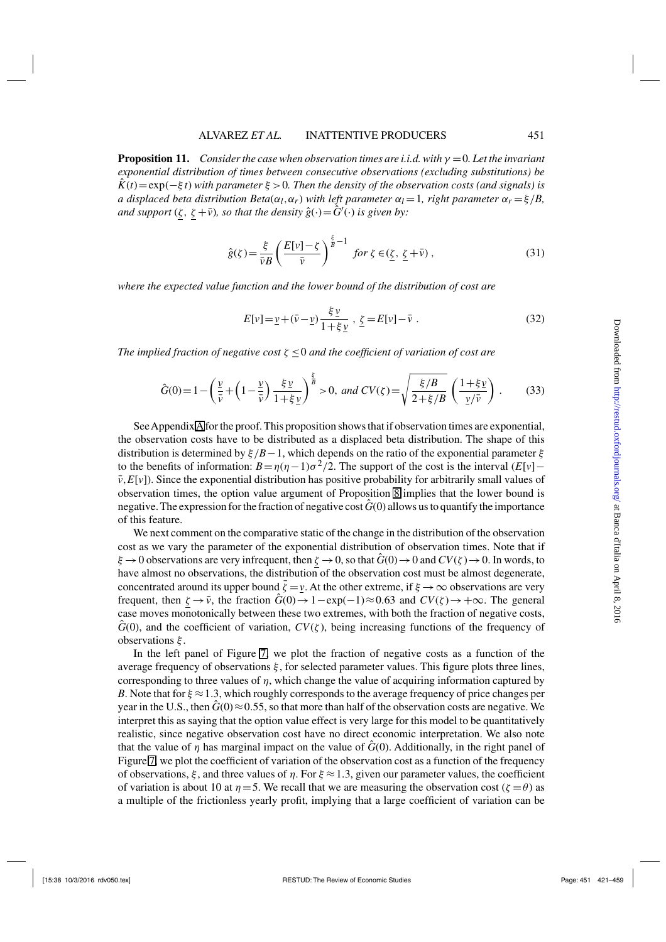<span id="page-30-0"></span>**Proposition 11.** *Consider the case when observation times are i.i.d. with*  $\gamma = 0$ *. Let the invariant exponential distribution of times between consecutive observations (excluding substitutions) be*  $K(t) = \exp(-\xi t)$  *with parameter*  $\xi > 0$ . Then the density of the observation costs (and signals) is *a* displaced beta distribution Beta $(\alpha_l, \alpha_r)$  with left parameter  $\alpha_l = 1$ , right parameter  $\alpha_r = \xi/B$ , *and support*  $(\zeta, \zeta + \bar{\nu})$ *, so that the density*  $\hat{g}(\cdot) = \hat{G}^{\prime}(\cdot)$  *is given by:* 

$$
\hat{g}(\zeta) = \frac{\xi}{\bar{\nu}B} \left( \frac{E[\nu] - \zeta}{\bar{\nu}} \right)^{\frac{\xi}{B} - 1} \text{ for } \zeta \in (\underline{\zeta}, \ \underline{\zeta} + \bar{\nu}), \tag{31}
$$

*where the expected value function and the lower bound of the distribution of cost are*

$$
E[v] = \underline{v} + (\overline{v} - \underline{v}) \frac{\xi \underline{v}}{1 + \xi \underline{v}}, \ \underline{\zeta} = E[v] - \overline{v} \ . \tag{32}
$$

*The implied fraction of negative cost* ζ ≤0 *and the coefficient of variation of cost are*

$$
\hat{G}(0) = 1 - \left(\frac{\nu}{\bar{\nu}} + \left(1 - \frac{\nu}{\bar{\nu}}\right)\frac{\xi \nu}{1 + \xi \nu}\right)^{\frac{\xi}{B}} > 0, \text{ and } CV(\zeta) = \sqrt{\frac{\xi/B}{2 + \xi/B}} \left(\frac{1 + \xi \nu}{\nu/\bar{\nu}}\right). \tag{33}
$$

SeeAppendix[A](#page-32-0)for the proof. This proposition shows that if observation times are exponential, the observation costs have to be distributed as a displaced beta distribution. The shape of this distribution is determined by  $\xi/B-1$ , which depends on the ratio of the exponential parameter  $\xi$ to the benefits of information:  $B = \eta(\eta - 1)\sigma^2/2$ . The support of the cost is the interval (*E*[*v*]−  $\bar{v}$ , $E[v]$ ). Since the exponential distribution has positive probability for arbitrarily small values of observation times, the option value argument of Proposition [8](#page-25-0) implies that the lower bound is negative. The expression for the fraction of negative cost  $\hat{G}(0)$  allows us to quantify the importance of this feature.

We next comment on the comparative static of the change in the distribution of the observation cost as we vary the parameter of the exponential distribution of observation times. Note that if  $\xi \to 0$  observations are very infrequent, then  $\zeta \to 0$ , so that  $\hat{G}(0) \to 0$  and  $CV(\zeta) \to 0$ . In words, to have almost no observations, the distribution of the observation cost must be almost degenerate, concentrated around its upper bound  $\bar{\zeta} = \underline{v}$ . At the other extreme, if  $\xi \to \infty$  observations are very frequent, then  $\zeta \to \bar{\nu}$ , the fraction  $\hat{G}(0) \to 1-\exp(-1) \approx 0.63$  and  $CV(\zeta) \to +\infty$ . The general case moves monotonically between these two extremes, with both the fraction of negative costs,  $G(0)$ , and the coefficient of variation,  $CV(\zeta)$ , being increasing functions of the frequency of observations ξ .

In the left panel of Figure [7,](#page-31-0) we plot the fraction of negative costs as a function of the average frequency of observations  $\xi$ , for selected parameter values. This figure plots three lines, corresponding to three values of  $\eta$ , which change the value of acquiring information captured by *B*. Note that for  $\xi \approx 1.3$ , which roughly corresponds to the average frequency of price changes per year in the U.S., then  $\hat{G}(0) \approx 0.55$ , so that more than half of the observation costs are negative. We interpret this as saying that the option value effect is very large for this model to be quantitatively realistic, since negative observation cost have no direct economic interpretation. We also note that the value of  $\eta$  has marginal impact on the value of  $\hat{G}(0)$ . Additionally, in the right panel of Figure [7,](#page-31-0) we plot the coefficient of variation of the observation cost as a function of the frequency of observations,  $\xi$ , and three values of  $\eta$ . For  $\xi \approx 1.3$ , given our parameter values, the coefficient of variation is about 10 at  $\eta = 5$ . We recall that we are measuring the observation cost ( $\zeta = \theta$ ) as a multiple of the frictionless yearly profit, implying that a large coefficient of variation can be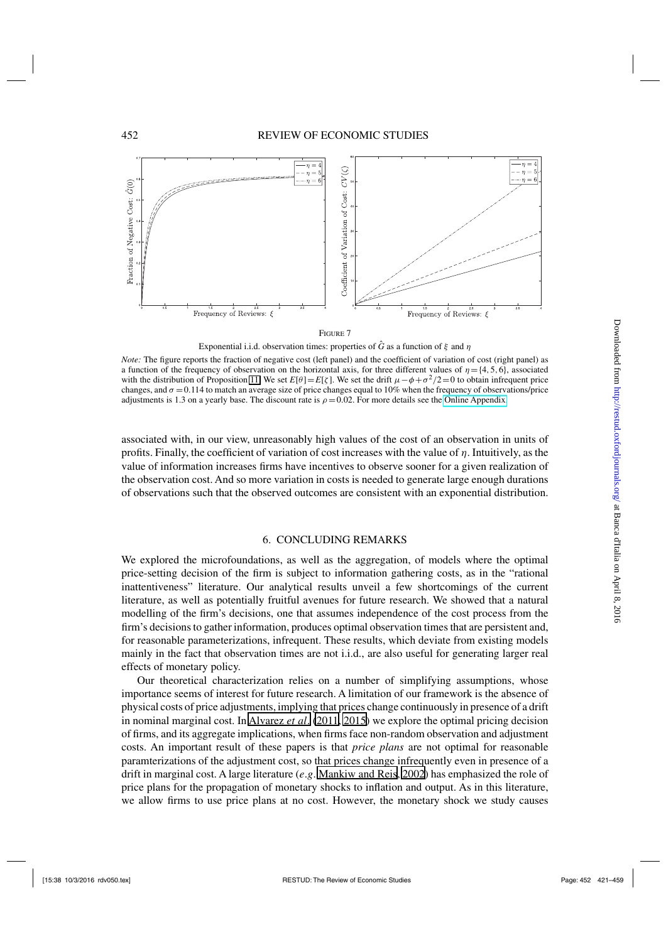<span id="page-31-0"></span>

FIGURE 7

Exponential i.i.d. observation times: properties of  $\hat{G}$  as a function of  $\xi$  and  $\eta$ 

*Note:* The figure reports the fraction of negative cost (left panel) and the coefficient of variation of cost (right panel) as a function of the frequency of observation on the horizontal axis, for three different values of  $\eta = \{4, 5, 6\}$ , associated with the distribution of Proposition [11.](#page-29-0) We set  $E[\theta] = E[\zeta]$ . We set the drift  $\mu - \phi + \sigma^2/2 = 0$  to obtain infrequent price changes, and  $\sigma = 0.114$  to match an average size of price changes equal to 10% when the frequency of observations/price adjustments is 1.3 on a yearly base. The discount rate is  $\rho = 0.02$ . For more details see the [Online Appendix.](http://restud.oxfordjournals.org/lookup/suppl/doi:10.1093/restud/rdv050/-/DC1)

associated with, in our view, unreasonably high values of the cost of an observation in units of profits. Finally, the coefficient of variation of cost increases with the value of  $\eta$ . Intuitively, as the value of information increases firms have incentives to observe sooner for a given realization of the observation cost. And so more variation in costs is needed to generate large enough durations of observations such that the observed outcomes are consistent with an exponential distribution.

# 6. CONCLUDING REMARKS

We explored the microfoundations, as well as the aggregation, of models where the optimal price-setting decision of the firm is subject to information gathering costs, as in the "rational inattentiveness" literature. Our analytical results unveil a few shortcomings of the current literature, as well as potentially fruitful avenues for future research. We showed that a natural modelling of the firm's decisions, one that assumes independence of the cost process from the firm's decisions to gather information, produces optimal observation times that are persistent and, for reasonable parameterizations, infrequent. These results, which deviate from existing models mainly in the fact that observation times are not i.i.d., are also useful for generating larger real effects of monetary policy.

Our theoretical characterization relies on a number of simplifying assumptions, whose importance seems of interest for future research. A limitation of our framework is the absence of physical costs of price adjustments, implying that prices change continuously in presence of a drift in nominal marginal cost. In [Alvarez](#page-38-0) *et al*. [\(2011, 2015](#page-38-0)) we explore the optimal pricing decision of firms, and its aggregate implications, when firms face non-random observation and adjustment costs. An important result of these papers is that *price plans* are not optimal for reasonable paramterizations of the adjustment cost, so that prices change infrequently even in presence of a drift in marginal cost. A large literature (*e*.*g*. [Mankiw and Reis](#page-38-0), [2002\)](#page-38-0) has emphasized the role of price plans for the propagation of monetary shocks to inflation and output. As in this literature, we allow firms to use price plans at no cost. However, the monetary shock we study causes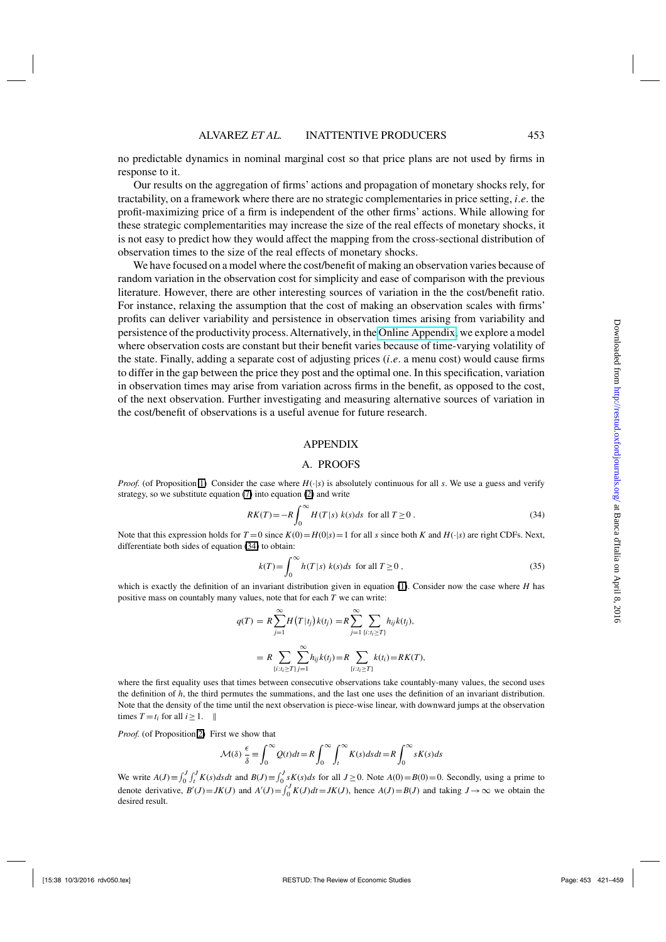<span id="page-32-0"></span>no predictable dynamics in nominal marginal cost so that price plans are not used by firms in response to it.

Our results on the aggregation of firms' actions and propagation of monetary shocks rely, for tractability, on a framework where there are no strategic complementaries in price setting, *i*.*e*. the profit-maximizing price of a firm is independent of the other firms' actions. While allowing for these strategic complementarities may increase the size of the real effects of monetary shocks, it is not easy to predict how they would affect the mapping from the cross-sectional distribution of observation times to the size of the real effects of monetary shocks.

We have focused on a model where the cost/benefit of making an observation varies because of random variation in the observation cost for simplicity and ease of comparison with the previous literature. However, there are other interesting sources of variation in the the cost/benefit ratio. For instance, relaxing the assumption that the cost of making an observation scales with firms' profits can deliver variability and persistence in observation times arising from variability and persistence of the productivity process.Alternatively, in the [Online Appendix,](http://restud.oxfordjournals.org/lookup/suppl/doi:10.1093/restud/rdv050/-/DC1) we explore a model where observation costs are constant but their benefit varies because of time-varying volatility of the state. Finally, adding a separate cost of adjusting prices (*i*.*e*. a menu cost) would cause firms to differ in the gap between the price they post and the optimal one. In this specification, variation in observation times may arise from variation across firms in the benefit, as opposed to the cost, of the next observation. Further investigating and measuring alternative sources of variation in the cost/benefit of observations is a useful avenue for future research.

# APPENDIX

# A. PROOFS

*Proof.* (of Proposition [1\)](#page-7-0) Consider the case where  $H(\cdot|s)$  is absolutely continuous for all *s*. We use a guess and verify strategy, so we substitute equation [\(7\)](#page-7-0) into equation [\(2\)](#page-6-0) and write

$$
RK(T) = -R \int_0^\infty H(T|s) \ k(s)ds \text{ for all } T \ge 0.
$$
 (34)

Note that this expression holds for  $T = 0$  since  $K(0) = H(0|s) = 1$  for all *s* since both *K* and  $H(\cdot|s)$  are right CDFs. Next, differentiate both sides of equation (34) to obtain:

$$
k(T) = \int_0^\infty h(T|s) \ k(s)ds \text{ for all } T \ge 0,
$$
\n(35)

which is exactly the definition of an invariant distribution given in equation [\(1\)](#page-5-0). Consider now the case where *H* has positive mass on countably many values, note that for each *T* we can write:

$$
q(T) = R \sum_{j=1}^{\infty} H(T|t_j) k(t_j) = R \sum_{j=1}^{\infty} \sum_{\{i: t_j \ge T\}} h_{ij} k(t_j),
$$
  
= 
$$
R \sum_{\{i: t_j \ge T\}} \sum_{j=1}^{\infty} h_{ij} k(t_j) = R \sum_{\{i: t_j \ge T\}} k(t_i) = RK(T),
$$

where the first equality uses that times between consecutive observations take countably-many values, the second uses the definition of *h*, the third permutes the summations, and the last one uses the definition of an invariant distribution. Note that the density of the time until the next observation is piece-wise linear, with downward jumps at the observation times  $T = t_i$  for all  $i \geq 1$ .

*Proof.* (of Proposition [2\)](#page-8-0) First we show that

$$
\mathcal{M}(\delta) \frac{\epsilon}{\delta} \equiv \int_0^\infty Q(t)dt = R \int_0^\infty \int_t^\infty K(s)dsdt = R \int_0^\infty sK(s)ds
$$

We write  $A(J) \equiv \int_0^J \int_t^J K(s) ds dt$  and  $B(J) \equiv \int_0^J sK(s) ds$  for all  $J \ge 0$ . Note  $A(0) = B(0) = 0$ . Secondly, using a prime to denote derivative,  $B'(J) = JK(J)$  and  $A'(J) = \int_0^J K(J)dt = JK(J)$ , hence  $A(J) = B(J)$  and taking  $J \to \infty$  we obtain the desired result.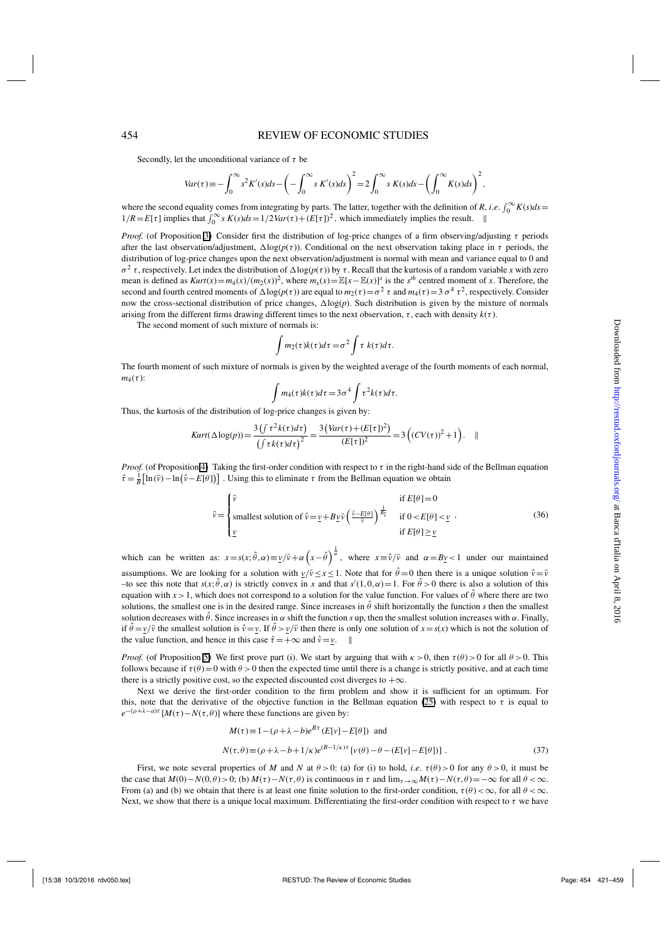<span id="page-33-0"></span>Secondly, let the unconditional variance of  $\tau$  be

$$
Var(\tau) \equiv -\int_0^\infty s^2 K'(s) ds - \left(-\int_0^\infty s K'(s) ds\right)^2 = 2\int_0^\infty s K(s) ds - \left(\int_0^\infty K(s) ds\right)^2,
$$

where the second equality comes from integrating by parts. The latter, together with the definition of *R*, *i.e.*  $\int_0^\infty K(s)ds$  $1/R = E[\tau]$  implies that  $\int_0^\infty s K(s)ds = 1/2Var(\tau) + (E[\tau])^2$ , which immediately implies the result. ||

*Proof.* (of Proposition [3\)](#page-10-0) Consider first the distribution of log-price changes of a firm observing/adjusting  $\tau$  periods after the last observation/adjustment,  $\Delta \log(p(\tau))$ . Conditional on the next observation taking place in  $\tau$  periods, the distribution of log-price changes upon the next observation/adjustment is normal with mean and variance equal to 0 and  $\sigma^2$  τ, respectively. Let index the distribution of  $\Delta \log(p(\tau))$  by τ. Recall that the kurtosis of a random variable *x* with zero mean is defined as  $Kurt(x) = m_4(x)/(m_2(x))^2$ , where  $m_s(x) = \mathbb{E}[x - \mathbb{E}(x)]^s$  is the  $s^{th}$  centred moment of *x*. Therefore, the second and fourth centred moments of  $\Delta \log(p(\tau))$  are equal to  $m_2(\tau) = \sigma^2 \tau$  and  $m_4(\tau) = 3 \sigma^4 \tau^2$ , respectively. Consider now the cross-sectional distribution of price changes,  $\Delta \log(p)$ . Such distribution is given by the mixture of normals arising from the different firms drawing different times to the next observation,  $\tau$ , each with density  $k(\tau)$ .

The second moment of such mixture of normals is:

$$
\int m_2(\tau)k(\tau)d\tau = \sigma^2 \int \tau k(\tau)d\tau.
$$

The fourth moment of such mixture of normals is given by the weighted average of the fourth moments of each normal,  $m_4(\tau)$ :

$$
\int m_4(\tau)k(\tau)d\tau = 3\sigma^4 \int \tau^2 k(\tau)d\tau.
$$

Thus, the kurtosis of the distribution of log-price changes is given by:

$$
Kurt(\Delta \log(p)) = \frac{3\left(\int \tau^2 k(\tau) d\tau\right)}{\left(\int \tau k(\tau) d\tau\right)^2} = \frac{3\left(Var(\tau) + (E[\tau])^2\right)}{(E[\tau])^2} = 3\left((CV(\tau))^2 + 1\right).
$$
 ||

*Proof.* (of Proposition [4\)](#page-17-0) Taking the first-order condition with respect to  $\tau$  in the right-hand side of the Bellman equation  $\hat{\tau} = \frac{1}{B} [\ln(\bar{v}) - \ln(\hat{v} - E[\theta])]$ . Using this to eliminate  $\tau$  from the Bellman equation we obtain

$$
\hat{v} = \begin{cases}\n\bar{v} & \text{if } E[\theta] = 0 \\
\text{smallest solution of } \hat{v} = \underline{v} + B\underline{v}\bar{v}\left(\frac{\hat{v} - E[\theta]}{\bar{v}}\right)^{\frac{1}{B_{\underline{v}}}} & \text{if } 0 < E[\theta] < \underline{v} , \\
\underline{v} & \text{if } E[\theta] \ge \underline{v}\n\end{cases}
$$
\n(36)

which can be written as:  $x = s(x; \hat{\theta}, \alpha) = \frac{v}{\bar{v}} + \alpha \left(x - \hat{\theta}\right)^{\frac{1}{\alpha}}$ , where  $x = \hat{v}/\bar{v}$  and  $\alpha = By < 1$  under our maintained assumptions. We are looking for a solution with  $\frac{y}{v} \leq x \leq 1$ . Note that for  $\hat{\theta} = 0$  then there is a unique solution  $\hat{v} = \bar{v}$  $-\infty$  see this note that  $s(x; \hat{\theta}, \alpha)$  is strictly convex in *x* and that  $s'(1, 0, \alpha) = 1$ . For  $\hat{\theta} > 0$  there is also a solution of this equation with  $x > 1$ , which does not correspond to a solution for the value function. For values of  $\theta$  where there are two solutions, the smallest one is in the desired range. Since increases in  $\hat{\theta}$  shift horizontally the function *s* then the smallest solution decreases with  $\hat{\theta}$ . Since increases in  $\alpha$  shift the function *s* up, then the smallest solution increases with  $\alpha$ . Finally, if  $\hat{\theta} = v/\bar{v}$  the smallest solution is  $\hat{v} = v$ . If  $\hat{\theta} > v/\bar{v}$  then there is only one solution of  $x = s(x)$  which is not the solution of the value function, and hence in this case  $\hat{\tau} = +\infty$  and  $\hat{\nu} = v$ .

*Proof.* (of Proposition [5\)](#page-19-0) We first prove part (i). We start by arguing that with  $\kappa > 0$ , then  $\tau(\theta) > 0$  for all  $\theta > 0$ . This follows because if  $\tau(\theta) = 0$  with  $\theta > 0$  then the expected time until there is a change is strictly positive, and at each time there is a strictly positive cost, so the expected discounted cost diverges to  $+\infty$ .

Next we derive the first-order condition to the firm problem and show it is sufficient for an optimum. For this, note that the derivative of the objective function in the Bellman equation [\(25\)](#page-18-0) with respect to  $\tau$  is equal to  $e^{-(\rho+\lambda-a)\tau} [M(\tau)-N(\tau,\theta)]$  where these functions are given by:

$$
M(\tau) \equiv 1 - (\rho + \lambda - b)e^{B\tau} (E[v] - E[\theta]) \text{ and}
$$
  
\n
$$
N(\tau, \theta) \equiv (\rho + \lambda - b + 1/\kappa)e^{(B-1/\kappa)\tau} [v(\theta) - \theta - (E[v] - E[\theta])].
$$
\n(37)

First, we note several properties of *M* and *N* at  $\theta > 0$ : (a) for (i) to hold, *i.e.*  $\tau(\theta) > 0$  for any  $\theta > 0$ , it must be the case that  $M(0)-N(0,\theta)>0$ ; (b)  $M(\tau)-N(\tau,\theta)$  is continuous in  $\tau$  and  $\lim_{\tau\to\infty}M(\tau)-N(\tau,\theta)=-\infty$  for all  $\theta<\infty$ . From (a) and (b) we obtain that there is at least one finite solution to the first-order condition,  $\tau(\theta) < \infty$ , for all  $\theta < \infty$ . Next, we show that there is a unique local maximum. Differentiating the first-order condition with respect to  $\tau$  we have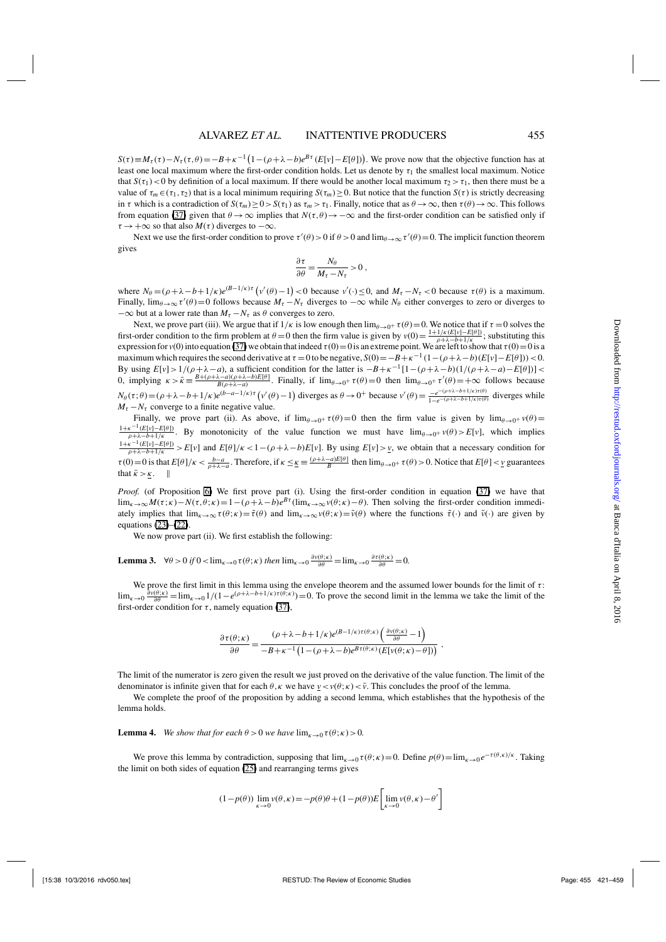$S(\tau) \equiv M_{\tau}(\tau) - N_{\tau}(\tau, \theta) = -B + \kappa^{-1} (1 - (\rho + \lambda - b)e^{B\tau} (E[\nu] - E[\theta]))$ . We prove now that the objective function has at least one local maximum where the first-order condition holds. Let us denote by  $\tau_1$  the smallest local maximum. Notice that  $S(\tau_1)$  < 0 by definition of a local maximum. If there would be another local maximum  $\tau_2 > \tau_1$ , then there must be a value of  $\tau_m \in (\tau_1, \tau_2)$  that is a local minimum requiring  $S(\tau_m) \ge 0$ . But notice that the function  $S(\tau)$  is strictly decreasing in τ which is a contradiction of  $S(\tau_m) \ge 0 > S(\tau_1)$  as  $\tau_m > \tau_1$ . Finally, notice that as  $\theta \to \infty$ , then  $\tau(\theta) \to \infty$ . This follows from equation [\(37\)](#page-33-0) given that  $\theta \to \infty$  implies that  $N(\tau,\theta) \to -\infty$  and the first-order condition can be satisfied only if  $\tau \to +\infty$  so that also  $M(\tau)$  diverges to  $-\infty$ .

Next we use the first-order condition to prove  $\tau'(\theta) > 0$  if  $\theta > 0$  and  $\lim_{\theta \to \infty} \tau'(\theta) = 0$ . The implicit function theorem gives

$$
\frac{\partial \tau}{\partial \theta} = \frac{N_{\theta}}{M_{\tau} - N_{\tau}} > 0,
$$

where  $N_{\theta} = (\rho + \lambda - b + 1/\kappa)e^{(\beta - 1/\kappa)\tau}$  ( $v'(\theta) - 1$ ) < 0 because  $v'(\cdot) \le 0$ , and  $M_{\tau} - N_{\tau} < 0$  because  $\tau(\theta)$  is a maximum. Finally,  $\lim_{\theta \to \infty} \tau'(\theta) = 0$  follows because  $M_{\tau} - N_{\tau}$  diverges to  $-\infty$  while  $N_{\theta}$  either converges to zero or diverges to  $-\infty$  but at a lower rate than  $M_{\tau} - N_{\tau}$  as  $\theta$  converges to zero.

Next, we prove part (iii). We argue that if  $1/\kappa$  is low enough then  $\lim_{\theta \to 0^+} \tau(\theta) = 0$ . We notice that if  $\tau = 0$  solves the first-order condition to the firm problem at  $\theta = 0$  then the firm value is given by  $v(0) = \frac{1+1/\kappa(E[v]-E[\theta])}{\rho + \lambda - b + 1/\kappa}$ ; substituting this expression for  $v(0)$  into equation [\(37\)](#page-33-0) we obtain that indeed  $\tau(0) = 0$  is an extreme point. We are left to show that  $\tau(0) = 0$  is a maximum which requires the second derivative at  $\tau = 0$  to be negative,  $S(0) = -B + \kappa^{-1} (1 - (\rho + \lambda - b)(E[v] - E[\theta])) < 0$ . By using  $E[v] > 1/(\rho + \lambda - a)$ , a sufficient condition for the latter is  $-B + \kappa^{-1}[1-(\rho + \lambda - b)(1/(\rho + \lambda - a) - E[\theta])] < \kappa$ 0, implying  $\kappa > \bar{\kappa} = \frac{B + (\rho + \lambda - a)(\rho + \lambda - b)E[\theta]}{B(\rho + \lambda - a)}$ . Finally, if  $\lim_{\theta \to 0^+} \tau(\theta) = 0$  then  $\lim_{\theta \to 0^+} \tau'(\theta) = +\infty$  follows because  $N_{\theta}(\tau;\theta) = (\rho + \lambda - b + 1/\kappa)e^{(b-a-1/\kappa)\tau}$  ( $v'(\theta) - 1$ ) diverges as  $\theta \to 0^+$  because  $v'(\theta) = \frac{-e^{-(\rho + \lambda - b + 1/\kappa)\tau(\theta)}}{1 - e^{-(\rho + \lambda - b + 1/\kappa)\tau(\theta)}}$  diverges while  $M_{\tau} - N_{\tau}$  converge to a finite negative value.

Finally, we prove part (ii). As above, if  $\lim_{\theta \to 0^+} \tau(\theta) = 0$  then the firm value is given by  $\lim_{\theta \to 0^+} v(\theta) = 0$  $\frac{1+\kappa^{-1}(E[v]-E[\theta])}{\rho+\lambda-b+1/\kappa}$ . By monotonicity of the value function we must have  $\lim_{\theta\to 0^+} v(\theta) > E[v]$ , which implies  $\frac{1+\kappa^{-1}(E[v]-E[\theta])}{\rho+\lambda-b+1/\kappa}$  >  $E[v]$  and  $E[\theta]/\kappa < 1-(\rho+\lambda-b)E[v]$ . By using  $E[v] > v$ , we obtain that a necessary condition for  $\tau(0) = 0$  is that  $E[\theta]/\kappa < \frac{b-a}{\rho + \lambda - a}$ . Therefore, if  $\kappa \leq \kappa \leq \frac{(\rho + \lambda - a)E[\theta]}{B}$  then  $\lim_{\theta \to 0^+} \tau(\theta) > 0$ . Notice that  $E[\theta] < \nu$  guarantees that  $\bar{k} > \kappa$ .

*Proof.* (of Proposition [6\)](#page-20-0) We first prove part (i). Using the first-order condition in equation [\(37\)](#page-33-0) we have that lim<sub>K→∞</sub>*M*(τ;*κ*)−*N*(τ,θ;*κ*)=1−(ρ+λ−*b*)*e*<sup>Bτ</sup>(lim<sub>*k→*∞*v*(θ;*κ*)−θ). Then solving the first-order condition immedi-</sub> ately implies that  $\lim_{\kappa \to \infty} \tau(\theta; \kappa) = \tilde{\tau}(\theta)$  and  $\lim_{\kappa \to \infty} \nu(\theta; \kappa) = \tilde{\nu}(\theta)$  where the functions  $\tilde{\tau}(\cdot)$  and  $\tilde{\nu}(\cdot)$  are given by equations  $(23)$ – $(22)$ .

We now prove part (ii). We first establish the following:

**Lemma 3.**  $\forall \theta > 0 \text{ if } 0 < \lim_{\kappa \to 0} \tau(\theta; \kappa) \text{ then } \lim_{\kappa \to 0} \frac{\partial v(\theta; \kappa)}{\partial \theta} = \lim_{\kappa \to 0} \frac{\partial \tau(\theta; \kappa)}{\partial \theta} = 0.$ 

We prove the first limit in this lemma using the envelope theorem and the assumed lower bounds for the limit of  $\tau$ :  $\lim_{\kappa \to 0} \frac{\partial v(\theta;\kappa)}{\partial \theta} = \lim_{\kappa \to 0} \frac{1}{(1 - e^{(\rho + \lambda - b + 1/\kappa)\tau(\theta;\kappa)})} = 0$ . To prove the second limit in the lemma we take the limit of the first-order condition for  $\tau$ , namely equation [\(37\)](#page-33-0),

$$
\frac{\partial \tau(\theta;\kappa)}{\partial \theta} = \frac{(\rho + \lambda - b + 1/\kappa)e^{(\beta - 1/\kappa)\tau(\theta;\kappa)}\left(\frac{\partial v(\theta;\kappa)}{\partial \theta} - 1\right)}{-B + \kappa^{-1}\left(1 - (\rho + \lambda - b)e^{B\tau(\theta;\kappa)}\left(E[v(\theta;\kappa) - \theta]\right)\right)} ,
$$

The limit of the numerator is zero given the result we just proved on the derivative of the value function. The limit of the denominator is infinite given that for each  $\theta$ ,  $\kappa$  we have  $\nu < \nu(\theta; \kappa) < \bar{\nu}$ . This concludes the proof of the lemma.

We complete the proof of the proposition by adding a second lemma, which establishes that the hypothesis of the lemma holds.

**Lemma 4.** *We show that for each*  $\theta > 0$  *we have*  $\lim_{\kappa \to 0} \tau(\theta; \kappa) > 0$ *.* 

We prove this lemma by contradiction, supposing that  $\lim_{\kappa \to 0} \tau(\theta; \kappa) = 0$ . Define  $p(\theta) = \lim_{\kappa \to 0} e^{-\tau(\theta; \kappa)/\kappa}$ . Taking the limit on both sides of equation [\(25\)](#page-18-0) and rearranging terms gives

$$
(1-p(\theta))\lim_{\kappa\to 0}v(\theta,\kappa)\!=\!-p(\theta)\theta+(1-p(\theta))E\!\left[\lim_{\kappa\to 0}v(\theta,\kappa)\!-\!\theta'\right]
$$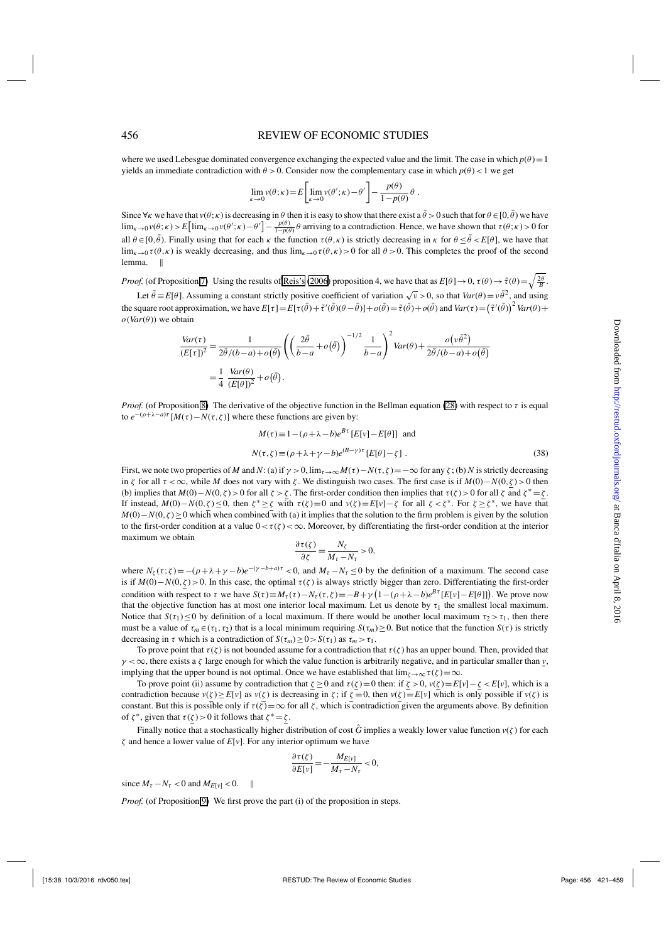<span id="page-35-0"></span>where we used Lebesgue dominated convergence exchanging the expected value and the limit. The case in which  $p(\theta)=1$ yields an immediate contradiction with  $\theta > 0$ . Consider now the complementary case in which  $p(\theta) < 1$  we get

$$
\lim_{\kappa \to 0} v(\theta; \kappa) = E \left[ \lim_{\kappa \to 0} v(\theta'; \kappa) - \theta' \right] - \frac{p(\theta)}{1 - p(\theta)} \theta.
$$

Since  $\forall \kappa$  we have that  $v(\theta; \kappa)$  is decreasing in  $\theta$  then it is easy to show that there exist a  $\theta > 0$  such that for  $\theta \in [0, \theta)$  we have  $\lim_{\kappa \to 0} v(\theta; \kappa) > E\left[\lim_{\kappa \to 0} v(\theta'; \kappa) - \theta'\right] - \frac{p(\theta)}{1 - p(\theta)} \theta$  arriving to a contradiction. Hence, we have shown that  $\tau(\theta; \kappa) > 0$  for all  $\theta \in [0,\bar{\theta})$ . Finally using that for each  $\kappa$  the function  $\tau(\theta,\kappa)$  is strictly decreasing in  $\kappa$  for  $\theta \leq \bar{\theta} < E[\theta]$ , we have that  $\lim_{\kappa\to 0} \tau(\theta,\kappa)$  is weakly decreasing, and thus  $\lim_{\kappa\to 0} \tau(\theta,\kappa) > 0$  for all  $\theta > 0$ . This completes the proof of the second lemma.

*Proof.* (of Proposition [7\)](#page-22-0) Using the results of [Reis's](#page-38-0) [\(2006](#page-38-0)) proposition 4, we have that as  $E[\theta] \to 0$ ,  $\tau(\theta) \to \tilde{\tau}(\theta) = \sqrt{\frac{2\theta}{B}}$ .

Let  $\bar{\theta} \equiv E[\theta]$ . Assuming a constant strictly positive coefficient of variation  $\sqrt{v} > 0$ , so that  $Var(\theta) = v\bar{\theta}^2$ , and using the square root approximation, we have  $E[\tau] = E[\tau(\bar{\theta}) + \tilde{\tau}'(\bar{\theta})(\theta - \bar{\theta})] + o(\bar{\theta}) = \tilde{\tau}(\bar{\theta}) + o(\bar{\theta})$  and  $Var(\tau) = (\tilde{\tau}'(\bar{\theta}))^2 Var(\theta) + o(\bar{\theta})$  $o(Var(\theta))$  we obtain

$$
\frac{\text{Var}(\tau)}{(\mathcal{E}[\tau])^2} = \frac{1}{2\tilde{\theta}/(b-a)+o(\tilde{\theta})} \left( \left( \frac{2\tilde{\theta}}{b-a} + o(\tilde{\theta}) \right)^{-1/2} \frac{1}{b-a} \right)^2 \text{Var}(\theta) + \frac{o(\nu \tilde{\theta}^2)}{2\tilde{\theta}/(b-a)+o(\tilde{\theta})} \n= \frac{1}{4} \frac{\text{Var}(\theta)}{(\mathcal{E}[\theta])^2} + o(\tilde{\theta}).
$$

*Proof.* (of Proposition [8\)](#page-25-0) The derivative of the objective function in the Bellman equation [\(28\)](#page-25-0) with respect to τ is equal to  $e^{-(\rho+\lambda-a)\tau}$  [ $M(\tau) - N(\tau,\zeta)$ ] where these functions are given by:

$$
M(\tau) \equiv 1 - (\rho + \lambda - b)e^{B\tau} [E[v] - E[\theta]] \text{ and}
$$
  

$$
N(\tau, \zeta) \equiv (\rho + \lambda + \gamma - b)e^{(B-\gamma)\tau} [E[\theta] - \zeta].
$$
 (38)

First, we note two properties of *M* and *N*: (a) if  $\gamma > 0$ ,  $\lim_{\tau \to \infty} M(\tau) - N(\tau, \zeta) = -\infty$  for any  $\zeta$ ; (b) *N* is strictly decreasing in  $\zeta$  for all  $\tau < \infty$ , while *M* does not vary with  $\zeta$ . We distinguish two cases. The first case is if  $M(0) - N(0, \zeta) > 0$  then (b) implies that  $M(0) - N(0, \zeta) > 0$  for all  $\zeta > \zeta$ . The first-order condition then implies that  $\tau(\zeta) > 0$  for all  $\zeta$  and  $\zeta^* = \zeta$ . If instead,  $M(0)-N(0,\zeta) \leq 0$ , then  $\zeta^* \geq \zeta$  with  $\tau(\zeta) = 0$  and  $\nu(\zeta) = E[\nu] - \zeta$  for all  $\zeta < \zeta^*$ . For  $\zeta \geq \zeta^*$ , we have that  $M(0)-N(0,\zeta) \ge 0$  which when combined with (a) it implies that the solution to the firm problem is given by the solution to the first-order condition at a value  $0 < \tau(\zeta) < \infty$ . Moreover, by differentiating the first-order condition at the interior maximum we obtain

$$
\frac{\partial \tau(\zeta)}{\partial \zeta} = \frac{N_{\zeta}}{M_{\tau} - N_{\tau}} > 0,
$$

where  $N_{\xi}(\tau;\zeta) = -(\rho + \lambda + \gamma - b)e^{-(\gamma - b + a)\tau} < 0$ , and  $M_{\tau} - N_{\tau} \le 0$  by the definition of a maximum. The second case is if  $M(0)-N(0, \zeta) > 0$ . In this case, the optimal  $\tau(\zeta)$  is always strictly bigger than zero. Differentiating the first-order condition with respect to  $\tau$  we have  $S(\tau) \equiv M_{\tau}(\tau) - N_{\tau}(\tau, \zeta) = -B + \gamma \left(1 - (\rho + \lambda - b)e^{B\tau} [E[v] - E[\theta]]\right)$ . We prove now that the objective function has at most one interior local maximum. Let us denote by  $\tau_1$  the smallest local maximum. Notice that  $S(\tau_1) \le 0$  by definition of a local maximum. If there would be another local maximum  $\tau_2 > \tau_1$ , then there must be a value of  $\tau_m \in (\tau_1, \tau_2)$  that is a local minimum requiring  $S(\tau_m) \ge 0$ . But notice that the function  $S(\tau)$  is strictly decreasing in  $\tau$  which is a contradiction of  $S(\tau_m) \geq 0 > S(\tau_1)$  as  $\tau_m > \tau_1$ .

To prove point that  $\tau(\zeta)$  is not bounded assume for a contradiction that  $\tau(\zeta)$  has an upper bound. Then, provided that  $\gamma < \infty$ , there exists a  $\zeta$  large enough for which the value function is arbitrarily negative, and in particular smaller than  $\gamma$ , implying that the upper bound is not optimal. Once we have established that  $\lim_{\zeta \to \infty} \tau(\zeta) = \infty$ .

To prove point (ii) assume by contradiction that  $\zeta \ge 0$  and  $\tau(\zeta) = 0$  then: if  $\zeta > 0$ ,  $\nu(\zeta) = E[\nu] - \zeta < E[\nu]$ , which is a contradiction because  $v(\zeta) \ge E[v]$  as  $v(\zeta)$  is decreasing in  $\zeta$ ; if  $\zeta = 0$ , then  $v(\zeta) = E[v]$  which is only possible if  $v(\zeta)$  is constant. But this is possible only if  $\tau(\zeta) = \infty$  for all  $\zeta$ , which is contradiction given the arguments above. By definition of  $\zeta^*$ , given that  $\tau(\zeta) > 0$  it follows that  $\zeta^* = \zeta$ .

Finally notice that a stochastically higher distribution of cost  $\hat{G}$  implies a weakly lower value function  $v(\zeta)$  for each ζ and hence a lower value of *E*[*v*]. For any interior optimum we have

$$
\frac{\partial \tau(\zeta)}{\partial E[\nu]} = -\frac{M_{E[\nu]}}{M_{\tau} - N_{\tau}} < 0,
$$

since  $M_{\tau} - N_{\tau} < 0$  and  $M_{E[\nu]} < 0$ .

*Proof.* (of Proposition [9\)](#page-27-0) We first prove the part (i) of the proposition in steps.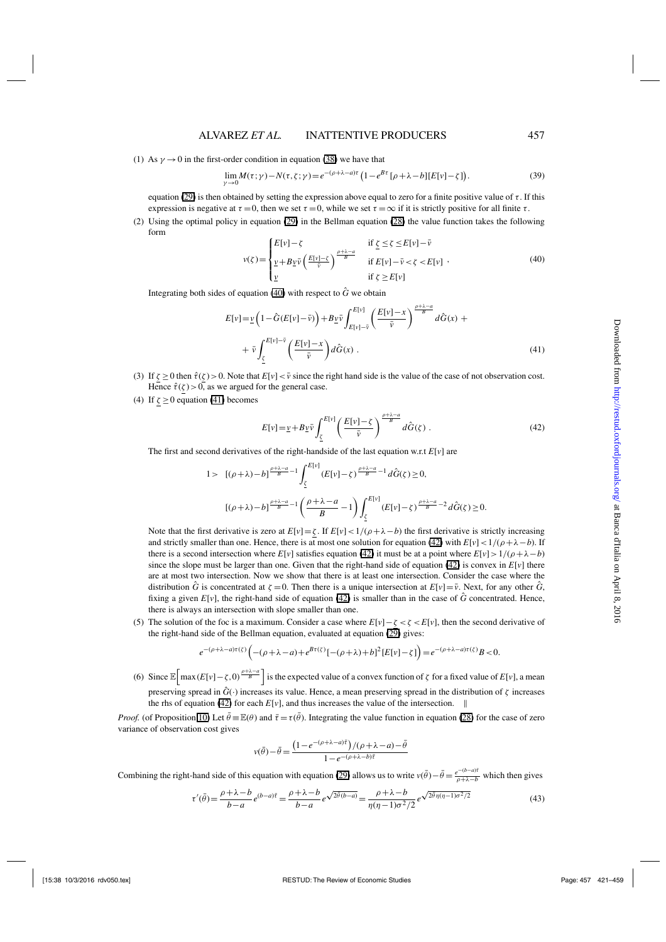## ALVAREZ *ET AL.* INATTENTIVE PRODUCERS 457

<span id="page-36-0"></span>(1) As  $\gamma \rightarrow 0$  in the first-order condition in equation [\(38\)](#page-35-0) we have that

$$
\lim_{\gamma \to 0} M(\tau; \gamma) - N(\tau, \zeta; \gamma) = e^{-(\rho + \lambda - a)\tau} \left( 1 - e^{B\tau} [\rho + \lambda - b][E[\nu] - \zeta] \right). \tag{39}
$$

equation [\(29\)](#page-27-0) is then obtained by setting the expression above equal to zero for a finite positive value of τ. If this expression is negative at  $\tau = 0$ , then we set  $\tau = 0$ , while we set  $\tau = \infty$  if it is strictly positive for all finite  $\tau$ .

(2) Using the optimal policy in equation [\(29\)](#page-27-0) in the Bellman equation [\(28\)](#page-25-0) the value function takes the following form

$$
v(\zeta) = \begin{cases} E[v] - \zeta & \text{if } \underline{\zeta} \le \zeta \le E[v] - \bar{v} \\ \frac{v}{\zeta} + B \underline{v} \bar{v} \left( \frac{E[v] - \zeta}{\bar{v}} \right)^{\frac{\rho + \lambda - \alpha}{B}} & \text{if } E[v] - \bar{v} < \zeta < E[v] \\ \underline{v} & \text{if } \zeta \ge E[v] \end{cases} \tag{40}
$$

Integrating both sides of equation (40) with respect to  $\hat{G}$  we obtain

$$
E[v] = \underline{v} \left( 1 - \hat{G}(E[v] - \bar{v}) \right) + B \underline{v} \bar{v} \int_{E[v] - \bar{v}}^{E[v]} \left( \frac{E[v] - x}{\bar{v}} \right)^{\frac{\rho + \lambda - a}{B}} d\hat{G}(x) +
$$
  
+ 
$$
\bar{v} \int_{\underline{\xi}}^{E[v] - \bar{v}} \left( \frac{E[v] - x}{\bar{v}} \right) d\hat{G}(x) .
$$
 (41)

(3) If  $\zeta \ge 0$  then  $\hat{\tau}(\zeta) > 0$ . Note that  $E[\nu] < \bar{\nu}$  since the right hand side is the value of the case of not observation cost. Hence  $\hat{\tau}(\zeta) > 0$ , as we argued for the general case.

(4) If  $\zeta \ge 0$  equation (41) becomes

$$
E[v] = \underline{v} + B\underline{v}\overline{v} \int_{\underline{\zeta}}^{E[v]} \left(\frac{E[v] - \zeta}{\overline{v}}\right)^{\frac{\rho + \lambda - a}{B}} d\hat{G}(\zeta) . \tag{42}
$$

The first and second derivatives of the right-handside of the last equation w.r.t  $E[v]$  are

$$
1 > [(p+\lambda)-b]^{\frac{p+\lambda-a}{B}-1} \int_{\underline{\zeta}}^{E[v]} (E[v]-\zeta)^{\frac{p+\lambda-a}{B}-1} d\hat{G}(\zeta) \ge 0,
$$
  

$$
[(p+\lambda)-b]^{\frac{p+\lambda-a}{B}-1} \left(\frac{p+\lambda-a}{B}-1\right) \int_{\underline{\zeta}}^{E[v]} (E[v]-\zeta)^{\frac{p+\lambda-a}{B}-2} d\hat{G}(\zeta) \ge 0.
$$

Note that the first derivative is zero at  $E[y] = \zeta$ . If  $E[y] < 1/(\rho + \lambda - b)$  the first derivative is strictly increasing and strictly smaller than one. Hence, there is at most one solution for equation (42) with  $E[v] < 1/(\rho + \lambda - b)$ . If there is a second intersection where  $E[v]$  satisfies equation (42) it must be at a point where  $E[v] > 1/(\rho + \lambda - b)$ since the slope must be larger than one. Given that the right-hand side of equation (42) is convex in  $E[y]$  there are at most two intersection. Now we show that there is at least one intersection. Consider the case where the distribution  $\hat{G}$  is concentrated at  $\zeta = 0$ . Then there is a unique intersection at  $E[\nu] = \bar{\nu}$ . Next, for any other  $\hat{G}$ , fixing a given  $E[v]$ , the right-hand side of equation (42) is smaller than in the case of  $\hat{G}$  concentrated. Hence, there is always an intersection with slope smaller than one.

(5) The solution of the foc is a maximum. Consider a case where  $E[v] - \zeta < \zeta < E[v]$ , then the second derivative of the right-hand side of the Bellman equation, evaluated at equation [\(29\)](#page-27-0) gives:

$$
e^{-(\rho+\lambda-a)\tau(\zeta)}\left(-(\rho+\lambda-a)+e^{B\tau(\zeta)}[-(\rho+\lambda)+b]^2\left[E[\nu]-\zeta\right]\right)=e^{-(\rho+\lambda-a)\tau(\zeta)}B<0.
$$

(6) Since  $\mathbb{E} \left[ \max(E[v] - \zeta, 0 \right) \frac{\rho + \lambda - a}{B}$  is the expected value of a convex function of  $\zeta$  for a fixed value of  $E[v]$ , a mean preserving spread in  $\hat{G}(\cdot)$  increases its value. Hence, a mean preserving spread in the distribution of  $\zeta$  increases the rhs of equation (42) for each  $E[v]$ , and thus increases the value of the intersection.

*Proof.* (of Proposition [10\)](#page-28-0) Let  $\bar{\theta} \equiv \mathbb{E}(\theta)$  and  $\bar{\tau} = \tau(\bar{\theta})$ . Integrating the value function in equation [\(28\)](#page-25-0) for the case of zero variance of observation cost gives

$$
v(\bar{\theta}) - \bar{\theta} = \frac{\left(1 - e^{-(\rho + \lambda - a)\bar{\tau}}\right)/(\rho + \lambda - a) - \bar{\theta}}{1 - e^{-(\rho + \lambda - b)\bar{\tau}}}
$$

Combining the right-hand side of this equation with equation [\(29\)](#page-27-0) allows us to write  $v(\bar{\theta}) - \bar{\theta} = \frac{e^{-(b-a)\bar{\tau}}}{\rho + \lambda - b}$  which then gives

$$
\tau'(\bar{\theta}) = \frac{\rho + \lambda - b}{b - a} e^{(b - a)\bar{\tau}} = \frac{\rho + \lambda - b}{b - a} e^{\sqrt{2\bar{\theta}(b - a)}} = \frac{\rho + \lambda - b}{\eta(\eta - 1)\sigma^2/2} e^{\sqrt{2\bar{\theta}\eta(\eta - 1)\sigma^2/2}}
$$
(43)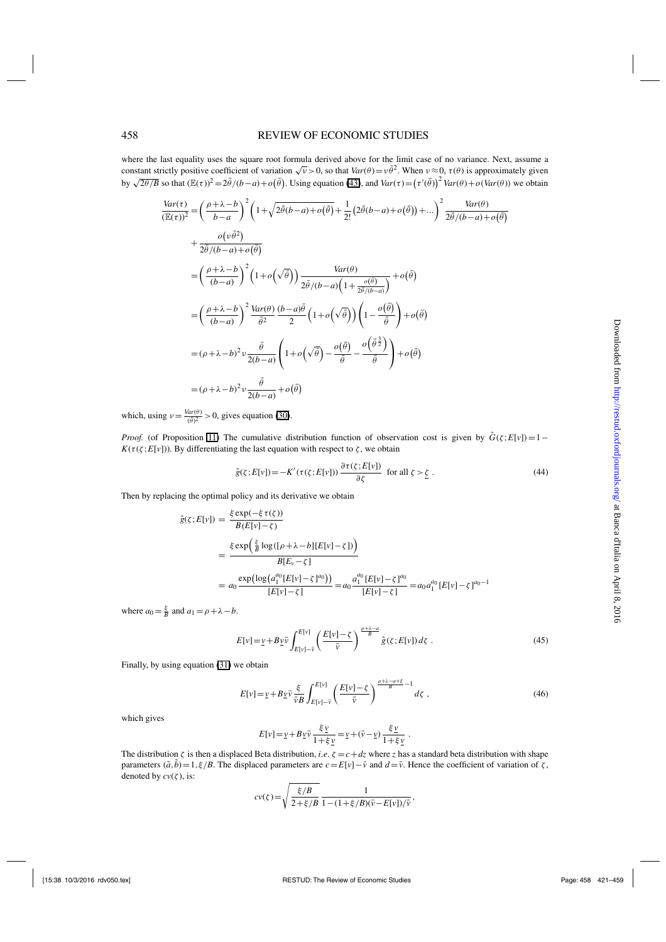# 458 REVIEW OF ECONOMIC STUDIES

where the last equality uses the square root formula derived above for the limit case of no variance. Next, assume a constant strictly positive coefficient of variation  $\sqrt{v} > 0$ , so that  $Var(\theta) = v\bar{\theta}^2$ . When  $v \approx 0$ ,  $\tau(\theta)$  is approximately given by  $\sqrt{2\theta/B}$  so that  $(\mathbb{E}(\tau))^2 = 2\bar{\theta}/(b-a) + o(\bar{\theta})$ . Using equation [\(43\)](#page-36-0), and  $Var(\tau) = (\tau'(\bar{\theta}))^2 Var(\theta) + o(Var(\theta))$  we obtain

$$
\frac{Var(\tau)}{(\mathbb{E}(\tau))^2} = \left(\frac{\rho + \lambda - b}{b - a}\right)^2 \left(1 + \sqrt{2\bar{\theta}(b - a) + o(\bar{\theta})} + \frac{1}{2!} \left(2\bar{\theta}(b - a) + o(\bar{\theta})\right) + \dots\right)^2 \frac{Var(\theta)}{2\bar{\theta}/(b - a) + o(\bar{\theta})}
$$

$$
+ \frac{o(v\bar{\theta}^2)}{2\bar{\theta}/(b - a) + o(\bar{\theta})}
$$

$$
= \left(\frac{\rho + \lambda - b}{(b - a)}\right)^2 \left(1 + o\left(\sqrt{\bar{\theta}}\right)\right) \frac{Var(\theta)}{2\bar{\theta}/(b - a)\left(1 + \frac{o(\bar{\theta})}{2\bar{\theta}/(b - a)}\right)} + o(\bar{\theta})
$$

$$
= \left(\frac{\rho + \lambda - b}{(b - a)}\right)^2 \frac{Var(\theta)}{\bar{\theta}^2} \frac{(b - a)\bar{\theta}}{2} \left(1 + o\left(\sqrt{\bar{\theta}}\right)\right) \left(1 - \frac{o(\bar{\theta})}{\bar{\theta}}\right) + o(\bar{\theta})
$$

$$
= (\rho + \lambda - b)^2 v \frac{\bar{\theta}}{2(b - a)} \left(1 + o\left(\sqrt{\bar{\theta}}\right) - \frac{o(\bar{\theta})}{\bar{\theta}} - \frac{o(\bar{\theta}^2)}{\bar{\theta}}\right) + o(\bar{\theta})
$$

$$
= (\rho + \lambda - b)^2 v \frac{\bar{\theta}}{2(b - a)} + o(\bar{\theta})
$$

which, using  $v = \frac{Var(\theta)}{(\bar{\theta})^2} > 0$ , gives equation [\(30\)](#page-28-0).

*Proof.* (of Proposition [11\)](#page-29-0) The cumulative distribution function of observation cost is given by  $\hat{G}(\zeta;E[v])=1-\frac{1}{2}$  $K(\tau(\zeta;E[\nu]))$ . By differentiating the last equation with respect to  $\zeta$ , we obtain

$$
\hat{g}(\zeta; E[v]) = -K'(\tau(\zeta; E[v])) \frac{\partial \tau(\zeta; E[v])}{\partial \zeta} \quad \text{for all } \zeta > \underline{\zeta} \ . \tag{44}
$$

Then by replacing the optimal policy and its derivative we obtain

$$
\hat{g}(\zeta; E[v]) = \frac{\xi \exp(-\xi \tau(\zeta))}{B(E[v] - \zeta)}
$$
\n
$$
= \frac{\xi \exp\left(\frac{\xi}{B} \log((\rho + \lambda - b)[E[v] - \zeta])\right)}{B[E_v - \zeta]}
$$
\n
$$
= a_0 \frac{\exp\left(\log(a_1^{a_0}[E[v] - \zeta]^{a_0})\right)}{[E[v] - \zeta]} = a_0 \frac{a_1^{a_0}[E[v] - \zeta]^{a_0}}{[E[v] - \zeta]} = a_0 a_1^{a_0}[E[v] - \zeta]^{a_0 - 1}
$$

where  $a_0 = \frac{\xi}{B}$  and  $a_1 = \rho + \lambda - b$ .

$$
E[v] = \underline{v} + B\underline{v}\overline{v} \int_{E[v] - \overline{v}}^{E[v]} \left(\frac{E[v] - \zeta}{\overline{v}}\right)^{\frac{\rho + \lambda - a}{B}} \hat{g}(\zeta; E[v]) d\zeta . \tag{45}
$$

Finally, by using equation [\(31\)](#page-30-0) we obtain

$$
E[v] = \underline{v} + B\underline{v}\,\overline{v}\,\frac{\xi}{\overline{v}} \int_{E[v]-\overline{v}}^{E[v]} \left(\frac{E[v]-\zeta}{\overline{v}}\right)^{\frac{\rho+\lambda-a+\xi}{B}-1} d\zeta \;, \tag{46}
$$

which gives

$$
E[v] = \underline{v} + B\underline{v}\overline{v}\frac{\xi \underline{v}}{1 + \xi \underline{v}} = \underline{v} + (\overline{v} - \underline{v})\frac{\xi \underline{v}}{1 + \xi \underline{v}}.
$$

The distribution  $\zeta$  is then a displaced Beta distribution, *i.e.*  $\zeta = c + dz$  where  $\zeta$  has a standard beta distribution with shape parameters ( $\tilde{a}$ , $\tilde{b}$ )=1, $\xi/B$ . The displaced parameters are  $c = E[v] - \bar{v}$  and  $d = \bar{v}$ . Hence the coefficient of variation of  $\zeta$ , denoted by  $cv(\zeta)$ , is:

$$
cv(\zeta) = \sqrt{\frac{\xi/B}{2 + \xi/B}} \frac{1}{1 - (1 + \xi/B)(\bar{v} - E[v])/\bar{v}},
$$